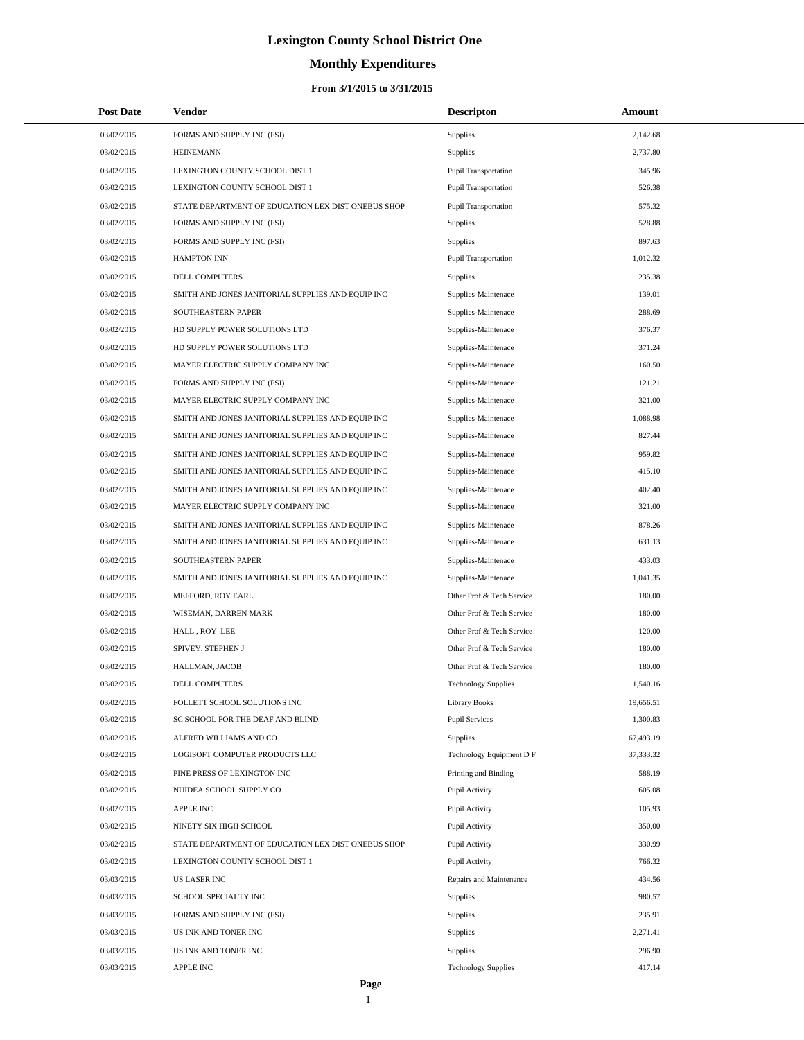# **Monthly Expenditures**

### **From 3/1/2015 to 3/31/2015**

| <b>Post Date</b> | Vendor                                             | <b>Descripton</b>           | <b>Amount</b> |
|------------------|----------------------------------------------------|-----------------------------|---------------|
| 03/02/2015       | FORMS AND SUPPLY INC (FSI)                         | Supplies                    | 2,142.68      |
| 03/02/2015       | <b>HEINEMANN</b>                                   | Supplies                    | 2,737.80      |
| 03/02/2015       | LEXINGTON COUNTY SCHOOL DIST 1                     | Pupil Transportation        | 345.96        |
| 03/02/2015       | LEXINGTON COUNTY SCHOOL DIST 1                     | Pupil Transportation        | 526.38        |
| 03/02/2015       | STATE DEPARTMENT OF EDUCATION LEX DIST ONEBUS SHOP | <b>Pupil Transportation</b> | 575.32        |
| 03/02/2015       | FORMS AND SUPPLY INC (FSI)                         | <b>Supplies</b>             | 528.88        |
| 03/02/2015       | FORMS AND SUPPLY INC (FSI)                         | Supplies                    | 897.63        |
| 03/02/2015       | <b>HAMPTON INN</b>                                 | Pupil Transportation        | 1,012.32      |
| 03/02/2015       | DELL COMPUTERS                                     | Supplies                    | 235.38        |
| 03/02/2015       | SMITH AND JONES JANITORIAL SUPPLIES AND EQUIP INC  | Supplies-Maintenace         | 139.01        |
| 03/02/2015       | SOUTHEASTERN PAPER                                 | Supplies-Maintenace         | 288.69        |
| 03/02/2015       | HD SUPPLY POWER SOLUTIONS LTD                      | Supplies-Maintenace         | 376.37        |
| 03/02/2015       | HD SUPPLY POWER SOLUTIONS LTD                      | Supplies-Maintenace         | 371.24        |
| 03/02/2015       | MAYER ELECTRIC SUPPLY COMPANY INC                  | Supplies-Maintenace         | 160.50        |
| 03/02/2015       | FORMS AND SUPPLY INC (FSI)                         | Supplies-Maintenace         | 121.21        |
| 03/02/2015       | MAYER ELECTRIC SUPPLY COMPANY INC                  | Supplies-Maintenace         | 321.00        |
| 03/02/2015       | SMITH AND JONES JANITORIAL SUPPLIES AND EQUIP INC  | Supplies-Maintenace         | 1,088.98      |
| 03/02/2015       | SMITH AND JONES JANITORIAL SUPPLIES AND EQUIP INC  | Supplies-Maintenace         | 827.44        |
| 03/02/2015       | SMITH AND JONES JANITORIAL SUPPLIES AND EQUIP INC  | Supplies-Maintenace         | 959.82        |
| 03/02/2015       | SMITH AND JONES JANITORIAL SUPPLIES AND EQUIP INC  | Supplies-Maintenace         | 415.10        |
| 03/02/2015       | SMITH AND JONES JANITORIAL SUPPLIES AND EQUIP INC  | Supplies-Maintenace         | 402.40        |
| 03/02/2015       | MAYER ELECTRIC SUPPLY COMPANY INC                  | Supplies-Maintenace         | 321.00        |
| 03/02/2015       | SMITH AND JONES JANITORIAL SUPPLIES AND EQUIP INC  | Supplies-Maintenace         | 878.26        |
| 03/02/2015       | SMITH AND JONES JANITORIAL SUPPLIES AND EQUIP INC  | Supplies-Maintenace         | 631.13        |
| 03/02/2015       | SOUTHEASTERN PAPER                                 | Supplies-Maintenace         | 433.03        |
| 03/02/2015       | SMITH AND JONES JANITORIAL SUPPLIES AND EQUIP INC  | Supplies-Maintenace         | 1,041.35      |
| 03/02/2015       | MEFFORD, ROY EARL                                  | Other Prof & Tech Service   | 180.00        |
| 03/02/2015       | WISEMAN, DARREN MARK                               | Other Prof & Tech Service   | 180.00        |
| 03/02/2015       | HALL, ROY LEE                                      | Other Prof & Tech Service   | 120.00        |
| 03/02/2015       | SPIVEY, STEPHEN J                                  | Other Prof & Tech Service   | 180.00        |
| 03/02/2015       | HALLMAN, JACOB                                     | Other Prof & Tech Service   | 180.00        |
| 03/02/2015       | DELL COMPUTERS                                     | <b>Technology Supplies</b>  | 1,540.16      |
| 03/02/2015       | FOLLETT SCHOOL SOLUTIONS INC                       | <b>Library Books</b>        | 19,656.51     |
| 03/02/2015       | SC SCHOOL FOR THE DEAF AND BLIND                   | <b>Pupil Services</b>       | 1,300.83      |
| 03/02/2015       | ALFRED WILLIAMS AND CO                             | Supplies                    | 67,493.19     |
| 03/02/2015       | LOGISOFT COMPUTER PRODUCTS LLC                     | Technology Equipment D F    | 37,333.32     |
| 03/02/2015       | PINE PRESS OF LEXINGTON INC                        | Printing and Binding        | 588.19        |
| 03/02/2015       | NUIDEA SCHOOL SUPPLY CO                            | Pupil Activity              | 605.08        |
| 03/02/2015       | APPLE INC                                          | Pupil Activity              | 105.93        |
| 03/02/2015       | NINETY SIX HIGH SCHOOL                             | Pupil Activity              | 350.00        |
| 03/02/2015       | STATE DEPARTMENT OF EDUCATION LEX DIST ONEBUS SHOP | Pupil Activity              | 330.99        |
| 03/02/2015       | LEXINGTON COUNTY SCHOOL DIST 1                     | Pupil Activity              | 766.32        |
| 03/03/2015       | US LASER INC                                       | Repairs and Maintenance     | 434.56        |
| 03/03/2015       | SCHOOL SPECIALTY INC                               | Supplies                    | 980.57        |
| 03/03/2015       | FORMS AND SUPPLY INC (FSI)                         | Supplies                    | 235.91        |
| 03/03/2015       | US INK AND TONER INC                               | Supplies                    | 2,271.41      |
| 03/03/2015       | US INK AND TONER INC                               | Supplies                    | 296.90        |
| 03/03/2015       | APPLE INC                                          | <b>Technology Supplies</b>  | 417.14        |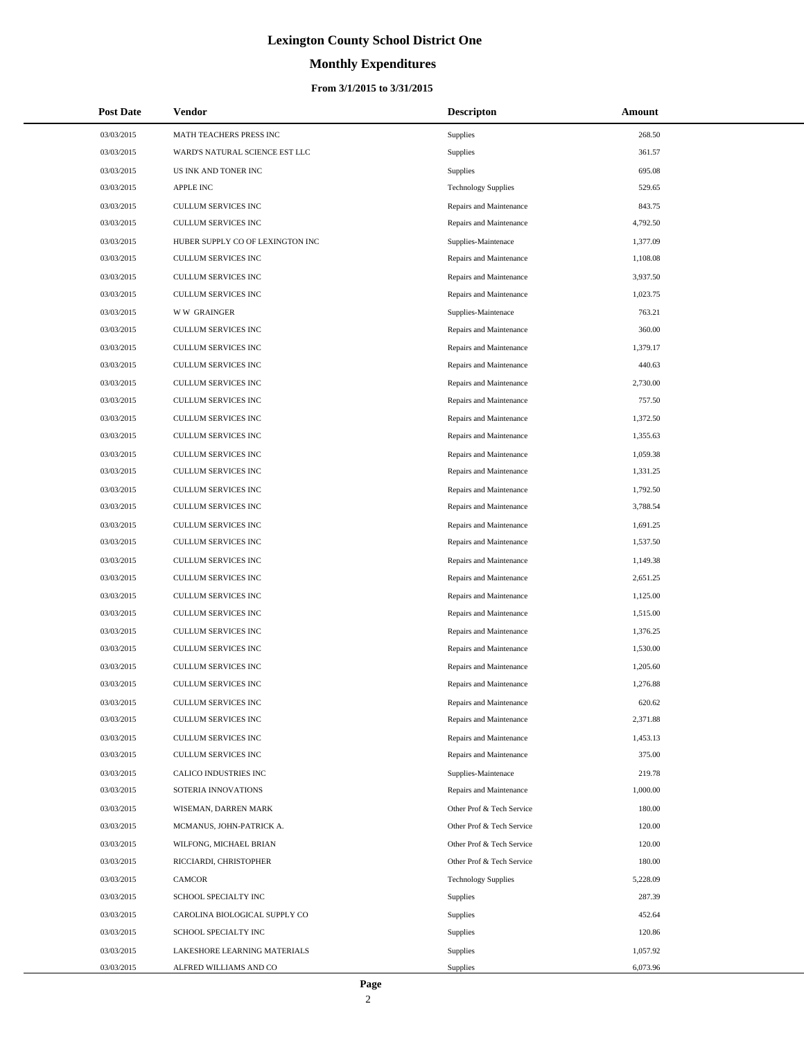# **Monthly Expenditures**

| <b>Post Date</b> | Vendor                           | <b>Descripton</b>          | Amount   |
|------------------|----------------------------------|----------------------------|----------|
| 03/03/2015       | MATH TEACHERS PRESS INC          | Supplies                   | 268.50   |
| 03/03/2015       | WARD'S NATURAL SCIENCE EST LLC   | Supplies                   | 361.57   |
| 03/03/2015       | US INK AND TONER INC             | Supplies                   | 695.08   |
| 03/03/2015       | <b>APPLE INC</b>                 | <b>Technology Supplies</b> | 529.65   |
| 03/03/2015       | CULLUM SERVICES INC              | Repairs and Maintenance    | 843.75   |
| 03/03/2015       | CULLUM SERVICES INC              | Repairs and Maintenance    | 4,792.50 |
| 03/03/2015       | HUBER SUPPLY CO OF LEXINGTON INC | Supplies-Maintenace        | 1,377.09 |
| 03/03/2015       | CULLUM SERVICES INC              | Repairs and Maintenance    | 1,108.08 |
| 03/03/2015       | CULLUM SERVICES INC              | Repairs and Maintenance    | 3,937.50 |
| 03/03/2015       | CULLUM SERVICES INC              | Repairs and Maintenance    | 1,023.75 |
| 03/03/2015       | <b>WW GRAINGER</b>               | Supplies-Maintenace        | 763.21   |
| 03/03/2015       | CULLUM SERVICES INC              | Repairs and Maintenance    | 360.00   |
| 03/03/2015       | CULLUM SERVICES INC              | Repairs and Maintenance    | 1,379.17 |
| 03/03/2015       | CULLUM SERVICES INC              | Repairs and Maintenance    | 440.63   |
| 03/03/2015       | CULLUM SERVICES INC              | Repairs and Maintenance    | 2,730.00 |
| 03/03/2015       | CULLUM SERVICES INC              | Repairs and Maintenance    | 757.50   |
| 03/03/2015       | CULLUM SERVICES INC              | Repairs and Maintenance    | 1,372.50 |
| 03/03/2015       | CULLUM SERVICES INC              | Repairs and Maintenance    | 1,355.63 |
| 03/03/2015       | CULLUM SERVICES INC              | Repairs and Maintenance    | 1,059.38 |
| 03/03/2015       | CULLUM SERVICES INC              | Repairs and Maintenance    | 1,331.25 |
| 03/03/2015       | CULLUM SERVICES INC              | Repairs and Maintenance    | 1,792.50 |
| 03/03/2015       | CULLUM SERVICES INC              | Repairs and Maintenance    | 3,788.54 |
| 03/03/2015       | CULLUM SERVICES INC              | Repairs and Maintenance    | 1,691.25 |
| 03/03/2015       | CULLUM SERVICES INC              | Repairs and Maintenance    | 1,537.50 |
| 03/03/2015       | CULLUM SERVICES INC              | Repairs and Maintenance    | 1,149.38 |
| 03/03/2015       | CULLUM SERVICES INC              | Repairs and Maintenance    | 2,651.25 |
| 03/03/2015       | CULLUM SERVICES INC              | Repairs and Maintenance    | 1,125.00 |
| 03/03/2015       | <b>CULLUM SERVICES INC</b>       | Repairs and Maintenance    | 1,515.00 |
| 03/03/2015       | CULLUM SERVICES INC              | Repairs and Maintenance    | 1,376.25 |
| 03/03/2015       | CULLUM SERVICES INC              | Repairs and Maintenance    | 1,530.00 |
| 03/03/2015       | CULLUM SERVICES INC              | Repairs and Maintenance    | 1,205.60 |
| 03/03/2015       | CULLUM SERVICES INC              | Repairs and Maintenance    | 1,276.88 |
| 03/03/2015       | CULLUM SERVICES INC              | Repairs and Maintenance    | 620.62   |
| 03/03/2015       | <b>CULLUM SERVICES INC</b>       | Repairs and Maintenance    | 2,371.88 |
| 03/03/2015       | <b>CULLUM SERVICES INC</b>       | Repairs and Maintenance    | 1,453.13 |
| 03/03/2015       | CULLUM SERVICES INC              | Repairs and Maintenance    | 375.00   |
| 03/03/2015       | CALICO INDUSTRIES INC            | Supplies-Maintenace        | 219.78   |
| 03/03/2015       | SOTERIA INNOVATIONS              | Repairs and Maintenance    | 1,000.00 |
| 03/03/2015       | WISEMAN, DARREN MARK             | Other Prof & Tech Service  | 180.00   |
| 03/03/2015       | MCMANUS, JOHN-PATRICK A.         | Other Prof & Tech Service  | 120.00   |
| 03/03/2015       | WILFONG, MICHAEL BRIAN           | Other Prof & Tech Service  | 120.00   |
| 03/03/2015       | RICCIARDI, CHRISTOPHER           | Other Prof & Tech Service  | 180.00   |
| 03/03/2015       | CAMCOR                           | <b>Technology Supplies</b> | 5,228.09 |
| 03/03/2015       | SCHOOL SPECIALTY INC             | Supplies                   | 287.39   |
| 03/03/2015       | CAROLINA BIOLOGICAL SUPPLY CO    | Supplies                   | 452.64   |
| 03/03/2015       | SCHOOL SPECIALTY INC             | Supplies                   | 120.86   |
| 03/03/2015       | LAKESHORE LEARNING MATERIALS     | Supplies                   | 1,057.92 |
| 03/03/2015       | ALFRED WILLIAMS AND CO           | Supplies                   | 6,073.96 |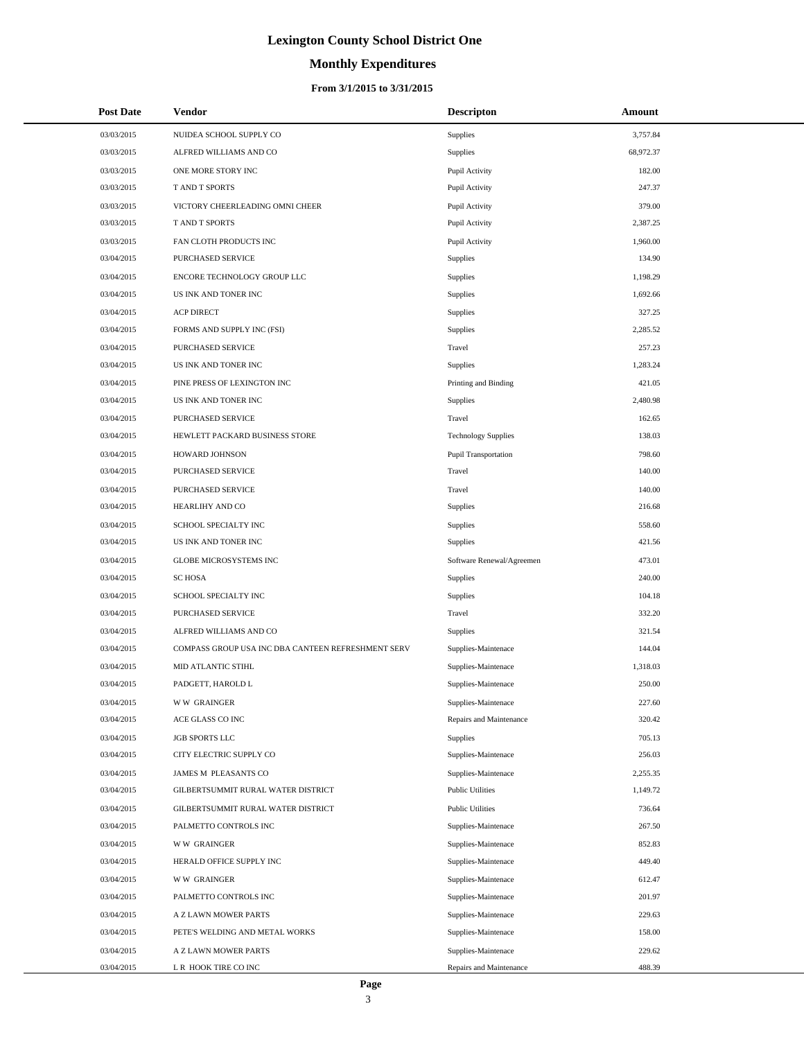# **Monthly Expenditures**

#### **From 3/1/2015 to 3/31/2015**

| <b>Post Date</b> | Vendor                                             | <b>Descripton</b>           | Amount    |
|------------------|----------------------------------------------------|-----------------------------|-----------|
| 03/03/2015       | NUIDEA SCHOOL SUPPLY CO                            | Supplies                    | 3,757.84  |
| 03/03/2015       | ALFRED WILLIAMS AND CO                             | Supplies                    | 68,972.37 |
| 03/03/2015       | ONE MORE STORY INC                                 | Pupil Activity              | 182.00    |
| 03/03/2015       | <b>TAND T SPORTS</b>                               | Pupil Activity              | 247.37    |
| 03/03/2015       | VICTORY CHEERLEADING OMNI CHEER                    | Pupil Activity              | 379.00    |
| 03/03/2015       | T AND T SPORTS                                     | Pupil Activity              | 2,387.25  |
| 03/03/2015       | FAN CLOTH PRODUCTS INC                             | Pupil Activity              | 1,960.00  |
| 03/04/2015       | PURCHASED SERVICE                                  | Supplies                    | 134.90    |
| 03/04/2015       | ENCORE TECHNOLOGY GROUP LLC                        | Supplies                    | 1,198.29  |
| 03/04/2015       | US INK AND TONER INC                               | Supplies                    | 1,692.66  |
| 03/04/2015       | <b>ACP DIRECT</b>                                  | Supplies                    | 327.25    |
| 03/04/2015       | FORMS AND SUPPLY INC (FSI)                         | Supplies                    | 2,285.52  |
| 03/04/2015       | PURCHASED SERVICE                                  | Travel                      | 257.23    |
| 03/04/2015       | US INK AND TONER INC                               | Supplies                    | 1,283.24  |
| 03/04/2015       | PINE PRESS OF LEXINGTON INC                        | Printing and Binding        | 421.05    |
| 03/04/2015       | US INK AND TONER INC                               | Supplies                    | 2,480.98  |
| 03/04/2015       | PURCHASED SERVICE                                  | Travel                      | 162.65    |
| 03/04/2015       | HEWLETT PACKARD BUSINESS STORE                     | <b>Technology Supplies</b>  | 138.03    |
| 03/04/2015       | HOWARD JOHNSON                                     | <b>Pupil Transportation</b> | 798.60    |
| 03/04/2015       | PURCHASED SERVICE                                  | Travel                      | 140.00    |
| 03/04/2015       | PURCHASED SERVICE                                  | Travel                      | 140.00    |
| 03/04/2015       | HEARLIHY AND CO                                    | Supplies                    | 216.68    |
| 03/04/2015       | SCHOOL SPECIALTY INC                               | Supplies                    | 558.60    |
| 03/04/2015       | US INK AND TONER INC                               | Supplies                    | 421.56    |
| 03/04/2015       | GLOBE MICROSYSTEMS INC                             | Software Renewal/Agreemen   | 473.01    |
| 03/04/2015       | <b>SC HOSA</b>                                     | Supplies                    | 240.00    |
| 03/04/2015       | SCHOOL SPECIALTY INC                               | Supplies                    | 104.18    |
| 03/04/2015       | <b>PURCHASED SERVICE</b>                           | Travel                      | 332.20    |
| 03/04/2015       | ALFRED WILLIAMS AND CO                             | Supplies                    | 321.54    |
| 03/04/2015       | COMPASS GROUP USA INC DBA CANTEEN REFRESHMENT SERV | Supplies-Maintenace         | 144.04    |
| 03/04/2015       | MID ATLANTIC STIHL                                 | Supplies-Maintenace         | 1,318.03  |
| 03/04/2015       | PADGETT, HAROLD L                                  | Supplies-Maintenace         | 250.00    |
| 03/04/2015       | <b>WW GRAINGER</b>                                 | Supplies-Maintenace         | 227.60    |
| 03/04/2015       | ACE GLASS CO INC                                   | Repairs and Maintenance     | 320.42    |
| 03/04/2015       | JGB SPORTS LLC                                     | Supplies                    | 705.13    |
| 03/04/2015       | CITY ELECTRIC SUPPLY CO                            | Supplies-Maintenace         | 256.03    |
| 03/04/2015       | JAMES M PLEASANTS CO                               | Supplies-Maintenace         | 2,255.35  |
| 03/04/2015       | GILBERTSUMMIT RURAL WATER DISTRICT                 | <b>Public Utilities</b>     | 1,149.72  |
| 03/04/2015       | GILBERTSUMMIT RURAL WATER DISTRICT                 | <b>Public Utilities</b>     | 736.64    |
| 03/04/2015       | PALMETTO CONTROLS INC                              | Supplies-Maintenace         | 267.50    |
| 03/04/2015       | <b>WW GRAINGER</b>                                 | Supplies-Maintenace         | 852.83    |
| 03/04/2015       | HERALD OFFICE SUPPLY INC                           | Supplies-Maintenace         | 449.40    |
| 03/04/2015       | <b>WW GRAINGER</b>                                 | Supplies-Maintenace         | 612.47    |
| 03/04/2015       | PALMETTO CONTROLS INC                              | Supplies-Maintenace         | 201.97    |
| 03/04/2015       | A Z LAWN MOWER PARTS                               | Supplies-Maintenace         | 229.63    |
| 03/04/2015       | PETE'S WELDING AND METAL WORKS                     | Supplies-Maintenace         | 158.00    |
| 03/04/2015       | A Z LAWN MOWER PARTS                               | Supplies-Maintenace         | 229.62    |
| 03/04/2015       | L R HOOK TIRE CO INC                               | Repairs and Maintenance     | 488.39    |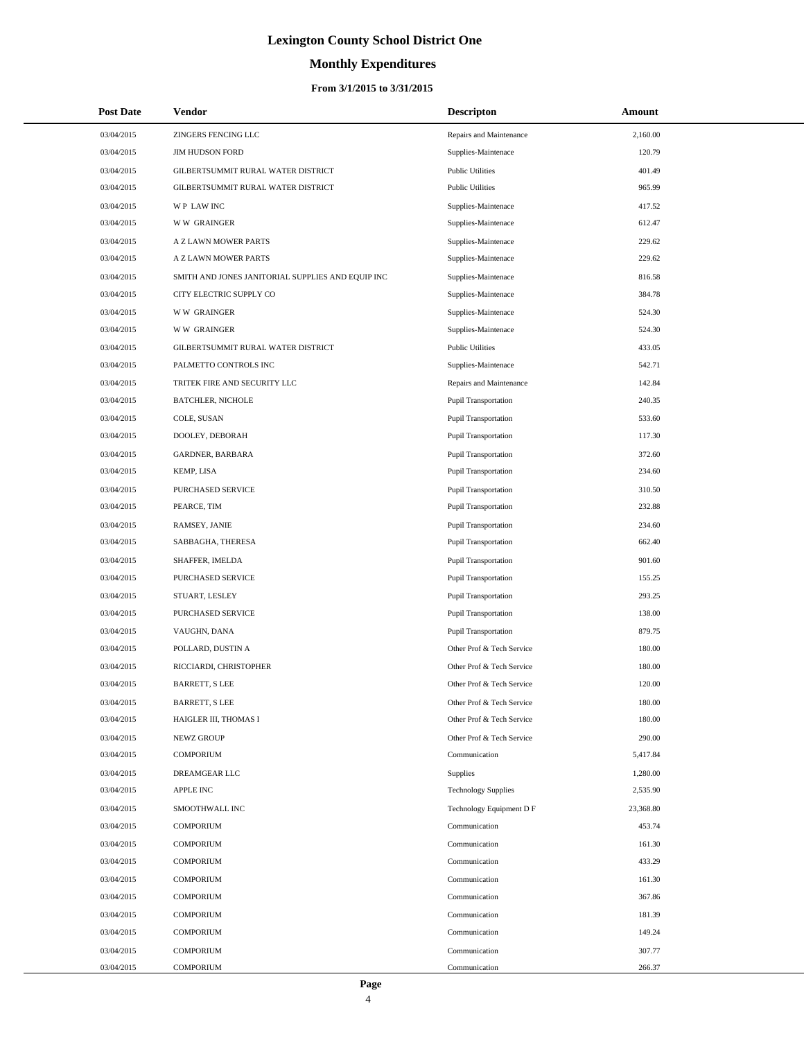# **Monthly Expenditures**

| <b>Post Date</b> | Vendor                                            | <b>Descripton</b>           | Amount    |
|------------------|---------------------------------------------------|-----------------------------|-----------|
| 03/04/2015       | ZINGERS FENCING LLC                               | Repairs and Maintenance     | 2,160.00  |
| 03/04/2015       | <b>JIM HUDSON FORD</b>                            | Supplies-Maintenace         | 120.79    |
| 03/04/2015       | GILBERTSUMMIT RURAL WATER DISTRICT                | <b>Public Utilities</b>     | 401.49    |
| 03/04/2015       | GILBERTSUMMIT RURAL WATER DISTRICT                | <b>Public Utilities</b>     | 965.99    |
| 03/04/2015       | WP LAW INC                                        | Supplies-Maintenace         | 417.52    |
| 03/04/2015       | <b>WW GRAINGER</b>                                | Supplies-Maintenace         | 612.47    |
| 03/04/2015       | A Z LAWN MOWER PARTS                              | Supplies-Maintenace         | 229.62    |
| 03/04/2015       | A Z LAWN MOWER PARTS                              | Supplies-Maintenace         | 229.62    |
| 03/04/2015       | SMITH AND JONES JANITORIAL SUPPLIES AND EQUIP INC | Supplies-Maintenace         | 816.58    |
| 03/04/2015       | CITY ELECTRIC SUPPLY CO                           | Supplies-Maintenace         | 384.78    |
| 03/04/2015       | <b>WW GRAINGER</b>                                | Supplies-Maintenace         | 524.30    |
| 03/04/2015       | <b>WW GRAINGER</b>                                | Supplies-Maintenace         | 524.30    |
| 03/04/2015       | GILBERTSUMMIT RURAL WATER DISTRICT                | <b>Public Utilities</b>     | 433.05    |
| 03/04/2015       | PALMETTO CONTROLS INC                             | Supplies-Maintenace         | 542.71    |
| 03/04/2015       | TRITEK FIRE AND SECURITY LLC                      | Repairs and Maintenance     | 142.84    |
| 03/04/2015       | <b>BATCHLER, NICHOLE</b>                          | Pupil Transportation        | 240.35    |
| 03/04/2015       | COLE, SUSAN                                       | <b>Pupil Transportation</b> | 533.60    |
| 03/04/2015       | DOOLEY, DEBORAH                                   | <b>Pupil Transportation</b> | 117.30    |
| 03/04/2015       | GARDNER, BARBARA                                  | <b>Pupil Transportation</b> | 372.60    |
| 03/04/2015       | KEMP, LISA                                        | <b>Pupil Transportation</b> | 234.60    |
| 03/04/2015       | PURCHASED SERVICE                                 | Pupil Transportation        | 310.50    |
| 03/04/2015       | PEARCE, TIM                                       | Pupil Transportation        | 232.88    |
| 03/04/2015       | RAMSEY, JANIE                                     | <b>Pupil Transportation</b> | 234.60    |
| 03/04/2015       | SABBAGHA, THERESA                                 | <b>Pupil Transportation</b> | 662.40    |
| 03/04/2015       | SHAFFER, IMELDA                                   | Pupil Transportation        | 901.60    |
| 03/04/2015       | PURCHASED SERVICE                                 | <b>Pupil Transportation</b> | 155.25    |
| 03/04/2015       | STUART, LESLEY                                    | <b>Pupil Transportation</b> | 293.25    |
| 03/04/2015       | PURCHASED SERVICE                                 | <b>Pupil Transportation</b> | 138.00    |
| 03/04/2015       | VAUGHN, DANA                                      | <b>Pupil Transportation</b> | 879.75    |
| 03/04/2015       | POLLARD, DUSTIN A                                 | Other Prof & Tech Service   | 180.00    |
| 03/04/2015       | RICCIARDI, CHRISTOPHER                            | Other Prof & Tech Service   | 180.00    |
| 03/04/2015       | <b>BARRETT, S LEE</b>                             | Other Prof & Tech Service   | 120.00    |
| 03/04/2015       | <b>BARRETT, S LEE</b>                             | Other Prof & Tech Service   | 180.00    |
| 03/04/2015       | HAIGLER III, THOMAS I                             | Other Prof & Tech Service   | 180.00    |
| 03/04/2015       | NEWZ GROUP                                        | Other Prof & Tech Service   | 290.00    |
| 03/04/2015       | <b>COMPORIUM</b>                                  | Communication               | 5,417.84  |
| 03/04/2015       | <b>DREAMGEAR LLC</b>                              | Supplies                    | 1,280.00  |
| 03/04/2015       | <b>APPLE INC</b>                                  | <b>Technology Supplies</b>  | 2,535.90  |
| 03/04/2015       | SMOOTHWALL INC                                    | Technology Equipment D F    | 23,368.80 |
| 03/04/2015       | <b>COMPORIUM</b>                                  | Communication               | 453.74    |
| 03/04/2015       | <b>COMPORIUM</b>                                  | Communication               | 161.30    |
| 03/04/2015       | <b>COMPORIUM</b>                                  | Communication               | 433.29    |
| 03/04/2015       | <b>COMPORIUM</b>                                  | Communication               | 161.30    |
| 03/04/2015       | <b>COMPORIUM</b>                                  | Communication               | 367.86    |
| 03/04/2015       | <b>COMPORIUM</b>                                  | Communication               | 181.39    |
| 03/04/2015       | <b>COMPORIUM</b>                                  | Communication               | 149.24    |
| 03/04/2015       | <b>COMPORIUM</b>                                  | Communication               | 307.77    |
| 03/04/2015       | <b>COMPORIUM</b>                                  | Communication               | 266.37    |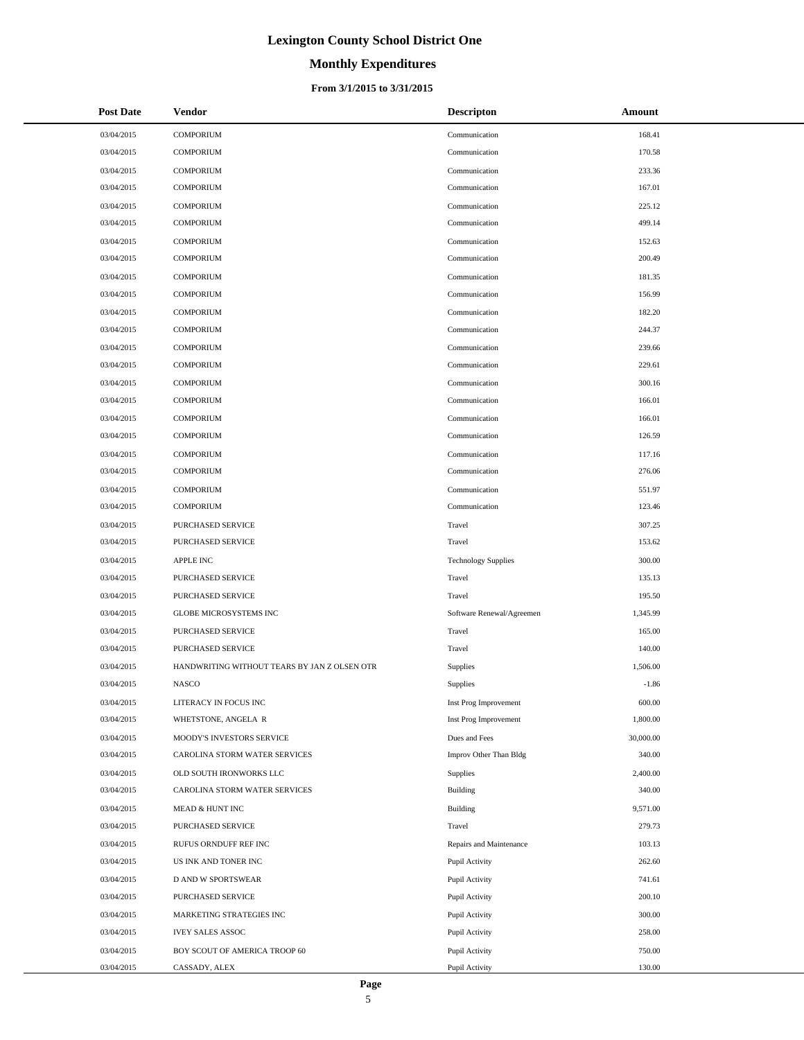# **Monthly Expenditures**

#### **From 3/1/2015 to 3/31/2015**

| <b>Post Date</b> | <b>Vendor</b>                                | <b>Descripton</b>          | Amount    |
|------------------|----------------------------------------------|----------------------------|-----------|
| 03/04/2015       | <b>COMPORIUM</b>                             | Communication              | 168.41    |
| 03/04/2015       | <b>COMPORIUM</b>                             | Communication              | 170.58    |
| 03/04/2015       | <b>COMPORIUM</b>                             | Communication              | 233.36    |
| 03/04/2015       | <b>COMPORIUM</b>                             | Communication              | 167.01    |
| 03/04/2015       | <b>COMPORIUM</b>                             | Communication              | 225.12    |
| 03/04/2015       | <b>COMPORIUM</b>                             | Communication              | 499.14    |
| 03/04/2015       | <b>COMPORIUM</b>                             | Communication              | 152.63    |
| 03/04/2015       | <b>COMPORIUM</b>                             | Communication              | 200.49    |
| 03/04/2015       | <b>COMPORIUM</b>                             | Communication              | 181.35    |
| 03/04/2015       | <b>COMPORIUM</b>                             | Communication              | 156.99    |
| 03/04/2015       | <b>COMPORIUM</b>                             | Communication              | 182.20    |
| 03/04/2015       | <b>COMPORIUM</b>                             | Communication              | 244.37    |
| 03/04/2015       | <b>COMPORIUM</b>                             | Communication              | 239.66    |
| 03/04/2015       | <b>COMPORIUM</b>                             | Communication              | 229.61    |
| 03/04/2015       | <b>COMPORIUM</b>                             | Communication              | 300.16    |
| 03/04/2015       | <b>COMPORIUM</b>                             | Communication              | 166.01    |
| 03/04/2015       | <b>COMPORIUM</b>                             | Communication              | 166.01    |
| 03/04/2015       | <b>COMPORIUM</b>                             | Communication              | 126.59    |
| 03/04/2015       | <b>COMPORIUM</b>                             | Communication              | 117.16    |
| 03/04/2015       | <b>COMPORIUM</b>                             | Communication              | 276.06    |
| 03/04/2015       | <b>COMPORIUM</b>                             | Communication              | 551.97    |
| 03/04/2015       | <b>COMPORIUM</b>                             | Communication              | 123.46    |
| 03/04/2015       | PURCHASED SERVICE                            | Travel                     | 307.25    |
| 03/04/2015       | PURCHASED SERVICE                            | Travel                     | 153.62    |
| 03/04/2015       | <b>APPLE INC</b>                             | <b>Technology Supplies</b> | 300.00    |
| 03/04/2015       | PURCHASED SERVICE                            | Travel                     | 135.13    |
| 03/04/2015       | PURCHASED SERVICE                            | Travel                     | 195.50    |
| 03/04/2015       | <b>GLOBE MICROSYSTEMS INC</b>                | Software Renewal/Agreemen  | 1,345.99  |
| 03/04/2015       | PURCHASED SERVICE                            | Travel                     | 165.00    |
| 03/04/2015       | PURCHASED SERVICE                            | Travel                     | 140.00    |
| 03/04/2015       | HANDWRITING WITHOUT TEARS BY JAN Z OLSEN OTR | Supplies                   | 1,506.00  |
| 03/04/2015       | <b>NASCO</b>                                 | Supplies                   | $-1.86$   |
| 03/04/2015       | LITERACY IN FOCUS INC                        | Inst Prog Improvement      | 600.00    |
| 03/04/2015       | WHETSTONE, ANGELA R                          | Inst Prog Improvement      | 1,800.00  |
| 03/04/2015       | MOODY'S INVESTORS SERVICE                    | Dues and Fees              | 30,000.00 |
| 03/04/2015       | CAROLINA STORM WATER SERVICES                | Improv Other Than Bldg     | 340.00    |
| 03/04/2015       | OLD SOUTH IRONWORKS LLC                      | Supplies                   | 2,400.00  |
| 03/04/2015       | CAROLINA STORM WATER SERVICES                | Building                   | 340.00    |
| 03/04/2015       | MEAD & HUNT INC                              | Building                   | 9,571.00  |
| 03/04/2015       | PURCHASED SERVICE                            | Travel                     | 279.73    |
| 03/04/2015       | RUFUS ORNDUFF REF INC                        | Repairs and Maintenance    | 103.13    |
| 03/04/2015       | US INK AND TONER INC                         | Pupil Activity             | 262.60    |
| 03/04/2015       | D AND W SPORTSWEAR                           | Pupil Activity             | 741.61    |
| 03/04/2015       | PURCHASED SERVICE                            | Pupil Activity             | 200.10    |
| 03/04/2015       | MARKETING STRATEGIES INC                     | Pupil Activity             | 300.00    |
| 03/04/2015       | <b>IVEY SALES ASSOC</b>                      | Pupil Activity             | 258.00    |
| 03/04/2015       | BOY SCOUT OF AMERICA TROOP 60                | Pupil Activity             | 750.00    |
| 03/04/2015       | CASSADY, ALEX                                | Pupil Activity             | 130.00    |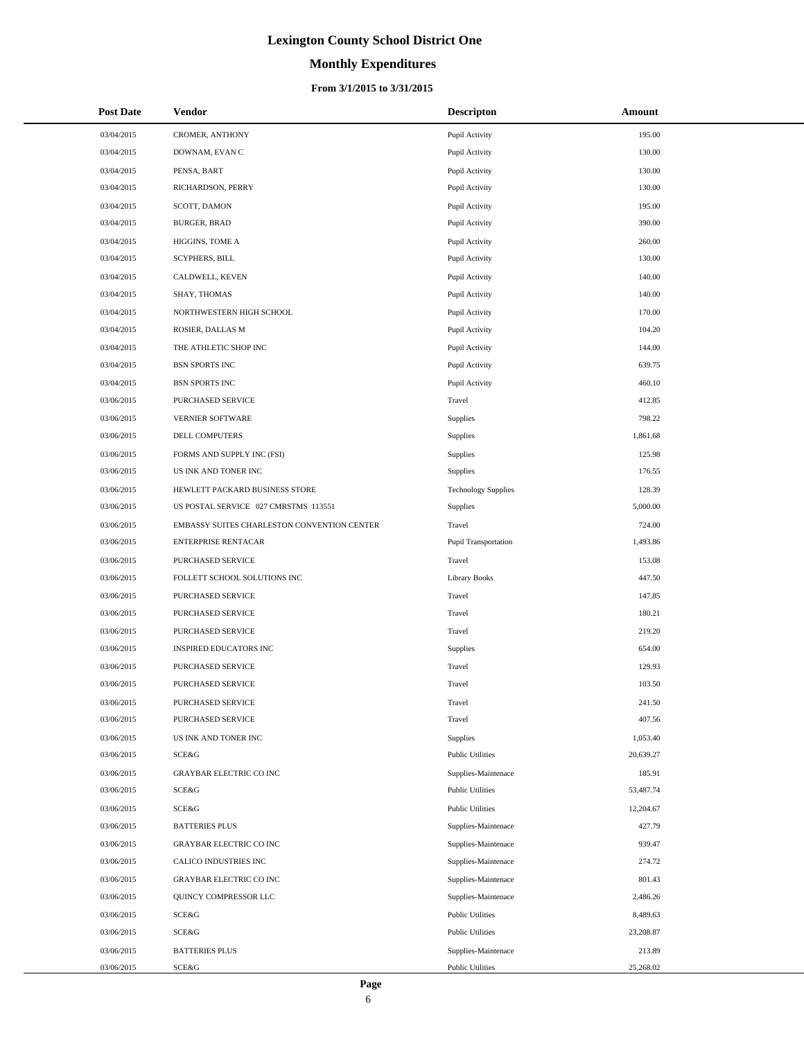# **Monthly Expenditures**

### **From 3/1/2015 to 3/31/2015**

| <b>Post Date</b> | Vendor                                      | <b>Descripton</b>          | Amount    |
|------------------|---------------------------------------------|----------------------------|-----------|
| 03/04/2015       | CROMER, ANTHONY                             | Pupil Activity             | 195.00    |
| 03/04/2015       | DOWNAM, EVAN C                              | Pupil Activity             | 130.00    |
| 03/04/2015       | PENSA, BART                                 | Pupil Activity             | 130.00    |
| 03/04/2015       | RICHARDSON, PERRY                           | Pupil Activity             | 130.00    |
| 03/04/2015       | SCOTT, DAMON                                | Pupil Activity             | 195.00    |
| 03/04/2015       | <b>BURGER, BRAD</b>                         | Pupil Activity             | 390.00    |
| 03/04/2015       | HIGGINS, TOME A                             | Pupil Activity             | 260.00    |
| 03/04/2015       | <b>SCYPHERS, BILL</b>                       | Pupil Activity             | 130.00    |
| 03/04/2015       | CALDWELL, KEVEN                             | Pupil Activity             | 140.00    |
| 03/04/2015       | SHAY, THOMAS                                | Pupil Activity             | 140.00    |
| 03/04/2015       | NORTHWESTERN HIGH SCHOOL                    | Pupil Activity             | 170.00    |
| 03/04/2015       | ROSIER, DALLAS M                            | Pupil Activity             | 104.20    |
| 03/04/2015       | THE ATHLETIC SHOP INC                       | Pupil Activity             | 144.00    |
| 03/04/2015       | <b>BSN SPORTS INC</b>                       | Pupil Activity             | 639.75    |
| 03/04/2015       | <b>BSN SPORTS INC</b>                       | Pupil Activity             | 460.10    |
| 03/06/2015       | PURCHASED SERVICE                           | Travel                     | 412.85    |
| 03/06/2015       | VERNIER SOFTWARE                            | Supplies                   | 798.22    |
| 03/06/2015       | DELL COMPUTERS                              | Supplies                   | 1,861.68  |
| 03/06/2015       | FORMS AND SUPPLY INC (FSI)                  | Supplies                   | 125.98    |
| 03/06/2015       | US INK AND TONER INC                        | Supplies                   | 176.55    |
| 03/06/2015       | HEWLETT PACKARD BUSINESS STORE              | <b>Technology Supplies</b> | 128.39    |
| 03/06/2015       | US POSTAL SERVICE 027 CMRSTMS 113551        | Supplies                   | 5,000.00  |
| 03/06/2015       | EMBASSY SUITES CHARLESTON CONVENTION CENTER | Travel                     | 724.00    |
| 03/06/2015       | <b>ENTERPRISE RENTACAR</b>                  | Pupil Transportation       | 1,493.86  |
| 03/06/2015       | PURCHASED SERVICE                           | Travel                     | 153.08    |
| 03/06/2015       | FOLLETT SCHOOL SOLUTIONS INC                | <b>Library Books</b>       | 447.50    |
| 03/06/2015       | PURCHASED SERVICE                           | Travel                     | 147.85    |
| 03/06/2015       | PURCHASED SERVICE                           | Travel                     | 180.21    |
| 03/06/2015       | PURCHASED SERVICE                           | Travel                     | 219.20    |
| 03/06/2015       | <b>INSPIRED EDUCATORS INC</b>               | Supplies                   | 654.00    |
| 03/06/2015       | PURCHASED SERVICE                           | Travel                     | 129.93    |
| 03/06/2015       | PURCHASED SERVICE                           | Travel                     | 103.50    |
| 03/06/2015       | PURCHASED SERVICE                           | Travel                     | 241.50    |
| 03/06/2015       | PURCHASED SERVICE                           | Travel                     | 407.56    |
| 03/06/2015       | US INK AND TONER INC                        | Supplies                   | 1,053.40  |
| 03/06/2015       | <b>SCE&amp;G</b>                            | <b>Public Utilities</b>    | 20,639.27 |
| 03/06/2015       | GRAYBAR ELECTRIC CO INC                     | Supplies-Maintenace        | 185.91    |
| 03/06/2015       | SCE&G                                       | <b>Public Utilities</b>    | 53,487.74 |
| 03/06/2015       | <b>SCE&amp;G</b>                            | <b>Public Utilities</b>    | 12,204.67 |
| 03/06/2015       | <b>BATTERIES PLUS</b>                       | Supplies-Maintenace        | 427.79    |
| 03/06/2015       | GRAYBAR ELECTRIC CO INC                     | Supplies-Maintenace        | 939.47    |
| 03/06/2015       | CALICO INDUSTRIES INC                       | Supplies-Maintenace        | 274.72    |
| 03/06/2015       | GRAYBAR ELECTRIC CO INC                     | Supplies-Maintenace        | 801.43    |
| 03/06/2015       | QUINCY COMPRESSOR LLC                       | Supplies-Maintenace        | 2,486.26  |
| 03/06/2015       | <b>SCE&amp;G</b>                            | <b>Public Utilities</b>    | 8,489.63  |
| 03/06/2015       | <b>SCE&amp;G</b>                            | <b>Public Utilities</b>    | 23,208.87 |
| 03/06/2015       | <b>BATTERIES PLUS</b>                       | Supplies-Maintenace        | 213.89    |
| 03/06/2015       | SCE&G                                       | <b>Public Utilities</b>    | 25,268.02 |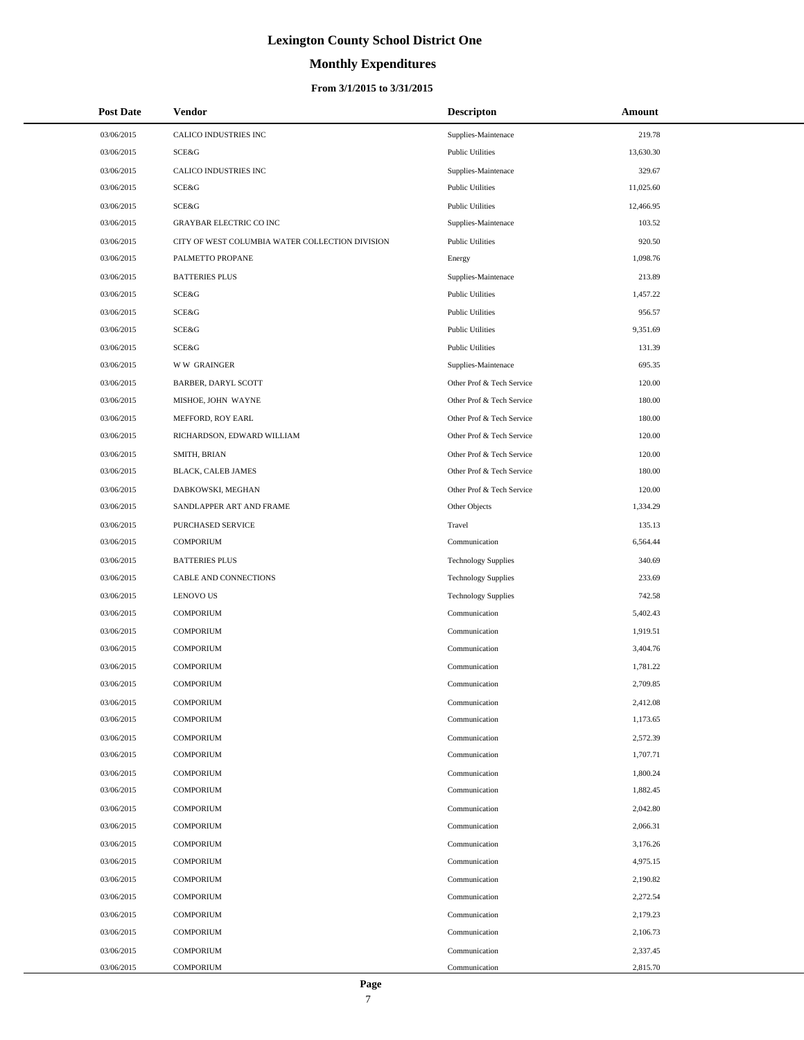# **Monthly Expenditures**

| <b>Post Date</b> | Vendor                                          | <b>Descripton</b>          | Amount    |
|------------------|-------------------------------------------------|----------------------------|-----------|
| 03/06/2015       | CALICO INDUSTRIES INC                           | Supplies-Maintenace        | 219.78    |
| 03/06/2015       | SCE&G                                           | <b>Public Utilities</b>    | 13,630.30 |
| 03/06/2015       | CALICO INDUSTRIES INC                           | Supplies-Maintenace        | 329.67    |
| 03/06/2015       | SCE&G                                           | <b>Public Utilities</b>    | 11,025.60 |
| 03/06/2015       | SCE&G                                           | <b>Public Utilities</b>    | 12,466.95 |
| 03/06/2015       | <b>GRAYBAR ELECTRIC CO INC</b>                  | Supplies-Maintenace        | 103.52    |
| 03/06/2015       | CITY OF WEST COLUMBIA WATER COLLECTION DIVISION | <b>Public Utilities</b>    | 920.50    |
| 03/06/2015       | PALMETTO PROPANE                                | Energy                     | 1,098.76  |
| 03/06/2015       | <b>BATTERIES PLUS</b>                           | Supplies-Maintenace        | 213.89    |
| 03/06/2015       | SCE&G                                           | <b>Public Utilities</b>    | 1,457.22  |
| 03/06/2015       | SCE&G                                           | <b>Public Utilities</b>    | 956.57    |
| 03/06/2015       | SCE&G                                           | <b>Public Utilities</b>    | 9,351.69  |
| 03/06/2015       | SCE&G                                           | <b>Public Utilities</b>    | 131.39    |
| 03/06/2015       | <b>WW GRAINGER</b>                              | Supplies-Maintenace        | 695.35    |
| 03/06/2015       | BARBER, DARYL SCOTT                             | Other Prof & Tech Service  | 120.00    |
| 03/06/2015       | MISHOE, JOHN WAYNE                              | Other Prof & Tech Service  | 180.00    |
| 03/06/2015       | MEFFORD, ROY EARL                               | Other Prof & Tech Service  | 180.00    |
| 03/06/2015       | RICHARDSON, EDWARD WILLIAM                      | Other Prof & Tech Service  | 120.00    |
| 03/06/2015       | SMITH, BRIAN                                    | Other Prof & Tech Service  | 120.00    |
| 03/06/2015       | <b>BLACK, CALEB JAMES</b>                       | Other Prof & Tech Service  | 180.00    |
| 03/06/2015       | DABKOWSKI, MEGHAN                               | Other Prof & Tech Service  | 120.00    |
| 03/06/2015       | SANDLAPPER ART AND FRAME                        | Other Objects              | 1,334.29  |
| 03/06/2015       | PURCHASED SERVICE                               | Travel                     | 135.13    |
| 03/06/2015       | <b>COMPORIUM</b>                                | Communication              | 6,564.44  |
| 03/06/2015       | <b>BATTERIES PLUS</b>                           | <b>Technology Supplies</b> | 340.69    |
| 03/06/2015       | CABLE AND CONNECTIONS                           | <b>Technology Supplies</b> | 233.69    |
| 03/06/2015       | <b>LENOVO US</b>                                | <b>Technology Supplies</b> | 742.58    |
| 03/06/2015       | <b>COMPORIUM</b>                                | Communication              | 5,402.43  |
| 03/06/2015       | <b>COMPORIUM</b>                                | Communication              | 1,919.51  |
| 03/06/2015       | <b>COMPORIUM</b>                                | Communication              | 3,404.76  |
| 03/06/2015       | <b>COMPORIUM</b>                                | Communication              | 1,781.22  |
| 03/06/2015       | <b>COMPORIUM</b>                                | Communication              | 2,709.85  |
| 03/06/2015       | <b>COMPORIUM</b>                                | Communication              | 2,412.08  |
| 03/06/2015       | <b>COMPORIUM</b>                                | Communication              | 1,173.65  |
| 03/06/2015       | <b>COMPORIUM</b>                                | Communication              | 2,572.39  |
| 03/06/2015       | <b>COMPORIUM</b>                                | Communication              | 1,707.71  |
| 03/06/2015       | <b>COMPORIUM</b>                                | Communication              | 1,800.24  |
| 03/06/2015       | <b>COMPORIUM</b>                                | Communication              | 1,882.45  |
| 03/06/2015       | <b>COMPORIUM</b>                                | Communication              | 2,042.80  |
| 03/06/2015       | <b>COMPORIUM</b>                                | Communication              | 2,066.31  |
| 03/06/2015       | <b>COMPORIUM</b>                                | Communication              | 3,176.26  |
| 03/06/2015       | <b>COMPORIUM</b>                                | Communication              | 4,975.15  |
| 03/06/2015       | <b>COMPORIUM</b>                                | Communication              | 2,190.82  |
| 03/06/2015       | <b>COMPORIUM</b>                                | Communication              | 2,272.54  |
| 03/06/2015       | <b>COMPORIUM</b>                                | Communication              | 2,179.23  |
| 03/06/2015       | <b>COMPORIUM</b>                                | Communication              | 2,106.73  |
| 03/06/2015       | <b>COMPORIUM</b>                                | Communication              | 2,337.45  |
| 03/06/2015       | <b>COMPORIUM</b>                                | Communication              | 2,815.70  |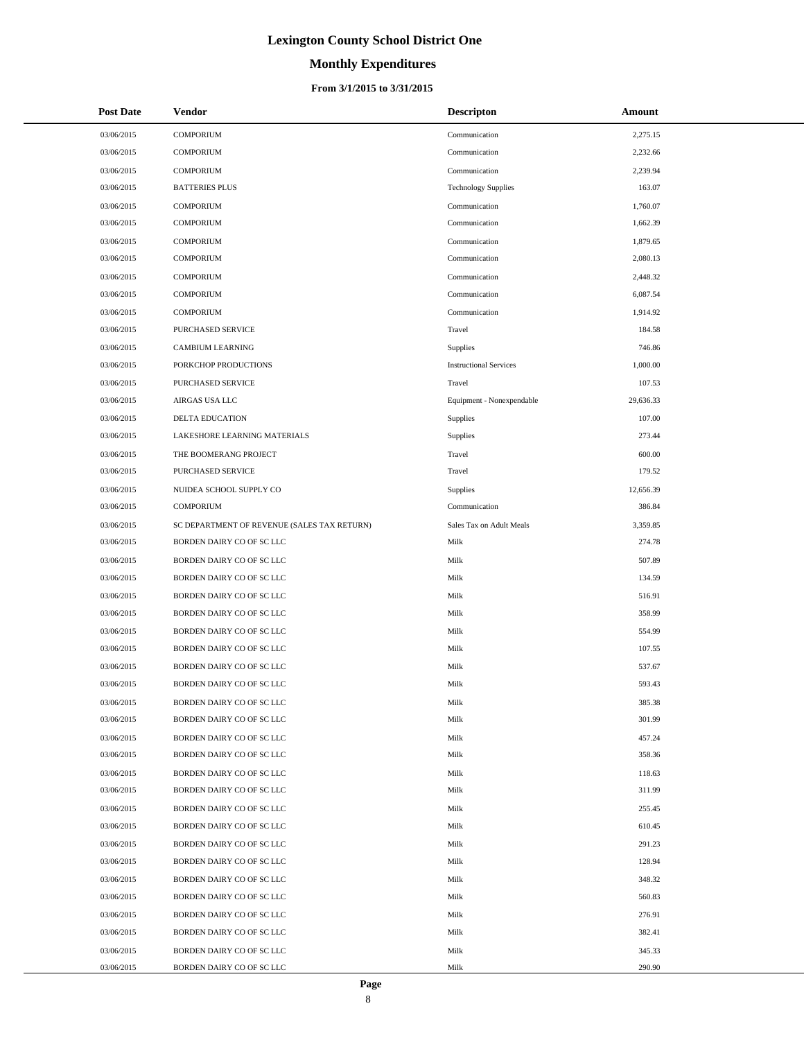# **Monthly Expenditures**

#### **From 3/1/2015 to 3/31/2015**

| <b>Post Date</b> | <b>Vendor</b>                               | <b>Descripton</b>             | Amount    |
|------------------|---------------------------------------------|-------------------------------|-----------|
| 03/06/2015       | <b>COMPORIUM</b>                            | Communication                 | 2,275.15  |
| 03/06/2015       | <b>COMPORIUM</b>                            | Communication                 | 2,232.66  |
| 03/06/2015       | <b>COMPORIUM</b>                            | Communication                 | 2,239.94  |
| 03/06/2015       | <b>BATTERIES PLUS</b>                       | <b>Technology Supplies</b>    | 163.07    |
| 03/06/2015       | <b>COMPORIUM</b>                            | Communication                 | 1,760.07  |
| 03/06/2015       | <b>COMPORIUM</b>                            | Communication                 | 1,662.39  |
| 03/06/2015       | <b>COMPORIUM</b>                            | Communication                 | 1,879.65  |
| 03/06/2015       | <b>COMPORIUM</b>                            | Communication                 | 2,080.13  |
| 03/06/2015       | <b>COMPORIUM</b>                            | Communication                 | 2,448.32  |
| 03/06/2015       | <b>COMPORIUM</b>                            | Communication                 | 6,087.54  |
| 03/06/2015       | <b>COMPORIUM</b>                            | Communication                 | 1,914.92  |
| 03/06/2015       | PURCHASED SERVICE                           | Travel                        | 184.58    |
| 03/06/2015       | <b>CAMBIUM LEARNING</b>                     | Supplies                      | 746.86    |
| 03/06/2015       | PORKCHOP PRODUCTIONS                        | <b>Instructional Services</b> | 1,000.00  |
| 03/06/2015       | PURCHASED SERVICE                           | Travel                        | 107.53    |
| 03/06/2015       | AIRGAS USA LLC                              | Equipment - Nonexpendable     | 29,636.33 |
| 03/06/2015       | <b>DELTA EDUCATION</b>                      | Supplies                      | 107.00    |
| 03/06/2015       | LAKESHORE LEARNING MATERIALS                | Supplies                      | 273.44    |
| 03/06/2015       | THE BOOMERANG PROJECT                       | Travel                        | 600.00    |
| 03/06/2015       | PURCHASED SERVICE                           | Travel                        | 179.52    |
| 03/06/2015       | NUIDEA SCHOOL SUPPLY CO                     | Supplies                      | 12,656.39 |
| 03/06/2015       | <b>COMPORIUM</b>                            | Communication                 | 386.84    |
| 03/06/2015       | SC DEPARTMENT OF REVENUE (SALES TAX RETURN) | Sales Tax on Adult Meals      | 3,359.85  |
| 03/06/2015       | BORDEN DAIRY CO OF SC LLC                   | Milk                          | 274.78    |
| 03/06/2015       | BORDEN DAIRY CO OF SC LLC                   | Milk                          | 507.89    |
| 03/06/2015       | BORDEN DAIRY CO OF SC LLC                   | Milk                          | 134.59    |
| 03/06/2015       | BORDEN DAIRY CO OF SC LLC                   | Milk                          | 516.91    |
| 03/06/2015       | BORDEN DAIRY CO OF SC LLC                   | Milk                          | 358.99    |
| 03/06/2015       | BORDEN DAIRY CO OF SC LLC                   | Milk                          | 554.99    |
| 03/06/2015       | BORDEN DAIRY CO OF SC LLC                   | Milk                          | 107.55    |
| 03/06/2015       | BORDEN DAIRY CO OF SC LLC                   | Milk                          | 537.67    |
| 03/06/2015       | BORDEN DAIRY CO OF SC LLC                   | Milk                          | 593.43    |
| 03/06/2015       | BORDEN DAIRY CO OF SC LLC                   | Milk                          | 385.38    |
| 03/06/2015       | BORDEN DAIRY CO OF SC LLC                   | Milk                          | 301.99    |
| 03/06/2015       | BORDEN DAIRY CO OF SC LLC                   | Milk                          | 457.24    |
| 03/06/2015       | BORDEN DAIRY CO OF SC LLC                   | Milk                          | 358.36    |
| 03/06/2015       | BORDEN DAIRY CO OF SC LLC                   | Milk                          | 118.63    |
| 03/06/2015       | BORDEN DAIRY CO OF SC LLC                   | Milk                          | 311.99    |
| 03/06/2015       | BORDEN DAIRY CO OF SC LLC                   | Milk                          | 255.45    |
| 03/06/2015       | BORDEN DAIRY CO OF SC LLC                   | Milk                          | 610.45    |
| 03/06/2015       | BORDEN DAIRY CO OF SC LLC                   | Milk                          | 291.23    |
| 03/06/2015       | BORDEN DAIRY CO OF SC LLC                   | Milk                          | 128.94    |
| 03/06/2015       | BORDEN DAIRY CO OF SC LLC                   | Milk                          | 348.32    |
| 03/06/2015       | BORDEN DAIRY CO OF SC LLC                   | Milk                          | 560.83    |
| 03/06/2015       | BORDEN DAIRY CO OF SC LLC                   | Milk                          | 276.91    |
| 03/06/2015       | BORDEN DAIRY CO OF SC LLC                   | Milk                          | 382.41    |
| 03/06/2015       | BORDEN DAIRY CO OF SC LLC                   | Milk                          | 345.33    |
| 03/06/2015       | BORDEN DAIRY CO OF SC LLC                   | Milk                          | 290.90    |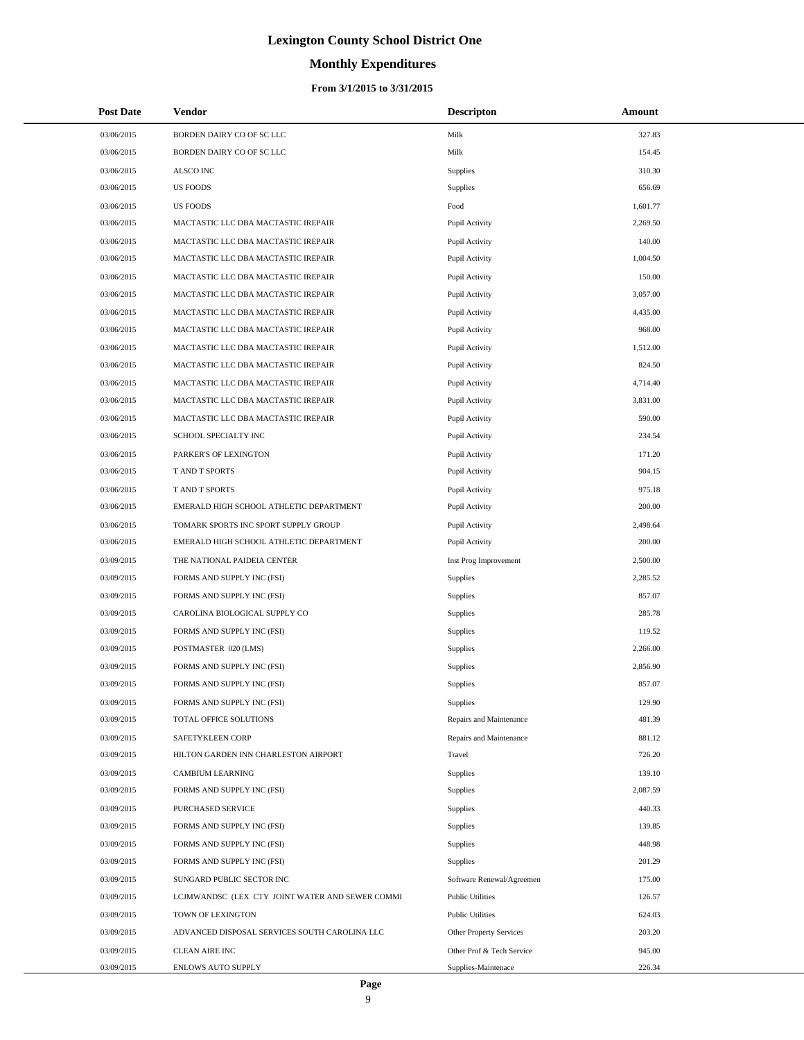### **Monthly Expenditures**

#### **From 3/1/2015 to 3/31/2015**

| <b>Post Date</b> | <b>Vendor</b>                                   | <b>Descripton</b>         | Amount   |
|------------------|-------------------------------------------------|---------------------------|----------|
| 03/06/2015       | BORDEN DAIRY CO OF SC LLC                       | Milk                      | 327.83   |
| 03/06/2015       | BORDEN DAIRY CO OF SC LLC                       | Milk                      | 154.45   |
| 03/06/2015       | ALSCO INC                                       | Supplies                  | 310.30   |
| 03/06/2015       | US FOODS                                        | <b>Supplies</b>           | 656.69   |
| 03/06/2015       | <b>US FOODS</b>                                 | Food                      | 1,601.77 |
| 03/06/2015       | MACTASTIC LLC DBA MACTASTIC IREPAIR             | Pupil Activity            | 2,269.50 |
| 03/06/2015       | MACTASTIC LLC DBA MACTASTIC IREPAIR             | Pupil Activity            | 140.00   |
| 03/06/2015       | MACTASTIC LLC DBA MACTASTIC IREPAIR             | Pupil Activity            | 1,004.50 |
| 03/06/2015       | MACTASTIC LLC DBA MACTASTIC IREPAIR             | Pupil Activity            | 150.00   |
| 03/06/2015       | MACTASTIC LLC DBA MACTASTIC IREPAIR             | Pupil Activity            | 3,057.00 |
| 03/06/2015       | MACTASTIC LLC DBA MACTASTIC IREPAIR             | Pupil Activity            | 4,435.00 |
| 03/06/2015       | MACTASTIC LLC DBA MACTASTIC IREPAIR             | Pupil Activity            | 968.00   |
| 03/06/2015       | MACTASTIC LLC DBA MACTASTIC IREPAIR             | Pupil Activity            | 1,512.00 |
| 03/06/2015       | MACTASTIC LLC DBA MACTASTIC IREPAIR             | Pupil Activity            | 824.50   |
| 03/06/2015       | MACTASTIC LLC DBA MACTASTIC IREPAIR             | Pupil Activity            | 4,714.40 |
| 03/06/2015       | MACTASTIC LLC DBA MACTASTIC IREPAIR             | Pupil Activity            | 3,831.00 |
| 03/06/2015       | MACTASTIC LLC DBA MACTASTIC IREPAIR             | Pupil Activity            | 590.00   |
| 03/06/2015       | SCHOOL SPECIALTY INC                            | Pupil Activity            | 234.54   |
| 03/06/2015       | PARKER'S OF LEXINGTON                           | Pupil Activity            | 171.20   |
| 03/06/2015       | T AND T SPORTS                                  | Pupil Activity            | 904.15   |
| 03/06/2015       | <b>TAND T SPORTS</b>                            | Pupil Activity            | 975.18   |
| 03/06/2015       | EMERALD HIGH SCHOOL ATHLETIC DEPARTMENT         | Pupil Activity            | 200.00   |
| 03/06/2015       | TOMARK SPORTS INC SPORT SUPPLY GROUP            | Pupil Activity            | 2,498.64 |
| 03/06/2015       | EMERALD HIGH SCHOOL ATHLETIC DEPARTMENT         | Pupil Activity            | 200.00   |
| 03/09/2015       | THE NATIONAL PAIDEIA CENTER                     | Inst Prog Improvement     | 2,500.00 |
| 03/09/2015       | FORMS AND SUPPLY INC (FSI)                      | Supplies                  | 2,285.52 |
| 03/09/2015       | FORMS AND SUPPLY INC (FSI)                      | Supplies                  | 857.07   |
| 03/09/2015       | CAROLINA BIOLOGICAL SUPPLY CO                   | <b>Supplies</b>           | 285.78   |
| 03/09/2015       | FORMS AND SUPPLY INC (FSI)                      | <b>Supplies</b>           | 119.52   |
| 03/09/2015       | POSTMASTER 020 (LMS)                            | Supplies                  | 2,266.00 |
| 03/09/2015       | FORMS AND SUPPLY INC (FSI)                      | Supplies                  | 2,856.90 |
| 03/09/2015       | FORMS AND SUPPLY INC (FSI)                      | Supplies                  | 857.07   |
| 03/09/2015       | FORMS AND SUPPLY INC (FSI)                      | Supplies                  | 129.90   |
| 03/09/2015       | TOTAL OFFICE SOLUTIONS                          | Repairs and Maintenance   | 481.39   |
| 03/09/2015       | SAFETYKLEEN CORP                                | Repairs and Maintenance   | 881.12   |
| 03/09/2015       | HILTON GARDEN INN CHARLESTON AIRPORT            | Travel                    | 726.20   |
| 03/09/2015       | <b>CAMBIUM LEARNING</b>                         | <b>Supplies</b>           | 139.10   |
| 03/09/2015       | FORMS AND SUPPLY INC (FSI)                      | Supplies                  | 2,087.59 |
| 03/09/2015       | PURCHASED SERVICE                               | Supplies                  | 440.33   |
| 03/09/2015       | FORMS AND SUPPLY INC (FSI)                      | Supplies                  | 139.85   |
| 03/09/2015       | FORMS AND SUPPLY INC (FSI)                      | Supplies                  | 448.98   |
| 03/09/2015       | FORMS AND SUPPLY INC (FSI)                      | <b>Supplies</b>           | 201.29   |
| 03/09/2015       | SUNGARD PUBLIC SECTOR INC                       | Software Renewal/Agreemen | 175.00   |
| 03/09/2015       | LCJMWANDSC (LEX CTY JOINT WATER AND SEWER COMMI | <b>Public Utilities</b>   | 126.57   |
| 03/09/2015       | TOWN OF LEXINGTON                               | <b>Public Utilities</b>   | 624.03   |
| 03/09/2015       | ADVANCED DISPOSAL SERVICES SOUTH CAROLINA LLC   | Other Property Services   | 203.20   |
| 03/09/2015       | <b>CLEAN AIRE INC</b>                           | Other Prof & Tech Service | 945.00   |
| 03/09/2015       | ENLOWS AUTO SUPPLY                              | Supplies-Maintenace       | 226.34   |

÷.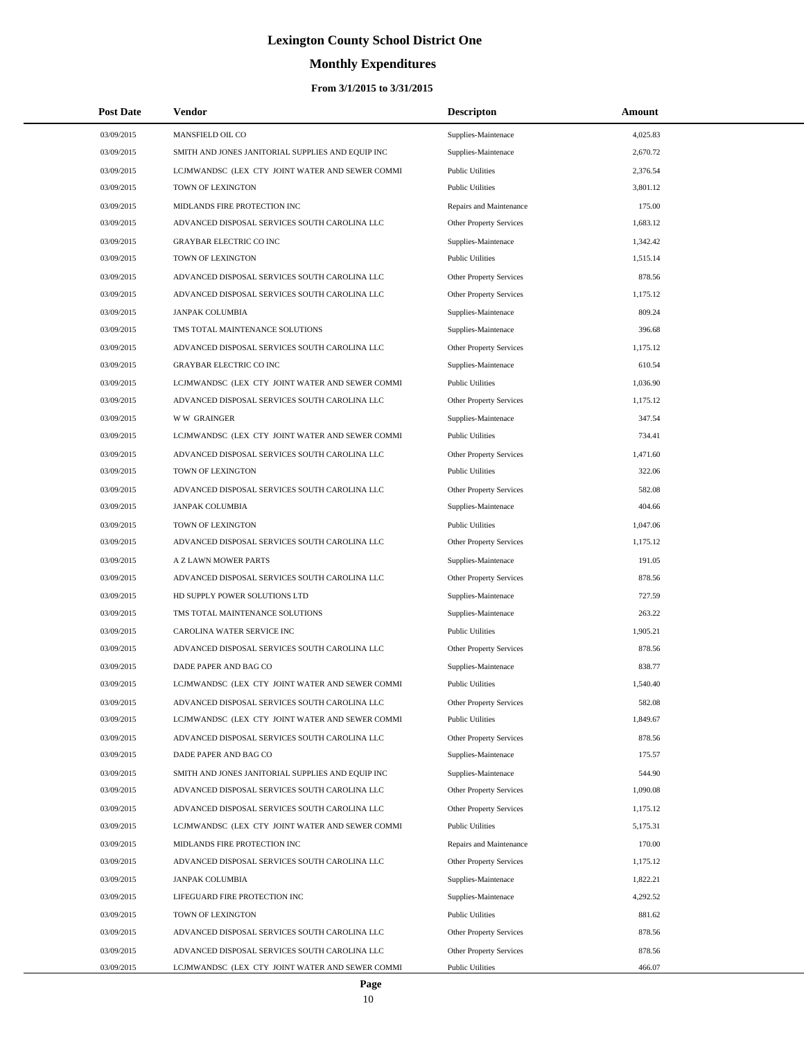# **Monthly Expenditures**

| <b>Post Date</b> | Vendor                                            | <b>Descripton</b>              | Amount   |
|------------------|---------------------------------------------------|--------------------------------|----------|
| 03/09/2015       | MANSFIELD OIL CO                                  | Supplies-Maintenace            | 4,025.83 |
| 03/09/2015       | SMITH AND JONES JANITORIAL SUPPLIES AND EQUIP INC | Supplies-Maintenace            | 2,670.72 |
| 03/09/2015       | LCJMWANDSC (LEX CTY JOINT WATER AND SEWER COMMI   | <b>Public Utilities</b>        | 2,376.54 |
| 03/09/2015       | TOWN OF LEXINGTON                                 | <b>Public Utilities</b>        | 3,801.12 |
| 03/09/2015       | MIDLANDS FIRE PROTECTION INC                      | Repairs and Maintenance        | 175.00   |
| 03/09/2015       | ADVANCED DISPOSAL SERVICES SOUTH CAROLINA LLC     | Other Property Services        | 1,683.12 |
| 03/09/2015       | <b>GRAYBAR ELECTRIC CO INC</b>                    | Supplies-Maintenace            | 1,342.42 |
| 03/09/2015       | TOWN OF LEXINGTON                                 | <b>Public Utilities</b>        | 1,515.14 |
| 03/09/2015       | ADVANCED DISPOSAL SERVICES SOUTH CAROLINA LLC     | <b>Other Property Services</b> | 878.56   |
| 03/09/2015       | ADVANCED DISPOSAL SERVICES SOUTH CAROLINA LLC     | <b>Other Property Services</b> | 1,175.12 |
| 03/09/2015       | <b>JANPAK COLUMBIA</b>                            | Supplies-Maintenace            | 809.24   |
| 03/09/2015       | TMS TOTAL MAINTENANCE SOLUTIONS                   | Supplies-Maintenace            | 396.68   |
| 03/09/2015       | ADVANCED DISPOSAL SERVICES SOUTH CAROLINA LLC     | Other Property Services        | 1,175.12 |
| 03/09/2015       | <b>GRAYBAR ELECTRIC CO INC</b>                    | Supplies-Maintenace            | 610.54   |
| 03/09/2015       | LCJMWANDSC (LEX CTY JOINT WATER AND SEWER COMMI   | <b>Public Utilities</b>        | 1,036.90 |
| 03/09/2015       | ADVANCED DISPOSAL SERVICES SOUTH CAROLINA LLC     | Other Property Services        | 1,175.12 |
| 03/09/2015       | <b>WW GRAINGER</b>                                | Supplies-Maintenace            | 347.54   |
| 03/09/2015       | LCJMWANDSC (LEX CTY JOINT WATER AND SEWER COMMI   | <b>Public Utilities</b>        | 734.41   |
| 03/09/2015       | ADVANCED DISPOSAL SERVICES SOUTH CAROLINA LLC     | Other Property Services        | 1,471.60 |
| 03/09/2015       | TOWN OF LEXINGTON                                 | <b>Public Utilities</b>        | 322.06   |
| 03/09/2015       | ADVANCED DISPOSAL SERVICES SOUTH CAROLINA LLC     | Other Property Services        | 582.08   |
| 03/09/2015       | <b>JANPAK COLUMBIA</b>                            | Supplies-Maintenace            | 404.66   |
| 03/09/2015       | TOWN OF LEXINGTON                                 | <b>Public Utilities</b>        | 1,047.06 |
| 03/09/2015       | ADVANCED DISPOSAL SERVICES SOUTH CAROLINA LLC     | Other Property Services        | 1,175.12 |
| 03/09/2015       | A Z LAWN MOWER PARTS                              | Supplies-Maintenace            | 191.05   |
| 03/09/2015       | ADVANCED DISPOSAL SERVICES SOUTH CAROLINA LLC     | Other Property Services        | 878.56   |
| 03/09/2015       | HD SUPPLY POWER SOLUTIONS LTD                     | Supplies-Maintenace            | 727.59   |
| 03/09/2015       | TMS TOTAL MAINTENANCE SOLUTIONS                   | Supplies-Maintenace            | 263.22   |
| 03/09/2015       | CAROLINA WATER SERVICE INC                        | <b>Public Utilities</b>        | 1,905.21 |
| 03/09/2015       | ADVANCED DISPOSAL SERVICES SOUTH CAROLINA LLC     | Other Property Services        | 878.56   |
| 03/09/2015       | DADE PAPER AND BAG CO                             | Supplies-Maintenace            | 838.77   |
| 03/09/2015       | LCJMWANDSC (LEX CTY JOINT WATER AND SEWER COMMI   | <b>Public Utilities</b>        | 1,540.40 |
| 03/09/2015       | ADVANCED DISPOSAL SERVICES SOUTH CAROLINA LLC     | <b>Other Property Services</b> | 582.08   |
| 03/09/2015       | LCJMWANDSC (LEX CTY JOINT WATER AND SEWER COMMI   | <b>Public Utilities</b>        | 1,849.67 |
| 03/09/2015       | ADVANCED DISPOSAL SERVICES SOUTH CAROLINA LLC     | Other Property Services        | 878.56   |
| 03/09/2015       | DADE PAPER AND BAG CO                             | Supplies-Maintenace            | 175.57   |
| 03/09/2015       | SMITH AND JONES JANITORIAL SUPPLIES AND EQUIP INC | Supplies-Maintenace            | 544.90   |
| 03/09/2015       | ADVANCED DISPOSAL SERVICES SOUTH CAROLINA LLC     | Other Property Services        | 1,090.08 |
| 03/09/2015       | ADVANCED DISPOSAL SERVICES SOUTH CAROLINA LLC     | Other Property Services        | 1,175.12 |
| 03/09/2015       | LCJMWANDSC (LEX CTY JOINT WATER AND SEWER COMMI   | <b>Public Utilities</b>        | 5,175.31 |
| 03/09/2015       | MIDLANDS FIRE PROTECTION INC                      | Repairs and Maintenance        | 170.00   |
| 03/09/2015       | ADVANCED DISPOSAL SERVICES SOUTH CAROLINA LLC     | Other Property Services        | 1,175.12 |
| 03/09/2015       | <b>JANPAK COLUMBIA</b>                            | Supplies-Maintenace            | 1,822.21 |
| 03/09/2015       | LIFEGUARD FIRE PROTECTION INC                     | Supplies-Maintenace            | 4,292.52 |
| 03/09/2015       | TOWN OF LEXINGTON                                 | <b>Public Utilities</b>        | 881.62   |
| 03/09/2015       | ADVANCED DISPOSAL SERVICES SOUTH CAROLINA LLC     | Other Property Services        | 878.56   |
| 03/09/2015       | ADVANCED DISPOSAL SERVICES SOUTH CAROLINA LLC     | Other Property Services        | 878.56   |
| 03/09/2015       | LCJMWANDSC (LEX CTY JOINT WATER AND SEWER COMMI   | <b>Public Utilities</b>        | 466.07   |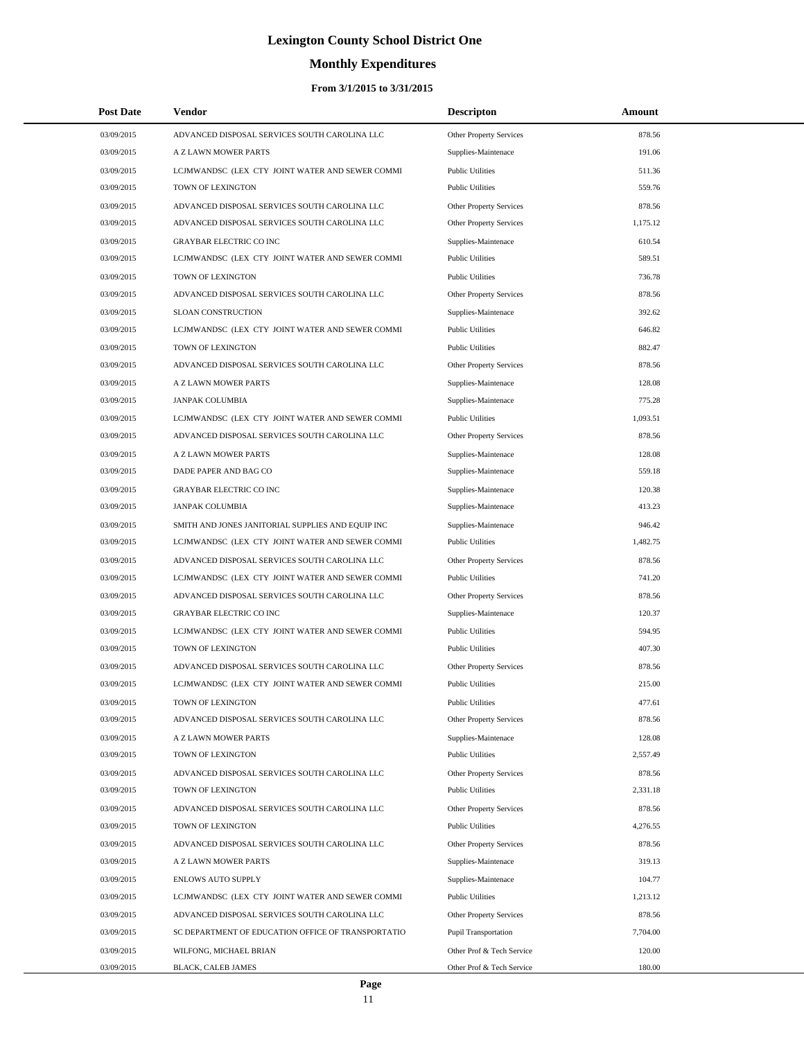# **Monthly Expenditures**

| <b>Post Date</b> | Vendor                                             | <b>Descripton</b>              | Amount   |
|------------------|----------------------------------------------------|--------------------------------|----------|
| 03/09/2015       | ADVANCED DISPOSAL SERVICES SOUTH CAROLINA LLC      | Other Property Services        | 878.56   |
| 03/09/2015       | A Z LAWN MOWER PARTS                               | Supplies-Maintenace            | 191.06   |
| 03/09/2015       | LCJMWANDSC (LEX CTY JOINT WATER AND SEWER COMMI    | <b>Public Utilities</b>        | 511.36   |
| 03/09/2015       | TOWN OF LEXINGTON                                  | <b>Public Utilities</b>        | 559.76   |
| 03/09/2015       | ADVANCED DISPOSAL SERVICES SOUTH CAROLINA LLC      | Other Property Services        | 878.56   |
| 03/09/2015       | ADVANCED DISPOSAL SERVICES SOUTH CAROLINA LLC      | Other Property Services        | 1,175.12 |
| 03/09/2015       | <b>GRAYBAR ELECTRIC CO INC</b>                     | Supplies-Maintenace            | 610.54   |
| 03/09/2015       | LCJMWANDSC (LEX CTY JOINT WATER AND SEWER COMMI    | <b>Public Utilities</b>        | 589.51   |
| 03/09/2015       | TOWN OF LEXINGTON                                  | <b>Public Utilities</b>        | 736.78   |
| 03/09/2015       | ADVANCED DISPOSAL SERVICES SOUTH CAROLINA LLC      | Other Property Services        | 878.56   |
| 03/09/2015       | <b>SLOAN CONSTRUCTION</b>                          | Supplies-Maintenace            | 392.62   |
| 03/09/2015       | LCJMWANDSC (LEX CTY JOINT WATER AND SEWER COMMI    | <b>Public Utilities</b>        | 646.82   |
| 03/09/2015       | TOWN OF LEXINGTON                                  | <b>Public Utilities</b>        | 882.47   |
| 03/09/2015       | ADVANCED DISPOSAL SERVICES SOUTH CAROLINA LLC      | Other Property Services        | 878.56   |
| 03/09/2015       | A Z LAWN MOWER PARTS                               | Supplies-Maintenace            | 128.08   |
| 03/09/2015       | <b>JANPAK COLUMBIA</b>                             | Supplies-Maintenace            | 775.28   |
| 03/09/2015       | LCJMWANDSC (LEX CTY JOINT WATER AND SEWER COMMI    | <b>Public Utilities</b>        | 1,093.51 |
| 03/09/2015       | ADVANCED DISPOSAL SERVICES SOUTH CAROLINA LLC      | Other Property Services        | 878.56   |
| 03/09/2015       | A Z LAWN MOWER PARTS                               | Supplies-Maintenace            | 128.08   |
| 03/09/2015       | DADE PAPER AND BAG CO                              | Supplies-Maintenace            | 559.18   |
| 03/09/2015       | <b>GRAYBAR ELECTRIC CO INC</b>                     | Supplies-Maintenace            | 120.38   |
| 03/09/2015       | <b>JANPAK COLUMBIA</b>                             | Supplies-Maintenace            | 413.23   |
| 03/09/2015       | SMITH AND JONES JANITORIAL SUPPLIES AND EQUIP INC  | Supplies-Maintenace            | 946.42   |
| 03/09/2015       | LCJMWANDSC (LEX CTY JOINT WATER AND SEWER COMMI    | <b>Public Utilities</b>        | 1,482.75 |
| 03/09/2015       | ADVANCED DISPOSAL SERVICES SOUTH CAROLINA LLC      | Other Property Services        | 878.56   |
| 03/09/2015       | LCJMWANDSC (LEX CTY JOINT WATER AND SEWER COMMI    | <b>Public Utilities</b>        | 741.20   |
| 03/09/2015       | ADVANCED DISPOSAL SERVICES SOUTH CAROLINA LLC      | Other Property Services        | 878.56   |
| 03/09/2015       | <b>GRAYBAR ELECTRIC CO INC</b>                     | Supplies-Maintenace            | 120.37   |
| 03/09/2015       | LCJMWANDSC (LEX CTY JOINT WATER AND SEWER COMMI    | <b>Public Utilities</b>        | 594.95   |
| 03/09/2015       | TOWN OF LEXINGTON                                  | <b>Public Utilities</b>        | 407.30   |
| 03/09/2015       | ADVANCED DISPOSAL SERVICES SOUTH CAROLINA LLC      | Other Property Services        | 878.56   |
| 03/09/2015       | LCJMWANDSC (LEX CTY JOINT WATER AND SEWER COMMI    | <b>Public Utilities</b>        | 215.00   |
| 03/09/2015       | TOWN OF LEXINGTON                                  | <b>Public Utilities</b>        | 477.61   |
| 03/09/2015       | ADVANCED DISPOSAL SERVICES SOUTH CAROLINA LLC      | Other Property Services        | 878.56   |
| 03/09/2015       | A Z LAWN MOWER PARTS                               | Supplies-Maintenace            | 128.08   |
| 03/09/2015       | TOWN OF LEXINGTON                                  | <b>Public Utilities</b>        | 2,557.49 |
| 03/09/2015       | ADVANCED DISPOSAL SERVICES SOUTH CAROLINA LLC      | Other Property Services        | 878.56   |
| 03/09/2015       | TOWN OF LEXINGTON                                  | <b>Public Utilities</b>        | 2,331.18 |
| 03/09/2015       | ADVANCED DISPOSAL SERVICES SOUTH CAROLINA LLC      | Other Property Services        | 878.56   |
| 03/09/2015       | TOWN OF LEXINGTON                                  | <b>Public Utilities</b>        | 4,276.55 |
| 03/09/2015       | ADVANCED DISPOSAL SERVICES SOUTH CAROLINA LLC      | Other Property Services        | 878.56   |
| 03/09/2015       | A Z LAWN MOWER PARTS                               | Supplies-Maintenace            | 319.13   |
| 03/09/2015       | <b>ENLOWS AUTO SUPPLY</b>                          | Supplies-Maintenace            | 104.77   |
| 03/09/2015       | LCJMWANDSC (LEX CTY JOINT WATER AND SEWER COMMI    | <b>Public Utilities</b>        | 1,213.12 |
| 03/09/2015       | ADVANCED DISPOSAL SERVICES SOUTH CAROLINA LLC      | <b>Other Property Services</b> | 878.56   |
| 03/09/2015       | SC DEPARTMENT OF EDUCATION OFFICE OF TRANSPORTATIO | Pupil Transportation           | 7,704.00 |
| 03/09/2015       | WILFONG, MICHAEL BRIAN                             | Other Prof & Tech Service      | 120.00   |
| 03/09/2015       | BLACK, CALEB JAMES                                 | Other Prof & Tech Service      | 180.00   |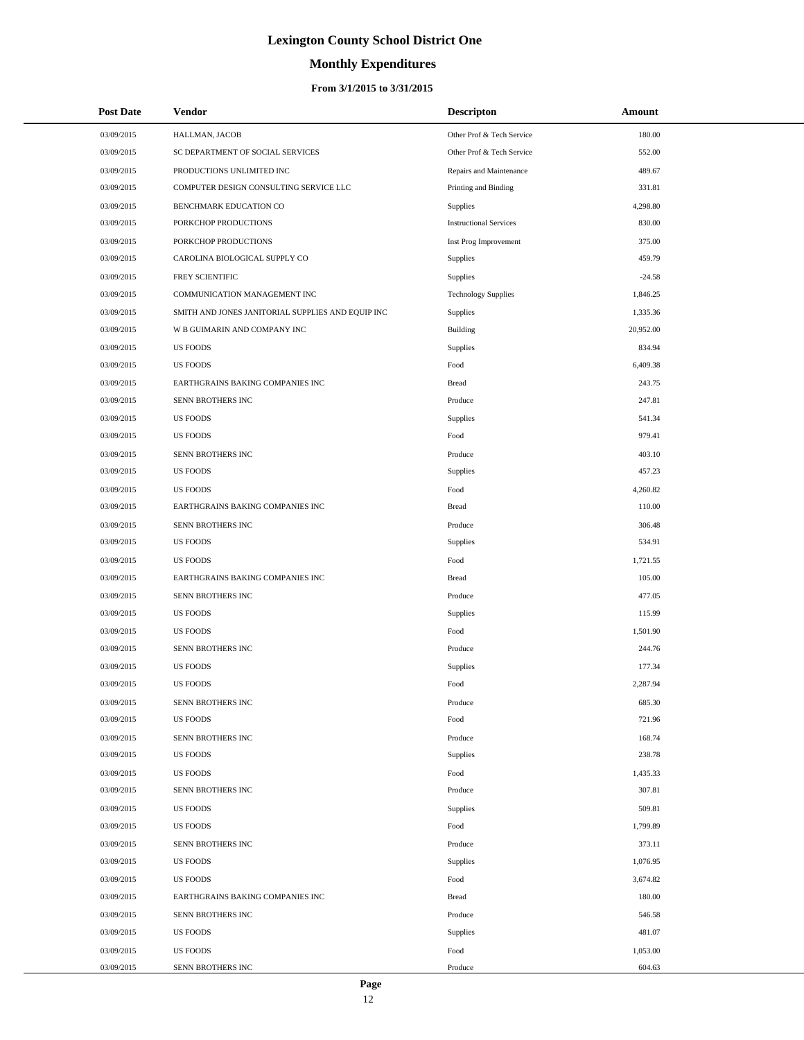# **Monthly Expenditures**

| <b>Post Date</b> | Vendor                                            | <b>Descripton</b>             | Amount    |
|------------------|---------------------------------------------------|-------------------------------|-----------|
| 03/09/2015       | HALLMAN, JACOB                                    | Other Prof & Tech Service     | 180.00    |
| 03/09/2015       | SC DEPARTMENT OF SOCIAL SERVICES                  | Other Prof & Tech Service     | 552.00    |
| 03/09/2015       | PRODUCTIONS UNLIMITED INC                         | Repairs and Maintenance       | 489.67    |
| 03/09/2015       | COMPUTER DESIGN CONSULTING SERVICE LLC            | Printing and Binding          | 331.81    |
| 03/09/2015       | BENCHMARK EDUCATION CO                            | Supplies                      | 4,298.80  |
| 03/09/2015       | PORKCHOP PRODUCTIONS                              | <b>Instructional Services</b> | 830.00    |
| 03/09/2015       | PORKCHOP PRODUCTIONS                              | Inst Prog Improvement         | 375.00    |
| 03/09/2015       | CAROLINA BIOLOGICAL SUPPLY CO                     | Supplies                      | 459.79    |
| 03/09/2015       | FREY SCIENTIFIC                                   | Supplies                      | $-24.58$  |
| 03/09/2015       | COMMUNICATION MANAGEMENT INC                      | <b>Technology Supplies</b>    | 1,846.25  |
| 03/09/2015       | SMITH AND JONES JANITORIAL SUPPLIES AND EQUIP INC | Supplies                      | 1,335.36  |
| 03/09/2015       | W B GUIMARIN AND COMPANY INC                      | <b>Building</b>               | 20,952.00 |
| 03/09/2015       | <b>US FOODS</b>                                   | Supplies                      | 834.94    |
| 03/09/2015       | <b>US FOODS</b>                                   | Food                          | 6,409.38  |
| 03/09/2015       | EARTHGRAINS BAKING COMPANIES INC                  | <b>Bread</b>                  | 243.75    |
| 03/09/2015       | SENN BROTHERS INC                                 | Produce                       | 247.81    |
| 03/09/2015       | <b>US FOODS</b>                                   | Supplies                      | 541.34    |
| 03/09/2015       | <b>US FOODS</b>                                   | Food                          | 979.41    |
| 03/09/2015       | SENN BROTHERS INC                                 | Produce                       | 403.10    |
| 03/09/2015       | <b>US FOODS</b>                                   | Supplies                      | 457.23    |
| 03/09/2015       | <b>US FOODS</b>                                   | Food                          | 4,260.82  |
| 03/09/2015       | EARTHGRAINS BAKING COMPANIES INC                  | <b>Bread</b>                  | 110.00    |
| 03/09/2015       | SENN BROTHERS INC                                 | Produce                       | 306.48    |
| 03/09/2015       | <b>US FOODS</b>                                   | Supplies                      | 534.91    |
| 03/09/2015       | <b>US FOODS</b>                                   | Food                          | 1,721.55  |
| 03/09/2015       | EARTHGRAINS BAKING COMPANIES INC                  | <b>Bread</b>                  | 105.00    |
| 03/09/2015       | SENN BROTHERS INC                                 | Produce                       | 477.05    |
| 03/09/2015       | <b>US FOODS</b>                                   | Supplies                      | 115.99    |
| 03/09/2015       | <b>US FOODS</b>                                   | Food                          | 1,501.90  |
| 03/09/2015       | SENN BROTHERS INC                                 | Produce                       | 244.76    |
| 03/09/2015       | <b>US FOODS</b>                                   | Supplies                      | 177.34    |
| 03/09/2015       | <b>US FOODS</b>                                   | Food                          | 2,287.94  |
| 03/09/2015       | SENN BROTHERS INC                                 | Produce                       | 685.30    |
| 03/09/2015       | <b>US FOODS</b>                                   | Food                          | 721.96    |
| 03/09/2015       | SENN BROTHERS INC                                 | Produce                       | 168.74    |
| 03/09/2015       | <b>US FOODS</b>                                   | Supplies                      | 238.78    |
| 03/09/2015       | <b>US FOODS</b>                                   | Food                          | 1,435.33  |
| 03/09/2015       | SENN BROTHERS INC                                 | Produce                       | 307.81    |
| 03/09/2015       | <b>US FOODS</b>                                   | Supplies                      | 509.81    |
| 03/09/2015       | <b>US FOODS</b>                                   | Food                          | 1,799.89  |
| 03/09/2015       | SENN BROTHERS INC                                 | Produce                       | 373.11    |
| 03/09/2015       | <b>US FOODS</b>                                   | Supplies                      | 1,076.95  |
| 03/09/2015       | <b>US FOODS</b>                                   | Food                          | 3,674.82  |
| 03/09/2015       | EARTHGRAINS BAKING COMPANIES INC                  | <b>Bread</b>                  | 180.00    |
| 03/09/2015       | SENN BROTHERS INC                                 | Produce                       | 546.58    |
| 03/09/2015       | <b>US FOODS</b>                                   | Supplies                      | 481.07    |
| 03/09/2015       | <b>US FOODS</b>                                   | Food                          | 1,053.00  |
| 03/09/2015       | SENN BROTHERS INC                                 | Produce                       | 604.63    |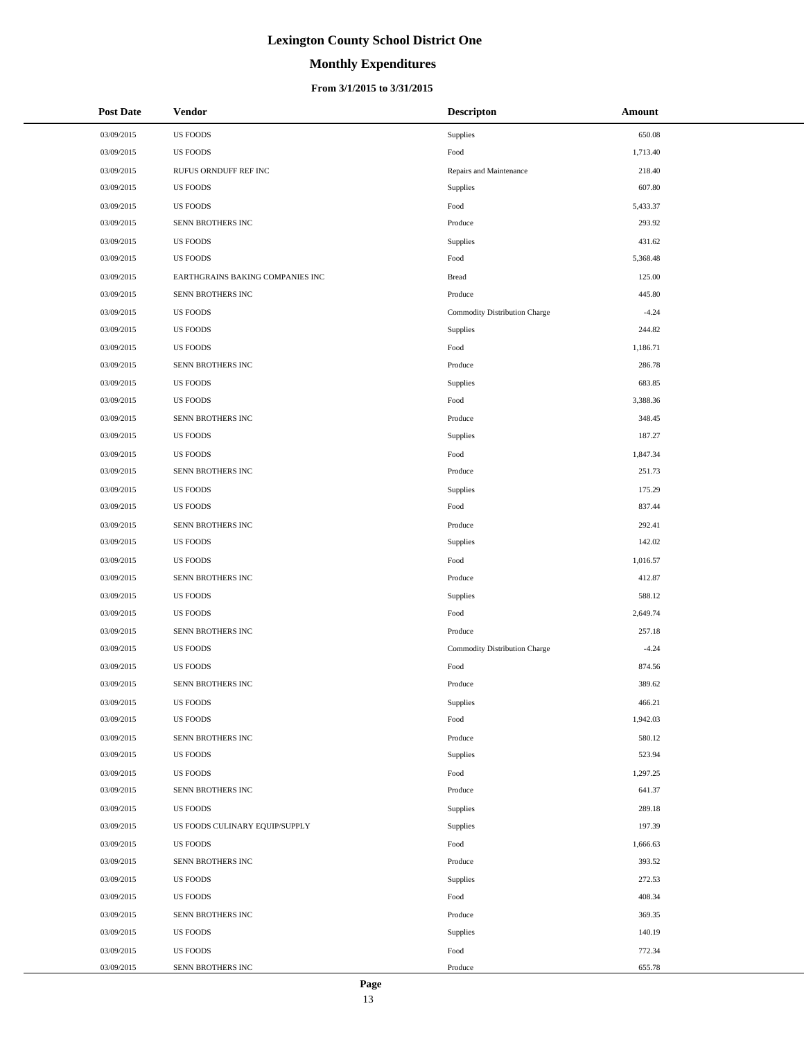# **Monthly Expenditures**

#### **From 3/1/2015 to 3/31/2015**

| <b>Post Date</b> | Vendor                           | <b>Descripton</b>             | Amount   |
|------------------|----------------------------------|-------------------------------|----------|
| 03/09/2015       | <b>US FOODS</b>                  | Supplies                      | 650.08   |
| 03/09/2015       | <b>US FOODS</b>                  | Food                          | 1,713.40 |
| 03/09/2015       | RUFUS ORNDUFF REF INC            | Repairs and Maintenance       | 218.40   |
| 03/09/2015       | <b>US FOODS</b>                  | Supplies                      | 607.80   |
| 03/09/2015       | <b>US FOODS</b>                  | Food                          | 5,433.37 |
| 03/09/2015       | SENN BROTHERS INC                | Produce                       | 293.92   |
| 03/09/2015       | <b>US FOODS</b>                  | Supplies                      | 431.62   |
| 03/09/2015       | <b>US FOODS</b>                  | Food                          | 5,368.48 |
| 03/09/2015       | EARTHGRAINS BAKING COMPANIES INC | <b>Bread</b>                  | 125.00   |
| 03/09/2015       | SENN BROTHERS INC                | Produce                       | 445.80   |
| 03/09/2015       | <b>US FOODS</b>                  | Commodity Distribution Charge | $-4.24$  |
| 03/09/2015       | <b>US FOODS</b>                  | Supplies                      | 244.82   |
| 03/09/2015       | <b>US FOODS</b>                  | Food                          | 1,186.71 |
| 03/09/2015       | SENN BROTHERS INC                | Produce                       | 286.78   |
| 03/09/2015       | <b>US FOODS</b>                  | Supplies                      | 683.85   |
| 03/09/2015       | <b>US FOODS</b>                  | Food                          | 3,388.36 |
| 03/09/2015       | SENN BROTHERS INC                | Produce                       | 348.45   |
| 03/09/2015       | <b>US FOODS</b>                  | Supplies                      | 187.27   |
| 03/09/2015       | <b>US FOODS</b>                  | Food                          | 1,847.34 |
| 03/09/2015       | SENN BROTHERS INC                | Produce                       | 251.73   |
| 03/09/2015       | <b>US FOODS</b>                  | Supplies                      | 175.29   |
| 03/09/2015       | <b>US FOODS</b>                  | Food                          | 837.44   |
| 03/09/2015       | SENN BROTHERS INC                | Produce                       | 292.41   |
| 03/09/2015       | <b>US FOODS</b>                  | Supplies                      | 142.02   |
| 03/09/2015       | <b>US FOODS</b>                  | Food                          | 1,016.57 |
| 03/09/2015       | SENN BROTHERS INC                | Produce                       | 412.87   |
| 03/09/2015       | <b>US FOODS</b>                  | Supplies                      | 588.12   |
| 03/09/2015       | <b>US FOODS</b>                  | Food                          | 2,649.74 |
| 03/09/2015       | SENN BROTHERS INC                | Produce                       | 257.18   |
| 03/09/2015       | <b>US FOODS</b>                  | Commodity Distribution Charge | $-4.24$  |
| 03/09/2015       | <b>US FOODS</b>                  | Food                          | 874.56   |
| 03/09/2015       | SENN BROTHERS INC                | Produce                       | 389.62   |
| 03/09/2015       | <b>US FOODS</b>                  | Supplies                      | 466.21   |
| 03/09/2015       | <b>US FOODS</b>                  | Food                          | 1,942.03 |
| 03/09/2015       | SENN BROTHERS INC                | Produce                       | 580.12   |
| 03/09/2015       | <b>US FOODS</b>                  | Supplies                      | 523.94   |
| 03/09/2015       | <b>US FOODS</b>                  | Food                          | 1,297.25 |
| 03/09/2015       | SENN BROTHERS INC                | Produce                       | 641.37   |
| 03/09/2015       | <b>US FOODS</b>                  | Supplies                      | 289.18   |
| 03/09/2015       | US FOODS CULINARY EQUIP/SUPPLY   | Supplies                      | 197.39   |
| 03/09/2015       | <b>US FOODS</b>                  | Food                          | 1,666.63 |
| 03/09/2015       | SENN BROTHERS INC                | Produce                       | 393.52   |
| 03/09/2015       | <b>US FOODS</b>                  | Supplies                      | 272.53   |
| 03/09/2015       | <b>US FOODS</b>                  | Food                          | 408.34   |
| 03/09/2015       | SENN BROTHERS INC                | Produce                       | 369.35   |
| 03/09/2015       | <b>US FOODS</b>                  | Supplies                      | 140.19   |
| 03/09/2015       | <b>US FOODS</b>                  | Food                          | 772.34   |
| 03/09/2015       | SENN BROTHERS INC                | Produce                       | 655.78   |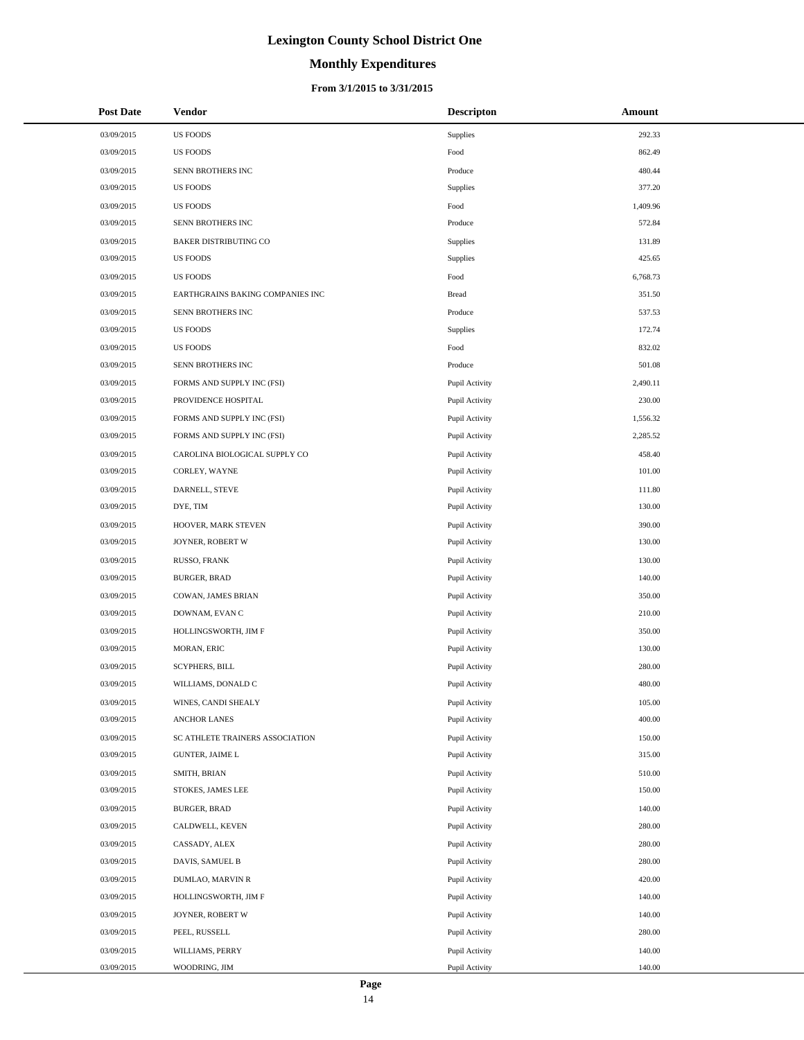# **Monthly Expenditures**

| <b>Post Date</b> | Vendor                           | <b>Descripton</b> | Amount   |
|------------------|----------------------------------|-------------------|----------|
| 03/09/2015       | <b>US FOODS</b>                  | Supplies          | 292.33   |
| 03/09/2015       | <b>US FOODS</b>                  | Food              | 862.49   |
| 03/09/2015       | SENN BROTHERS INC                | Produce           | 480.44   |
| 03/09/2015       | <b>US FOODS</b>                  | <b>Supplies</b>   | 377.20   |
| 03/09/2015       | <b>US FOODS</b>                  | Food              | 1,409.96 |
| 03/09/2015       | SENN BROTHERS INC                | Produce           | 572.84   |
| 03/09/2015       | <b>BAKER DISTRIBUTING CO</b>     | Supplies          | 131.89   |
| 03/09/2015       | <b>US FOODS</b>                  | <b>Supplies</b>   | 425.65   |
| 03/09/2015       | <b>US FOODS</b>                  | Food              | 6,768.73 |
| 03/09/2015       | EARTHGRAINS BAKING COMPANIES INC | <b>Bread</b>      | 351.50   |
| 03/09/2015       | SENN BROTHERS INC                | Produce           | 537.53   |
| 03/09/2015       | <b>US FOODS</b>                  | <b>Supplies</b>   | 172.74   |
| 03/09/2015       | <b>US FOODS</b>                  | Food              | 832.02   |
| 03/09/2015       | SENN BROTHERS INC                | Produce           | 501.08   |
| 03/09/2015       | FORMS AND SUPPLY INC (FSI)       | Pupil Activity    | 2,490.11 |
| 03/09/2015       | PROVIDENCE HOSPITAL              | Pupil Activity    | 230.00   |
| 03/09/2015       | FORMS AND SUPPLY INC (FSI)       | Pupil Activity    | 1,556.32 |
| 03/09/2015       | FORMS AND SUPPLY INC (FSI)       | Pupil Activity    | 2,285.52 |
| 03/09/2015       | CAROLINA BIOLOGICAL SUPPLY CO    | Pupil Activity    | 458.40   |
| 03/09/2015       | CORLEY, WAYNE                    | Pupil Activity    | 101.00   |
| 03/09/2015       | DARNELL, STEVE                   | Pupil Activity    | 111.80   |
| 03/09/2015       | DYE, TIM                         | Pupil Activity    | 130.00   |
| 03/09/2015       | HOOVER, MARK STEVEN              | Pupil Activity    | 390.00   |
| 03/09/2015       | JOYNER, ROBERT W                 | Pupil Activity    | 130.00   |
| 03/09/2015       | RUSSO, FRANK                     | Pupil Activity    | 130.00   |
| 03/09/2015       | <b>BURGER, BRAD</b>              | Pupil Activity    | 140.00   |
| 03/09/2015       | COWAN, JAMES BRIAN               | Pupil Activity    | 350.00   |
| 03/09/2015       | DOWNAM, EVAN C                   | Pupil Activity    | 210.00   |
| 03/09/2015       | HOLLINGSWORTH, JIM F             | Pupil Activity    | 350.00   |
| 03/09/2015       | MORAN, ERIC                      | Pupil Activity    | 130.00   |
| 03/09/2015       | <b>SCYPHERS, BILL</b>            | Pupil Activity    | 280.00   |
| 03/09/2015       | WILLIAMS, DONALD C               | Pupil Activity    | 480.00   |
| 03/09/2015       | WINES, CANDI SHEALY              | Pupil Activity    | 105.00   |
| 03/09/2015       | <b>ANCHOR LANES</b>              | Pupil Activity    | 400.00   |
| 03/09/2015       | SC ATHLETE TRAINERS ASSOCIATION  | Pupil Activity    | 150.00   |
| 03/09/2015       | <b>GUNTER, JAIME L</b>           | Pupil Activity    | 315.00   |
| 03/09/2015       | SMITH, BRIAN                     | Pupil Activity    | 510.00   |
| 03/09/2015       | STOKES, JAMES LEE                | Pupil Activity    | 150.00   |
| 03/09/2015       | <b>BURGER, BRAD</b>              | Pupil Activity    | 140.00   |
| 03/09/2015       | CALDWELL, KEVEN                  | Pupil Activity    | 280.00   |
| 03/09/2015       | CASSADY, ALEX                    | Pupil Activity    | 280.00   |
| 03/09/2015       | DAVIS, SAMUEL B                  | Pupil Activity    | 280.00   |
| 03/09/2015       | DUMLAO, MARVIN R                 | Pupil Activity    | 420.00   |
| 03/09/2015       | HOLLINGSWORTH, JIM F             | Pupil Activity    | 140.00   |
| 03/09/2015       | JOYNER, ROBERT W                 | Pupil Activity    | 140.00   |
| 03/09/2015       | PEEL, RUSSELL                    | Pupil Activity    | 280.00   |
| 03/09/2015       | WILLIAMS, PERRY                  | Pupil Activity    | 140.00   |
| 03/09/2015       | WOODRING, JIM                    | Pupil Activity    | 140.00   |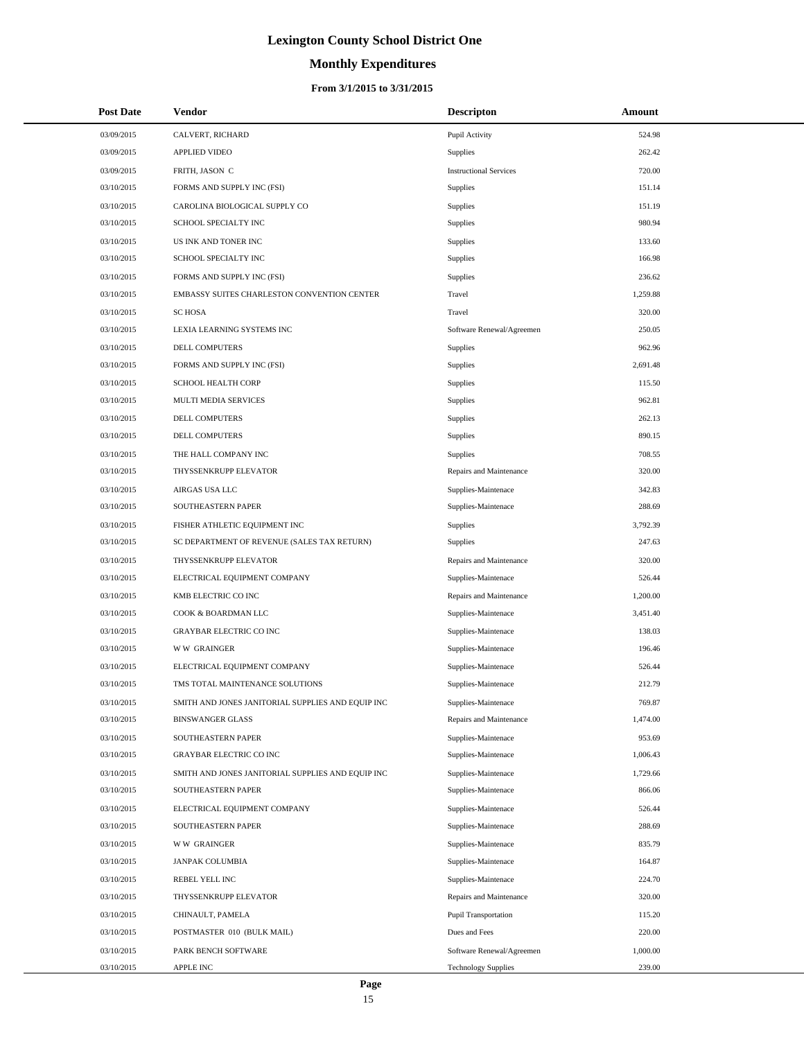# **Monthly Expenditures**

### **From 3/1/2015 to 3/31/2015**

| <b>Post Date</b> | Vendor                                            | <b>Descripton</b>             | Amount   |  |
|------------------|---------------------------------------------------|-------------------------------|----------|--|
| 03/09/2015       | CALVERT, RICHARD                                  | Pupil Activity                | 524.98   |  |
| 03/09/2015       | <b>APPLIED VIDEO</b>                              | Supplies                      | 262.42   |  |
| 03/09/2015       | FRITH, JASON C                                    | <b>Instructional Services</b> | 720.00   |  |
| 03/10/2015       | FORMS AND SUPPLY INC (FSI)                        | Supplies                      | 151.14   |  |
| 03/10/2015       | CAROLINA BIOLOGICAL SUPPLY CO                     | Supplies                      | 151.19   |  |
| 03/10/2015       | SCHOOL SPECIALTY INC                              | Supplies                      | 980.94   |  |
| 03/10/2015       | US INK AND TONER INC                              | Supplies                      | 133.60   |  |
| 03/10/2015       | SCHOOL SPECIALTY INC                              | Supplies                      | 166.98   |  |
| 03/10/2015       | FORMS AND SUPPLY INC (FSI)                        | Supplies                      | 236.62   |  |
| 03/10/2015       | EMBASSY SUITES CHARLESTON CONVENTION CENTER       | Travel                        | 1,259.88 |  |
| 03/10/2015       | <b>SC HOSA</b>                                    | Travel                        | 320.00   |  |
| 03/10/2015       | LEXIA LEARNING SYSTEMS INC                        | Software Renewal/Agreemen     | 250.05   |  |
| 03/10/2015       | DELL COMPUTERS                                    | Supplies                      | 962.96   |  |
| 03/10/2015       | FORMS AND SUPPLY INC (FSI)                        | Supplies                      | 2,691.48 |  |
| 03/10/2015       | <b>SCHOOL HEALTH CORP</b>                         | Supplies                      | 115.50   |  |
| 03/10/2015       | MULTI MEDIA SERVICES                              | Supplies                      | 962.81   |  |
| 03/10/2015       | DELL COMPUTERS                                    | Supplies                      | 262.13   |  |
| 03/10/2015       | <b>DELL COMPUTERS</b>                             | Supplies                      | 890.15   |  |
| 03/10/2015       | THE HALL COMPANY INC                              | Supplies                      | 708.55   |  |
| 03/10/2015       | THYSSENKRUPP ELEVATOR                             | Repairs and Maintenance       | 320.00   |  |
| 03/10/2015       | AIRGAS USA LLC                                    | Supplies-Maintenace           | 342.83   |  |
| 03/10/2015       | SOUTHEASTERN PAPER                                | Supplies-Maintenace           | 288.69   |  |
| 03/10/2015       | FISHER ATHLETIC EQUIPMENT INC                     | Supplies                      | 3,792.39 |  |
| 03/10/2015       | SC DEPARTMENT OF REVENUE (SALES TAX RETURN)       | Supplies                      | 247.63   |  |
| 03/10/2015       | THYSSENKRUPP ELEVATOR                             | Repairs and Maintenance       | 320.00   |  |
| 03/10/2015       | ELECTRICAL EQUIPMENT COMPANY                      | Supplies-Maintenace           | 526.44   |  |
| 03/10/2015       | KMB ELECTRIC CO INC                               | Repairs and Maintenance       | 1,200.00 |  |
| 03/10/2015       | COOK & BOARDMAN LLC                               | Supplies-Maintenace           | 3,451.40 |  |
| 03/10/2015       | <b>GRAYBAR ELECTRIC CO INC</b>                    | Supplies-Maintenace           | 138.03   |  |
| 03/10/2015       | <b>WW GRAINGER</b>                                | Supplies-Maintenace           | 196.46   |  |
| 03/10/2015       | ELECTRICAL EQUIPMENT COMPANY                      | Supplies-Maintenace           | 526.44   |  |
| 03/10/2015       | TMS TOTAL MAINTENANCE SOLUTIONS                   | Supplies-Maintenace           | 212.79   |  |
| 03/10/2015       | SMITH AND JONES JANITORIAL SUPPLIES AND EQUIP INC | Supplies-Maintenace           | 769.87   |  |
| 03/10/2015       | <b>BINSWANGER GLASS</b>                           | Repairs and Maintenance       | 1,474.00 |  |
| 03/10/2015       | SOUTHEASTERN PAPER                                | Supplies-Maintenace           | 953.69   |  |
| 03/10/2015       | <b>GRAYBAR ELECTRIC CO INC</b>                    | Supplies-Maintenace           | 1,006.43 |  |
| 03/10/2015       | SMITH AND JONES JANITORIAL SUPPLIES AND EQUIP INC | Supplies-Maintenace           | 1,729.66 |  |
| 03/10/2015       | SOUTHEASTERN PAPER                                | Supplies-Maintenace           | 866.06   |  |
| 03/10/2015       | ELECTRICAL EQUIPMENT COMPANY                      | Supplies-Maintenace           | 526.44   |  |
| 03/10/2015       | SOUTHEASTERN PAPER                                | Supplies-Maintenace           | 288.69   |  |
| 03/10/2015       | <b>WW GRAINGER</b>                                | Supplies-Maintenace           | 835.79   |  |
| 03/10/2015       | JANPAK COLUMBIA                                   | Supplies-Maintenace           | 164.87   |  |
| 03/10/2015       | REBEL YELL INC                                    | Supplies-Maintenace           | 224.70   |  |
| 03/10/2015       | THYSSENKRUPP ELEVATOR                             | Repairs and Maintenance       | 320.00   |  |
| 03/10/2015       | CHINAULT, PAMELA                                  | Pupil Transportation          | 115.20   |  |
| 03/10/2015       | POSTMASTER 010 (BULK MAIL)                        | Dues and Fees                 | 220.00   |  |
| 03/10/2015       | PARK BENCH SOFTWARE                               | Software Renewal/Agreemen     | 1,000.00 |  |
| 03/10/2015       | APPLE INC                                         | <b>Technology Supplies</b>    | 239.00   |  |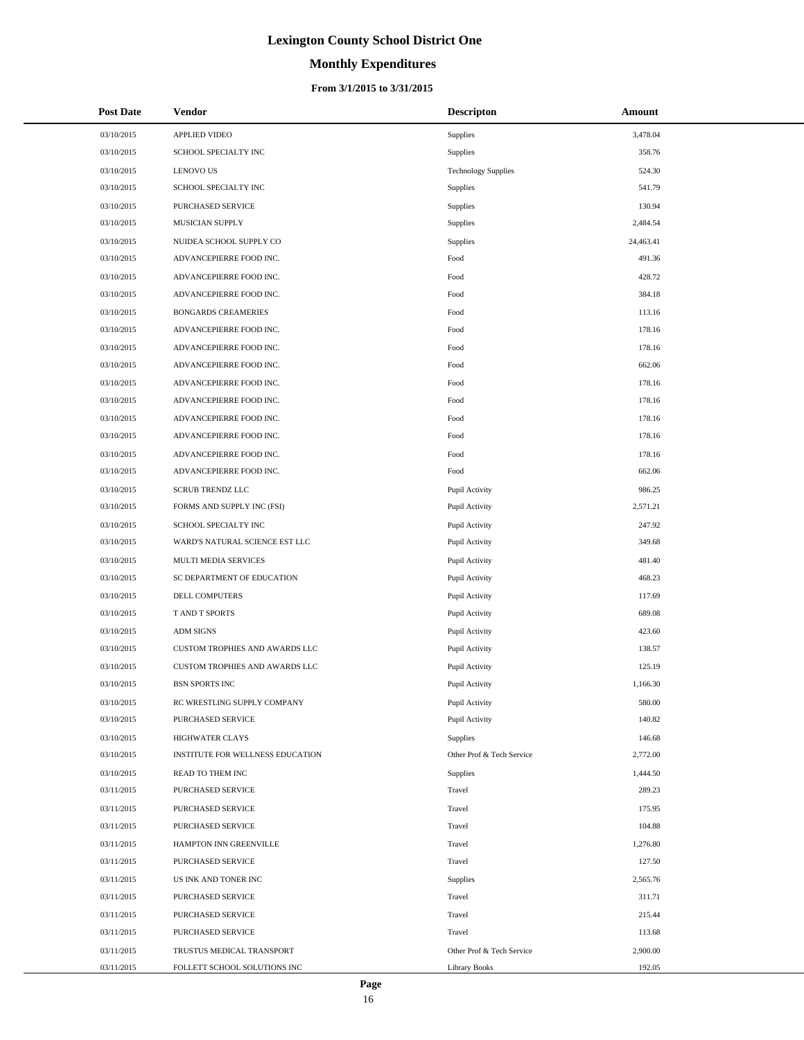# **Monthly Expenditures**

#### **From 3/1/2015 to 3/31/2015**

| <b>Post Date</b> | Vendor                           | <b>Descripton</b>          | Amount    |
|------------------|----------------------------------|----------------------------|-----------|
| 03/10/2015       | APPLIED VIDEO                    | Supplies                   | 3,478.04  |
| 03/10/2015       | SCHOOL SPECIALTY INC             | Supplies                   | 358.76    |
| 03/10/2015       | <b>LENOVO US</b>                 | <b>Technology Supplies</b> | 524.30    |
| 03/10/2015       | SCHOOL SPECIALTY INC             | Supplies                   | 541.79    |
| 03/10/2015       | PURCHASED SERVICE                | Supplies                   | 130.94    |
| 03/10/2015       | MUSICIAN SUPPLY                  | Supplies                   | 2,484.54  |
| 03/10/2015       | NUIDEA SCHOOL SUPPLY CO          | Supplies                   | 24,463.41 |
| 03/10/2015       | ADVANCEPIERRE FOOD INC.          | Food                       | 491.36    |
| 03/10/2015       | ADVANCEPIERRE FOOD INC.          | Food                       | 428.72    |
| 03/10/2015       | ADVANCEPIERRE FOOD INC.          | Food                       | 384.18    |
| 03/10/2015       | <b>BONGARDS CREAMERIES</b>       | Food                       | 113.16    |
| 03/10/2015       | ADVANCEPIERRE FOOD INC.          | Food                       | 178.16    |
| 03/10/2015       | ADVANCEPIERRE FOOD INC.          | Food                       | 178.16    |
| 03/10/2015       | ADVANCEPIERRE FOOD INC.          | Food                       | 662.06    |
| 03/10/2015       | ADVANCEPIERRE FOOD INC.          | Food                       | 178.16    |
| 03/10/2015       | ADVANCEPIERRE FOOD INC.          | Food                       | 178.16    |
| 03/10/2015       | ADVANCEPIERRE FOOD INC.          | Food                       | 178.16    |
| 03/10/2015       | ADVANCEPIERRE FOOD INC.          | Food                       | 178.16    |
| 03/10/2015       | ADVANCEPIERRE FOOD INC.          | Food                       | 178.16    |
| 03/10/2015       | ADVANCEPIERRE FOOD INC.          | Food                       | 662.06    |
| 03/10/2015       | <b>SCRUB TRENDZ LLC</b>          | Pupil Activity             | 986.25    |
| 03/10/2015       | FORMS AND SUPPLY INC (FSI)       | Pupil Activity             | 2,571.21  |
| 03/10/2015       | SCHOOL SPECIALTY INC             | Pupil Activity             | 247.92    |
| 03/10/2015       | WARD'S NATURAL SCIENCE EST LLC   | Pupil Activity             | 349.68    |
| 03/10/2015       | MULTI MEDIA SERVICES             | Pupil Activity             | 481.40    |
| 03/10/2015       | SC DEPARTMENT OF EDUCATION       | Pupil Activity             | 468.23    |
| 03/10/2015       | DELL COMPUTERS                   | Pupil Activity             | 117.69    |
| 03/10/2015       | T AND T SPORTS                   | Pupil Activity             | 689.08    |
| 03/10/2015       | <b>ADM SIGNS</b>                 | Pupil Activity             | 423.60    |
| 03/10/2015       | CUSTOM TROPHIES AND AWARDS LLC   | Pupil Activity             | 138.57    |
| 03/10/2015       | CUSTOM TROPHIES AND AWARDS LLC   | Pupil Activity             | 125.19    |
| 03/10/2015       | <b>BSN SPORTS INC</b>            | Pupil Activity             | 1,166.30  |
| 03/10/2015       | RC WRESTLING SUPPLY COMPANY      | Pupil Activity             | 580.00    |
| 03/10/2015       | <b>PURCHASED SERVICE</b>         | Pupil Activity             | 140.82    |
| 03/10/2015       | HIGHWATER CLAYS                  | Supplies                   | 146.68    |
| 03/10/2015       | INSTITUTE FOR WELLNESS EDUCATION | Other Prof & Tech Service  | 2,772.00  |
| 03/10/2015       | READ TO THEM INC                 | Supplies                   | 1,444.50  |
| 03/11/2015       | PURCHASED SERVICE                | Travel                     | 289.23    |
| 03/11/2015       | PURCHASED SERVICE                | Travel                     | 175.95    |
| 03/11/2015       | PURCHASED SERVICE                | Travel                     | 104.88    |
| 03/11/2015       | HAMPTON INN GREENVILLE           | Travel                     | 1,276.80  |
| 03/11/2015       | PURCHASED SERVICE                | Travel                     | 127.50    |
| 03/11/2015       | US INK AND TONER INC             | Supplies                   | 2,565.76  |
| 03/11/2015       | PURCHASED SERVICE                | Travel                     | 311.71    |
| 03/11/2015       | PURCHASED SERVICE                | Travel                     | 215.44    |
| 03/11/2015       | PURCHASED SERVICE                | Travel                     | 113.68    |
| 03/11/2015       | TRUSTUS MEDICAL TRANSPORT        | Other Prof & Tech Service  | 2,900.00  |
| 03/11/2015       | FOLLETT SCHOOL SOLUTIONS INC     | <b>Library Books</b>       | 192.05    |

÷.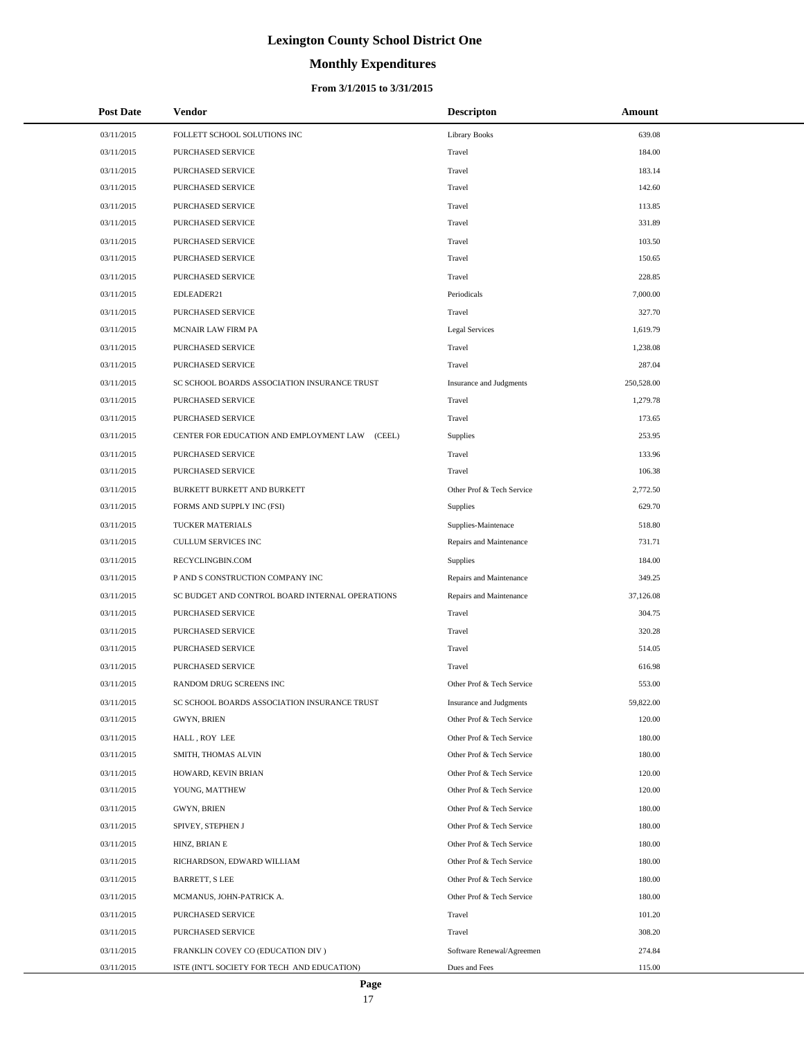# **Monthly Expenditures**

### **From 3/1/2015 to 3/31/2015**

| <b>Post Date</b> | Vendor                                          | <b>Descripton</b>         | Amount     |
|------------------|-------------------------------------------------|---------------------------|------------|
| 03/11/2015       | FOLLETT SCHOOL SOLUTIONS INC                    | <b>Library Books</b>      | 639.08     |
| 03/11/2015       | <b>PURCHASED SERVICE</b>                        | Travel                    | 184.00     |
| 03/11/2015       | PURCHASED SERVICE                               | Travel                    | 183.14     |
| 03/11/2015       | PURCHASED SERVICE                               | Travel                    | 142.60     |
| 03/11/2015       | PURCHASED SERVICE                               | Travel                    | 113.85     |
| 03/11/2015       | PURCHASED SERVICE                               | Travel                    | 331.89     |
| 03/11/2015       | PURCHASED SERVICE                               | Travel                    | 103.50     |
| 03/11/2015       | PURCHASED SERVICE                               | Travel                    | 150.65     |
| 03/11/2015       | PURCHASED SERVICE                               | Travel                    | 228.85     |
| 03/11/2015       | EDLEADER21                                      | Periodicals               | 7,000.00   |
| 03/11/2015       | PURCHASED SERVICE                               | Travel                    | 327.70     |
| 03/11/2015       | MCNAIR LAW FIRM PA                              | <b>Legal Services</b>     | 1,619.79   |
| 03/11/2015       | PURCHASED SERVICE                               | Travel                    | 1,238.08   |
| 03/11/2015       | PURCHASED SERVICE                               | Travel                    | 287.04     |
| 03/11/2015       | SC SCHOOL BOARDS ASSOCIATION INSURANCE TRUST    | Insurance and Judgments   | 250,528.00 |
| 03/11/2015       | PURCHASED SERVICE                               | Travel                    | 1,279.78   |
| 03/11/2015       | PURCHASED SERVICE                               | Travel                    | 173.65     |
| 03/11/2015       | CENTER FOR EDUCATION AND EMPLOYMENT LAW (CEEL)  | Supplies                  | 253.95     |
| 03/11/2015       | PURCHASED SERVICE                               | Travel                    | 133.96     |
| 03/11/2015       | PURCHASED SERVICE                               | Travel                    | 106.38     |
| 03/11/2015       | BURKETT BURKETT AND BURKETT                     | Other Prof & Tech Service | 2,772.50   |
| 03/11/2015       | FORMS AND SUPPLY INC (FSI)                      | Supplies                  | 629.70     |
| 03/11/2015       | TUCKER MATERIALS                                | Supplies-Maintenace       | 518.80     |
| 03/11/2015       | CULLUM SERVICES INC                             | Repairs and Maintenance   | 731.71     |
| 03/11/2015       | RECYCLINGBIN.COM                                | Supplies                  | 184.00     |
| 03/11/2015       | P AND S CONSTRUCTION COMPANY INC                | Repairs and Maintenance   | 349.25     |
| 03/11/2015       | SC BUDGET AND CONTROL BOARD INTERNAL OPERATIONS | Repairs and Maintenance   | 37,126.08  |
| 03/11/2015       | <b>PURCHASED SERVICE</b>                        | Travel                    | 304.75     |
| 03/11/2015       | PURCHASED SERVICE                               | Travel                    | 320.28     |
| 03/11/2015       | PURCHASED SERVICE                               | Travel                    | 514.05     |
| 03/11/2015       | <b>PURCHASED SERVICE</b>                        | Travel                    | 616.98     |
| 03/11/2015       | RANDOM DRUG SCREENS INC                         | Other Prof & Tech Service | 553.00     |
| 03/11/2015       | SC SCHOOL BOARDS ASSOCIATION INSURANCE TRUST    | Insurance and Judgments   | 59,822.00  |
| 03/11/2015       | GWYN, BRIEN                                     | Other Prof & Tech Service | 120.00     |
| 03/11/2015       | HALL, ROY LEE                                   | Other Prof & Tech Service | 180.00     |
| 03/11/2015       | SMITH, THOMAS ALVIN                             | Other Prof & Tech Service | 180.00     |
| 03/11/2015       | HOWARD, KEVIN BRIAN                             | Other Prof & Tech Service | 120.00     |
| 03/11/2015       | YOUNG, MATTHEW                                  | Other Prof & Tech Service | 120.00     |
| 03/11/2015       | GWYN, BRIEN                                     | Other Prof & Tech Service | 180.00     |
| 03/11/2015       | SPIVEY, STEPHEN J                               | Other Prof & Tech Service | 180.00     |
| 03/11/2015       | HINZ, BRIAN E                                   | Other Prof & Tech Service | 180.00     |
| 03/11/2015       | RICHARDSON, EDWARD WILLIAM                      | Other Prof & Tech Service | 180.00     |
| 03/11/2015       | <b>BARRETT, S LEE</b>                           | Other Prof & Tech Service | 180.00     |
| 03/11/2015       | MCMANUS, JOHN-PATRICK A.                        | Other Prof & Tech Service | 180.00     |
| 03/11/2015       | PURCHASED SERVICE                               | Travel                    | 101.20     |
| 03/11/2015       | PURCHASED SERVICE                               | Travel                    | 308.20     |
| 03/11/2015       | FRANKLIN COVEY CO (EDUCATION DIV )              | Software Renewal/Agreemen | 274.84     |
| 03/11/2015       | ISTE (INT'L SOCIETY FOR TECH AND EDUCATION)     | Dues and Fees             | 115.00     |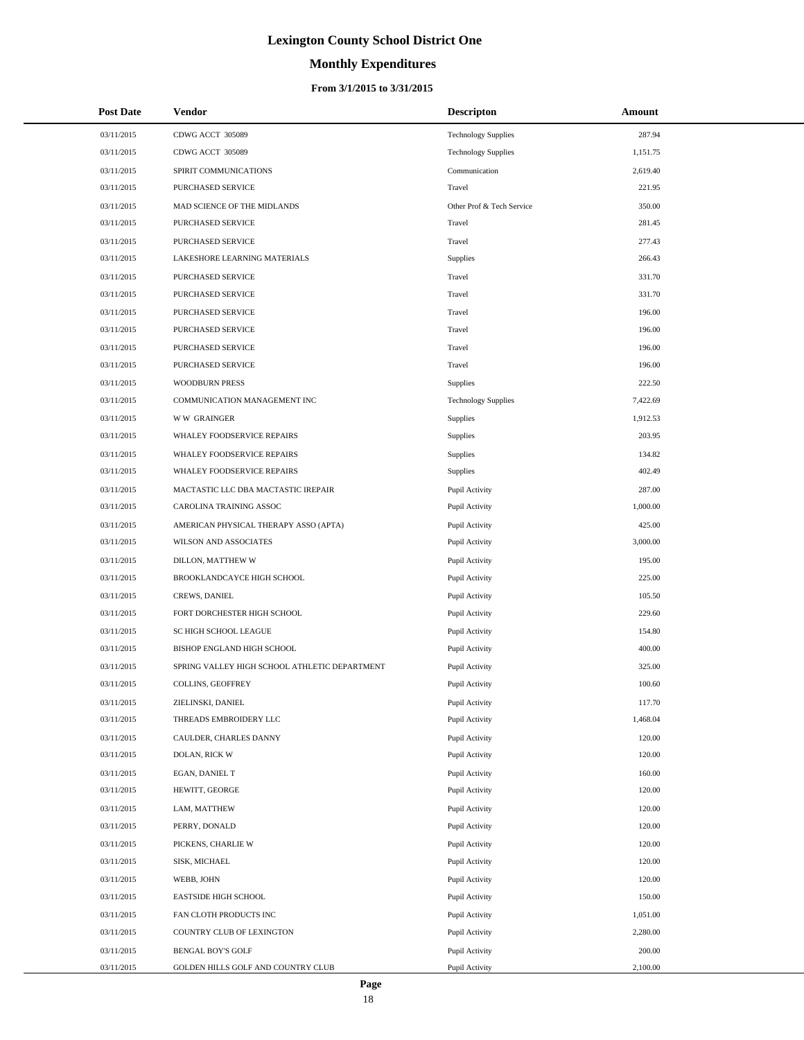# **Monthly Expenditures**

#### **From 3/1/2015 to 3/31/2015**

| <b>Post Date</b> | Vendor                                        | <b>Descripton</b>          | Amount   |
|------------------|-----------------------------------------------|----------------------------|----------|
| 03/11/2015       | CDWG ACCT 305089                              | <b>Technology Supplies</b> | 287.94   |
| 03/11/2015       | CDWG ACCT 305089                              | <b>Technology Supplies</b> | 1,151.75 |
| 03/11/2015       | SPIRIT COMMUNICATIONS                         | Communication              | 2,619.40 |
| 03/11/2015       | PURCHASED SERVICE                             | Travel                     | 221.95   |
| 03/11/2015       | MAD SCIENCE OF THE MIDLANDS                   | Other Prof & Tech Service  | 350.00   |
| 03/11/2015       | PURCHASED SERVICE                             | Travel                     | 281.45   |
| 03/11/2015       | PURCHASED SERVICE                             | Travel                     | 277.43   |
| 03/11/2015       | LAKESHORE LEARNING MATERIALS                  | Supplies                   | 266.43   |
| 03/11/2015       | PURCHASED SERVICE                             | Travel                     | 331.70   |
| 03/11/2015       | PURCHASED SERVICE                             | Travel                     | 331.70   |
| 03/11/2015       | PURCHASED SERVICE                             | Travel                     | 196.00   |
| 03/11/2015       | PURCHASED SERVICE                             | Travel                     | 196.00   |
| 03/11/2015       | PURCHASED SERVICE                             | Travel                     | 196.00   |
| 03/11/2015       | PURCHASED SERVICE                             | Travel                     | 196.00   |
| 03/11/2015       | <b>WOODBURN PRESS</b>                         | Supplies                   | 222.50   |
| 03/11/2015       | COMMUNICATION MANAGEMENT INC                  | <b>Technology Supplies</b> | 7,422.69 |
| 03/11/2015       | <b>WW GRAINGER</b>                            | Supplies                   | 1,912.53 |
| 03/11/2015       | WHALEY FOODSERVICE REPAIRS                    | Supplies                   | 203.95   |
| 03/11/2015       | WHALEY FOODSERVICE REPAIRS                    | Supplies                   | 134.82   |
| 03/11/2015       | WHALEY FOODSERVICE REPAIRS                    | Supplies                   | 402.49   |
| 03/11/2015       | MACTASTIC LLC DBA MACTASTIC IREPAIR           | Pupil Activity             | 287.00   |
| 03/11/2015       | CAROLINA TRAINING ASSOC                       | Pupil Activity             | 1,000.00 |
| 03/11/2015       | AMERICAN PHYSICAL THERAPY ASSO (APTA)         | Pupil Activity             | 425.00   |
| 03/11/2015       | WILSON AND ASSOCIATES                         | Pupil Activity             | 3,000.00 |
| 03/11/2015       | DILLON, MATTHEW W                             | Pupil Activity             | 195.00   |
| 03/11/2015       | BROOKLANDCAYCE HIGH SCHOOL                    | Pupil Activity             | 225.00   |
| 03/11/2015       | CREWS, DANIEL                                 | Pupil Activity             | 105.50   |
| 03/11/2015       | FORT DORCHESTER HIGH SCHOOL                   | Pupil Activity             | 229.60   |
| 03/11/2015       | SC HIGH SCHOOL LEAGUE                         | Pupil Activity             | 154.80   |
| 03/11/2015       | BISHOP ENGLAND HIGH SCHOOL                    | Pupil Activity             | 400.00   |
| 03/11/2015       | SPRING VALLEY HIGH SCHOOL ATHLETIC DEPARTMENT | Pupil Activity             | 325.00   |
| 03/11/2015       | COLLINS, GEOFFREY                             | Pupil Activity             | 100.60   |
| 03/11/2015       | ZIELINSKI, DANIEL                             | Pupil Activity             | 117.70   |
| 03/11/2015       | THREADS EMBROIDERY LLC                        | Pupil Activity             | 1,468.04 |
| 03/11/2015       | CAULDER, CHARLES DANNY                        | Pupil Activity             | 120.00   |
| 03/11/2015       | DOLAN, RICK W                                 | Pupil Activity             | 120.00   |
| 03/11/2015       | EGAN, DANIEL T                                | Pupil Activity             | 160.00   |
| 03/11/2015       | HEWITT, GEORGE                                | Pupil Activity             | 120.00   |
| 03/11/2015       | LAM, MATTHEW                                  | Pupil Activity             | 120.00   |
| 03/11/2015       | PERRY, DONALD                                 | Pupil Activity             | 120.00   |
| 03/11/2015       | PICKENS, CHARLIE W                            | Pupil Activity             | 120.00   |
| 03/11/2015       | SISK, MICHAEL                                 | Pupil Activity             | 120.00   |
| 03/11/2015       | WEBB, JOHN                                    | Pupil Activity             | 120.00   |
| 03/11/2015       | EASTSIDE HIGH SCHOOL                          | Pupil Activity             | 150.00   |
| 03/11/2015       | FAN CLOTH PRODUCTS INC                        | Pupil Activity             | 1,051.00 |
| 03/11/2015       | COUNTRY CLUB OF LEXINGTON                     | Pupil Activity             | 2,280.00 |
| 03/11/2015       | <b>BENGAL BOY'S GOLF</b>                      | Pupil Activity             | 200.00   |
| 03/11/2015       | GOLDEN HILLS GOLF AND COUNTRY CLUB            | Pupil Activity             | 2,100.00 |

÷.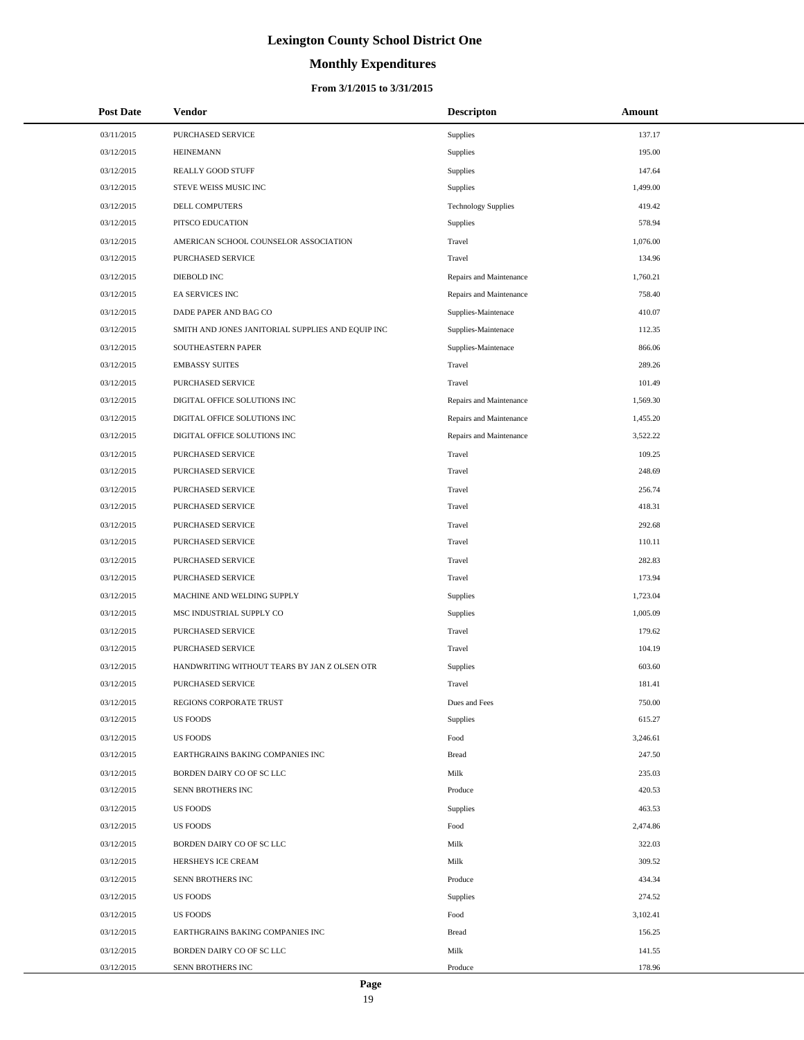# **Monthly Expenditures**

| <b>Post Date</b> | Vendor                                            | <b>Descripton</b>          | Amount   |
|------------------|---------------------------------------------------|----------------------------|----------|
| 03/11/2015       | PURCHASED SERVICE                                 | Supplies                   | 137.17   |
| 03/12/2015       | <b>HEINEMANN</b>                                  | Supplies                   | 195.00   |
| 03/12/2015       | REALLY GOOD STUFF                                 | Supplies                   | 147.64   |
| 03/12/2015       | STEVE WEISS MUSIC INC                             | Supplies                   | 1,499.00 |
| 03/12/2015       | DELL COMPUTERS                                    | <b>Technology Supplies</b> | 419.42   |
| 03/12/2015       | PITSCO EDUCATION                                  | Supplies                   | 578.94   |
| 03/12/2015       | AMERICAN SCHOOL COUNSELOR ASSOCIATION             | Travel                     | 1,076.00 |
| 03/12/2015       | PURCHASED SERVICE                                 | Travel                     | 134.96   |
| 03/12/2015       | DIEBOLD INC                                       | Repairs and Maintenance    | 1,760.21 |
| 03/12/2015       | EA SERVICES INC                                   | Repairs and Maintenance    | 758.40   |
| 03/12/2015       | DADE PAPER AND BAG CO                             | Supplies-Maintenace        | 410.07   |
| 03/12/2015       | SMITH AND JONES JANITORIAL SUPPLIES AND EQUIP INC | Supplies-Maintenace        | 112.35   |
| 03/12/2015       | SOUTHEASTERN PAPER                                | Supplies-Maintenace        | 866.06   |
| 03/12/2015       | <b>EMBASSY SUITES</b>                             | Travel                     | 289.26   |
| 03/12/2015       | PURCHASED SERVICE                                 | Travel                     | 101.49   |
| 03/12/2015       | DIGITAL OFFICE SOLUTIONS INC                      | Repairs and Maintenance    | 1,569.30 |
| 03/12/2015       | DIGITAL OFFICE SOLUTIONS INC                      | Repairs and Maintenance    | 1,455.20 |
| 03/12/2015       | DIGITAL OFFICE SOLUTIONS INC                      | Repairs and Maintenance    | 3,522.22 |
| 03/12/2015       | PURCHASED SERVICE                                 | Travel                     | 109.25   |
| 03/12/2015       | PURCHASED SERVICE                                 | Travel                     | 248.69   |
| 03/12/2015       | PURCHASED SERVICE                                 | Travel                     | 256.74   |
| 03/12/2015       | PURCHASED SERVICE                                 | Travel                     | 418.31   |
| 03/12/2015       | PURCHASED SERVICE                                 | Travel                     | 292.68   |
| 03/12/2015       | PURCHASED SERVICE                                 | Travel                     | 110.11   |
| 03/12/2015       | PURCHASED SERVICE                                 | Travel                     | 282.83   |
| 03/12/2015       | PURCHASED SERVICE                                 | Travel                     | 173.94   |
| 03/12/2015       | MACHINE AND WELDING SUPPLY                        | Supplies                   | 1,723.04 |
| 03/12/2015       | MSC INDUSTRIAL SUPPLY CO                          | Supplies                   | 1,005.09 |
| 03/12/2015       | PURCHASED SERVICE                                 | Travel                     | 179.62   |
| 03/12/2015       | PURCHASED SERVICE                                 | Travel                     | 104.19   |
| 03/12/2015       | HANDWRITING WITHOUT TEARS BY JAN Z OLSEN OTR      | Supplies                   | 603.60   |
| 03/12/2015       | PURCHASED SERVICE                                 | Travel                     | 181.41   |
| 03/12/2015       | REGIONS CORPORATE TRUST                           | Dues and Fees              | 750.00   |
| 03/12/2015       | <b>US FOODS</b>                                   | Supplies                   | 615.27   |
| 03/12/2015       | <b>US FOODS</b>                                   | Food                       | 3,246.61 |
| 03/12/2015       | EARTHGRAINS BAKING COMPANIES INC                  | <b>Bread</b>               | 247.50   |
| 03/12/2015       | BORDEN DAIRY CO OF SC LLC                         | Milk                       | 235.03   |
| 03/12/2015       | SENN BROTHERS INC                                 | Produce                    | 420.53   |
| 03/12/2015       | <b>US FOODS</b>                                   | Supplies                   | 463.53   |
| 03/12/2015       | <b>US FOODS</b>                                   | Food                       | 2,474.86 |
| 03/12/2015       | BORDEN DAIRY CO OF SC LLC                         | Milk                       | 322.03   |
| 03/12/2015       | HERSHEYS ICE CREAM                                | Milk                       | 309.52   |
| 03/12/2015       | SENN BROTHERS INC                                 | Produce                    | 434.34   |
| 03/12/2015       | <b>US FOODS</b>                                   | Supplies                   | 274.52   |
| 03/12/2015       | US FOODS                                          | Food                       | 3,102.41 |
| 03/12/2015       | EARTHGRAINS BAKING COMPANIES INC                  | <b>Bread</b>               | 156.25   |
| 03/12/2015       | BORDEN DAIRY CO OF SC LLC                         | Milk                       | 141.55   |
| 03/12/2015       | SENN BROTHERS INC                                 | Produce                    | 178.96   |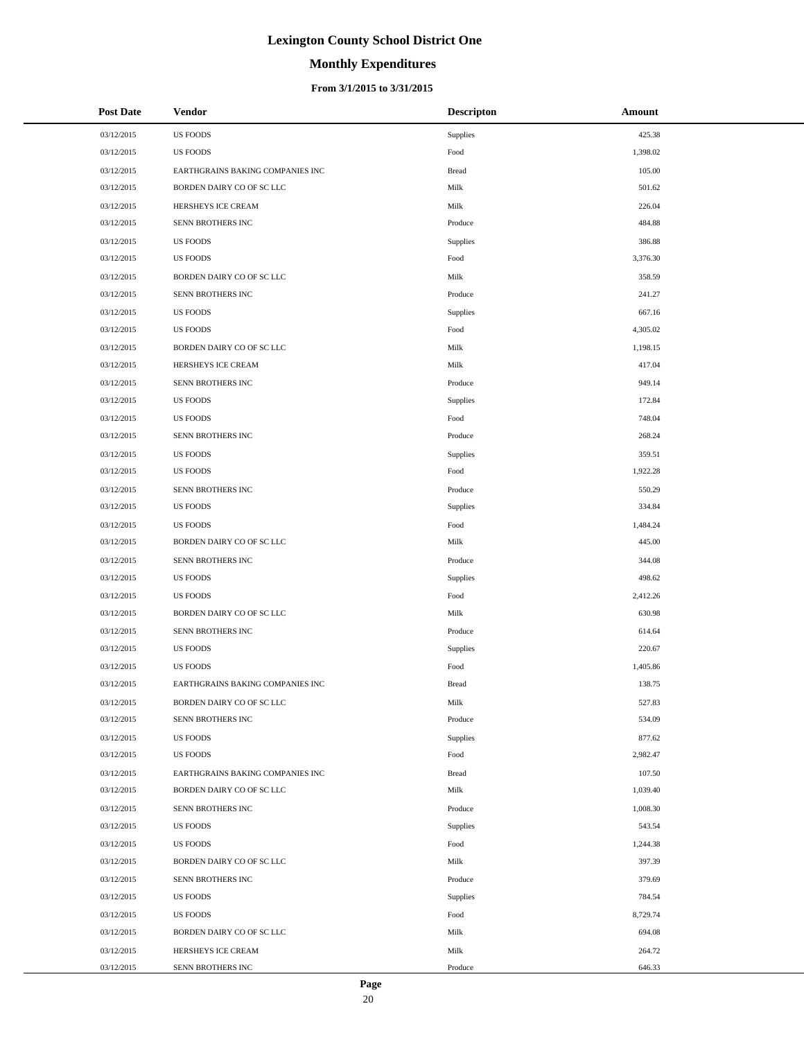# **Monthly Expenditures**

#### **From 3/1/2015 to 3/31/2015**

| <b>Post Date</b> | <b>Vendor</b>                    | <b>Descripton</b> | Amount   |
|------------------|----------------------------------|-------------------|----------|
| 03/12/2015       | <b>US FOODS</b>                  | Supplies          | 425.38   |
| 03/12/2015       | <b>US FOODS</b>                  | Food              | 1,398.02 |
| 03/12/2015       | EARTHGRAINS BAKING COMPANIES INC | <b>Bread</b>      | 105.00   |
| 03/12/2015       | BORDEN DAIRY CO OF SC LLC        | Milk              | 501.62   |
| 03/12/2015       | HERSHEYS ICE CREAM               | Milk              | 226.04   |
| 03/12/2015       | SENN BROTHERS INC                | Produce           | 484.88   |
| 03/12/2015       | <b>US FOODS</b>                  | Supplies          | 386.88   |
| 03/12/2015       | <b>US FOODS</b>                  | Food              | 3,376.30 |
| 03/12/2015       | BORDEN DAIRY CO OF SC LLC        | Milk              | 358.59   |
| 03/12/2015       | SENN BROTHERS INC                | Produce           | 241.27   |
| 03/12/2015       | <b>US FOODS</b>                  | Supplies          | 667.16   |
| 03/12/2015       | <b>US FOODS</b>                  | Food              | 4,305.02 |
| 03/12/2015       | BORDEN DAIRY CO OF SC LLC        | Milk              | 1,198.15 |
| 03/12/2015       | HERSHEYS ICE CREAM               | Milk              | 417.04   |
| 03/12/2015       | SENN BROTHERS INC                | Produce           | 949.14   |
| 03/12/2015       | <b>US FOODS</b>                  | Supplies          | 172.84   |
| 03/12/2015       | <b>US FOODS</b>                  | Food              | 748.04   |
| 03/12/2015       | SENN BROTHERS INC                | Produce           | 268.24   |
| 03/12/2015       | <b>US FOODS</b>                  | Supplies          | 359.51   |
| 03/12/2015       | <b>US FOODS</b>                  | Food              | 1,922.28 |
| 03/12/2015       | SENN BROTHERS INC                | Produce           | 550.29   |
| 03/12/2015       | <b>US FOODS</b>                  | Supplies          | 334.84   |
| 03/12/2015       | <b>US FOODS</b>                  | Food              | 1,484.24 |
| 03/12/2015       | BORDEN DAIRY CO OF SC LLC        | Milk              | 445.00   |
| 03/12/2015       | SENN BROTHERS INC                | Produce           | 344.08   |
| 03/12/2015       | <b>US FOODS</b>                  | Supplies          | 498.62   |
| 03/12/2015       | <b>US FOODS</b>                  | Food              | 2,412.26 |
| 03/12/2015       | BORDEN DAIRY CO OF SC LLC        | Milk              | 630.98   |
| 03/12/2015       | SENN BROTHERS INC                | Produce           | 614.64   |
| 03/12/2015       | <b>US FOODS</b>                  | Supplies          | 220.67   |
| 03/12/2015       | <b>US FOODS</b>                  | Food              | 1,405.86 |
| 03/12/2015       | EARTHGRAINS BAKING COMPANIES INC | <b>Bread</b>      | 138.75   |
| 03/12/2015       | BORDEN DAIRY CO OF SC LLC        | Milk              | 527.83   |
| 03/12/2015       | SENN BROTHERS INC                | Produce           | 534.09   |
| 03/12/2015       | <b>US FOODS</b>                  | Supplies          | 877.62   |
| 03/12/2015       | <b>US FOODS</b>                  | Food              | 2,982.47 |
| 03/12/2015       | EARTHGRAINS BAKING COMPANIES INC | Bread             | 107.50   |
| 03/12/2015       | BORDEN DAIRY CO OF SC LLC        | Milk              | 1,039.40 |
| 03/12/2015       | SENN BROTHERS INC                | Produce           | 1,008.30 |
| 03/12/2015       | <b>US FOODS</b>                  | Supplies          | 543.54   |
| 03/12/2015       | <b>US FOODS</b>                  | Food              | 1,244.38 |
| 03/12/2015       | BORDEN DAIRY CO OF SC LLC        | Milk              | 397.39   |
| 03/12/2015       | SENN BROTHERS INC                | Produce           | 379.69   |
| 03/12/2015       | <b>US FOODS</b>                  | Supplies          | 784.54   |
| 03/12/2015       | <b>US FOODS</b>                  | Food              | 8,729.74 |
| 03/12/2015       | BORDEN DAIRY CO OF SC LLC        | Milk              | 694.08   |
| 03/12/2015       | HERSHEYS ICE CREAM               | Milk              | 264.72   |
| 03/12/2015       | SENN BROTHERS INC                | Produce           | 646.33   |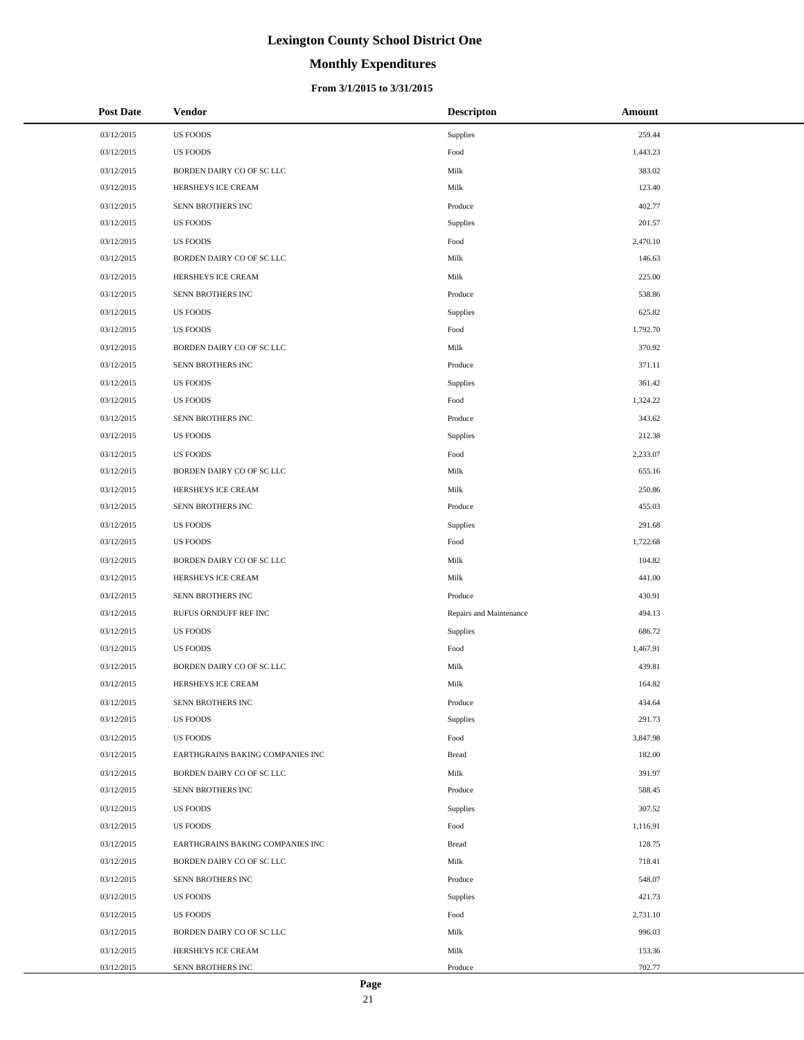# **Monthly Expenditures**

| <b>Post Date</b> | <b>Vendor</b>                    | <b>Descripton</b>       | Amount   |
|------------------|----------------------------------|-------------------------|----------|
| 03/12/2015       | <b>US FOODS</b>                  | Supplies                | 259.44   |
| 03/12/2015       | <b>US FOODS</b>                  | Food                    | 1,443.23 |
| 03/12/2015       | BORDEN DAIRY CO OF SC LLC        | Milk                    | 383.02   |
| 03/12/2015       | HERSHEYS ICE CREAM               | Milk                    | 123.40   |
| 03/12/2015       | SENN BROTHERS INC                | Produce                 | 402.77   |
| 03/12/2015       | <b>US FOODS</b>                  | Supplies                | 201.57   |
| 03/12/2015       | <b>US FOODS</b>                  | Food                    | 2,470.10 |
| 03/12/2015       | BORDEN DAIRY CO OF SC LLC        | Milk                    | 146.63   |
| 03/12/2015       | HERSHEYS ICE CREAM               | Milk                    | 225.00   |
| 03/12/2015       | SENN BROTHERS INC                | Produce                 | 538.86   |
| 03/12/2015       | <b>US FOODS</b>                  | Supplies                | 625.82   |
| 03/12/2015       | <b>US FOODS</b>                  | Food                    | 1,792.70 |
| 03/12/2015       | BORDEN DAIRY CO OF SC LLC        | Milk                    | 370.92   |
| 03/12/2015       | SENN BROTHERS INC                | Produce                 | 371.11   |
| 03/12/2015       | <b>US FOODS</b>                  | Supplies                | 361.42   |
| 03/12/2015       | <b>US FOODS</b>                  | Food                    | 1,324.22 |
| 03/12/2015       | SENN BROTHERS INC                | Produce                 | 343.62   |
| 03/12/2015       | US FOODS                         | Supplies                | 212.38   |
| 03/12/2015       | <b>US FOODS</b>                  | Food                    | 2,233.07 |
| 03/12/2015       | BORDEN DAIRY CO OF SC LLC        | Milk                    | 655.16   |
| 03/12/2015       | HERSHEYS ICE CREAM               | Milk                    | 250.86   |
| 03/12/2015       | SENN BROTHERS INC                | Produce                 | 455.03   |
| 03/12/2015       | <b>US FOODS</b>                  | Supplies                | 291.68   |
| 03/12/2015       | <b>US FOODS</b>                  | Food                    | 1,722.68 |
| 03/12/2015       | BORDEN DAIRY CO OF SC LLC        | Milk                    | 104.82   |
| 03/12/2015       | HERSHEYS ICE CREAM               | Milk                    | 441.00   |
| 03/12/2015       | SENN BROTHERS INC                | Produce                 | 430.91   |
| 03/12/2015       | RUFUS ORNDUFF REF INC            | Repairs and Maintenance | 494.13   |
| 03/12/2015       | <b>US FOODS</b>                  | Supplies                | 686.72   |
| 03/12/2015       | <b>US FOODS</b>                  | Food                    | 1,467.91 |
| 03/12/2015       | BORDEN DAIRY CO OF SC LLC        | Milk                    | 439.81   |
| 03/12/2015       | HERSHEYS ICE CREAM               | Milk                    | 164.82   |
| 03/12/2015       | SENN BROTHERS INC                | Produce                 | 434.64   |
| 03/12/2015       | <b>US FOODS</b>                  | Supplies                | 291.73   |
| 03/12/2015       | <b>US FOODS</b>                  | Food                    | 3,847.98 |
| 03/12/2015       | EARTHGRAINS BAKING COMPANIES INC | <b>Bread</b>            | 182.00   |
| 03/12/2015       | BORDEN DAIRY CO OF SC LLC        | Milk                    | 391.97   |
| 03/12/2015       | SENN BROTHERS INC                | Produce                 | 588.45   |
| 03/12/2015       | <b>US FOODS</b>                  | Supplies                | 307.52   |
| 03/12/2015       | <b>US FOODS</b>                  | Food                    | 1,116.91 |
| 03/12/2015       | EARTHGRAINS BAKING COMPANIES INC | <b>Bread</b>            | 128.75   |
| 03/12/2015       | BORDEN DAIRY CO OF SC LLC        | Milk                    | 718.41   |
| 03/12/2015       | SENN BROTHERS INC                | Produce                 | 548.07   |
| 03/12/2015       | <b>US FOODS</b>                  | Supplies                | 421.73   |
| 03/12/2015       | <b>US FOODS</b>                  | Food                    | 2,731.10 |
| 03/12/2015       | BORDEN DAIRY CO OF SC LLC        | Milk                    | 996.03   |
| 03/12/2015       | HERSHEYS ICE CREAM               | Milk                    | 153.36   |
| 03/12/2015       | SENN BROTHERS INC                | Produce                 | 702.77   |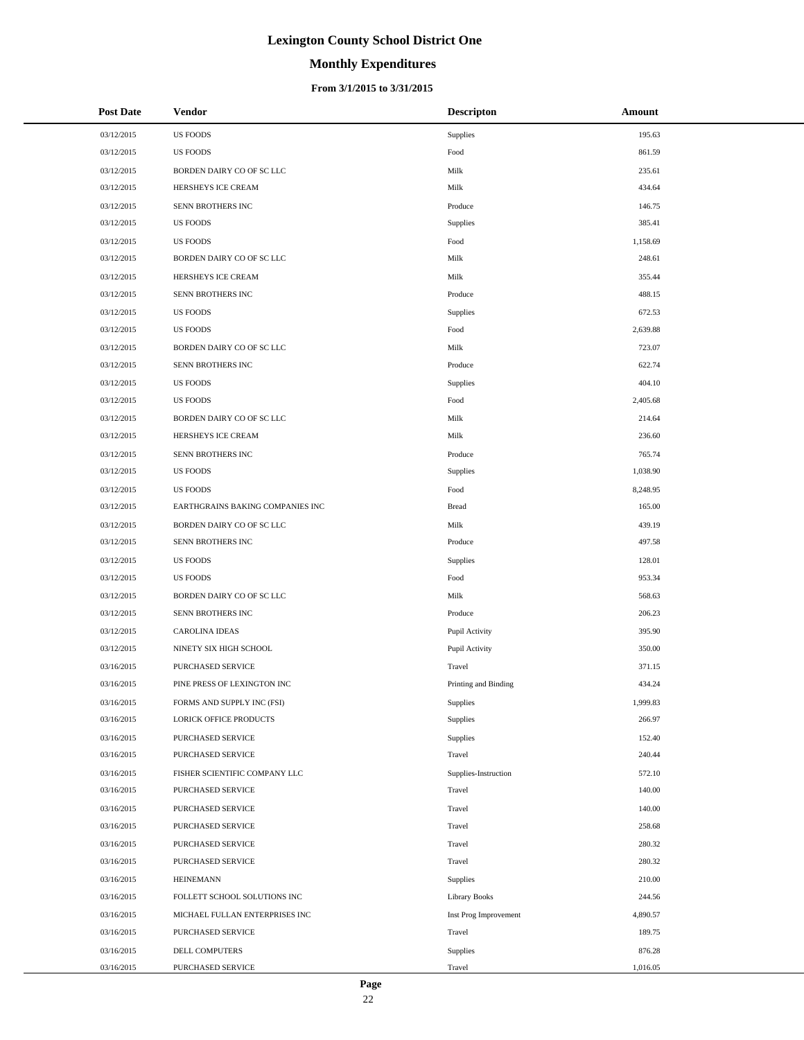# **Monthly Expenditures**

#### **From 3/1/2015 to 3/31/2015**

| <b>Post Date</b> | <b>Vendor</b>                    | <b>Descripton</b>     | Amount   |
|------------------|----------------------------------|-----------------------|----------|
| 03/12/2015       | <b>US FOODS</b>                  | Supplies              | 195.63   |
| 03/12/2015       | <b>US FOODS</b>                  | Food                  | 861.59   |
| 03/12/2015       | BORDEN DAIRY CO OF SC LLC        | Milk                  | 235.61   |
| 03/12/2015       | HERSHEYS ICE CREAM               | Milk                  | 434.64   |
| 03/12/2015       | SENN BROTHERS INC                | Produce               | 146.75   |
| 03/12/2015       | <b>US FOODS</b>                  | Supplies              | 385.41   |
| 03/12/2015       | <b>US FOODS</b>                  | Food                  | 1,158.69 |
| 03/12/2015       | BORDEN DAIRY CO OF SC LLC        | Milk                  | 248.61   |
| 03/12/2015       | HERSHEYS ICE CREAM               | Milk                  | 355.44   |
| 03/12/2015       | SENN BROTHERS INC                | Produce               | 488.15   |
| 03/12/2015       | <b>US FOODS</b>                  | Supplies              | 672.53   |
| 03/12/2015       | <b>US FOODS</b>                  | Food                  | 2,639.88 |
| 03/12/2015       | BORDEN DAIRY CO OF SC LLC        | Milk                  | 723.07   |
| 03/12/2015       | SENN BROTHERS INC                | Produce               | 622.74   |
| 03/12/2015       | <b>US FOODS</b>                  | Supplies              | 404.10   |
| 03/12/2015       | <b>US FOODS</b>                  | Food                  | 2,405.68 |
| 03/12/2015       | BORDEN DAIRY CO OF SC LLC        | Milk                  | 214.64   |
| 03/12/2015       | HERSHEYS ICE CREAM               | Milk                  | 236.60   |
| 03/12/2015       | SENN BROTHERS INC                | Produce               | 765.74   |
| 03/12/2015       | <b>US FOODS</b>                  | Supplies              | 1,038.90 |
| 03/12/2015       | <b>US FOODS</b>                  | Food                  | 8,248.95 |
| 03/12/2015       | EARTHGRAINS BAKING COMPANIES INC | <b>Bread</b>          | 165.00   |
| 03/12/2015       | BORDEN DAIRY CO OF SC LLC        | Milk                  | 439.19   |
| 03/12/2015       | SENN BROTHERS INC                | Produce               | 497.58   |
| 03/12/2015       | <b>US FOODS</b>                  | Supplies              | 128.01   |
| 03/12/2015       | <b>US FOODS</b>                  | Food                  | 953.34   |
| 03/12/2015       | BORDEN DAIRY CO OF SC LLC        | Milk                  | 568.63   |
| 03/12/2015       | SENN BROTHERS INC                | Produce               | 206.23   |
| 03/12/2015       | <b>CAROLINA IDEAS</b>            | Pupil Activity        | 395.90   |
| 03/12/2015       | NINETY SIX HIGH SCHOOL           | Pupil Activity        | 350.00   |
| 03/16/2015       | PURCHASED SERVICE                | Travel                | 371.15   |
| 03/16/2015       | PINE PRESS OF LEXINGTON INC      | Printing and Binding  | 434.24   |
| 03/16/2015       | FORMS AND SUPPLY INC (FSI)       | Supplies              | 1,999.83 |
| 03/16/2015       | LORICK OFFICE PRODUCTS           | Supplies              | 266.97   |
| 03/16/2015       | PURCHASED SERVICE                | Supplies              | 152.40   |
| 03/16/2015       | PURCHASED SERVICE                | Travel                | 240.44   |
| 03/16/2015       | FISHER SCIENTIFIC COMPANY LLC    | Supplies-Instruction  | 572.10   |
| 03/16/2015       | PURCHASED SERVICE                | Travel                | 140.00   |
| 03/16/2015       | PURCHASED SERVICE                | Travel                | 140.00   |
| 03/16/2015       | PURCHASED SERVICE                | Travel                | 258.68   |
| 03/16/2015       | PURCHASED SERVICE                | Travel                | 280.32   |
| 03/16/2015       | <b>PURCHASED SERVICE</b>         | Travel                | 280.32   |
| 03/16/2015       | <b>HEINEMANN</b>                 | Supplies              | 210.00   |
| 03/16/2015       | FOLLETT SCHOOL SOLUTIONS INC     | <b>Library Books</b>  | 244.56   |
| 03/16/2015       | MICHAEL FULLAN ENTERPRISES INC   | Inst Prog Improvement | 4,890.57 |
| 03/16/2015       | PURCHASED SERVICE                | Travel                | 189.75   |
| 03/16/2015       | DELL COMPUTERS                   | Supplies              | 876.28   |
| 03/16/2015       | PURCHASED SERVICE                | Travel                | 1,016.05 |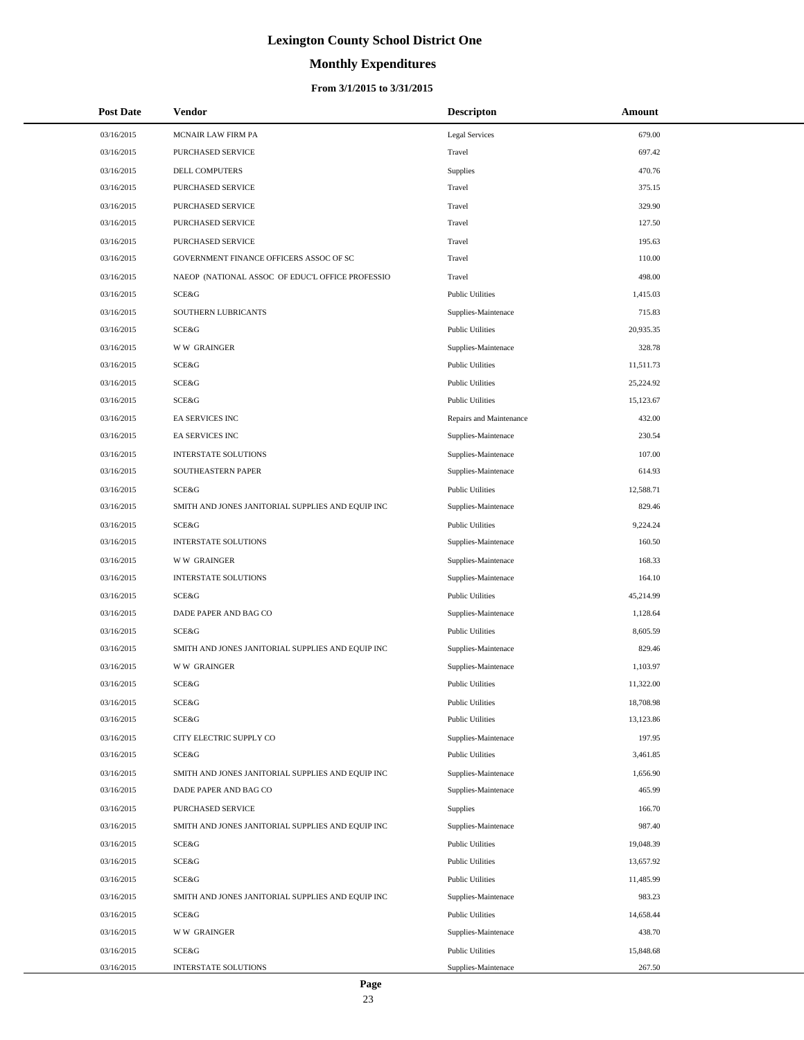# **Monthly Expenditures**

| <b>Post Date</b> | <b>Vendor</b>                                     | <b>Descripton</b>       | Amount    |
|------------------|---------------------------------------------------|-------------------------|-----------|
| 03/16/2015       | MCNAIR LAW FIRM PA                                | <b>Legal Services</b>   | 679.00    |
| 03/16/2015       | PURCHASED SERVICE                                 | Travel                  | 697.42    |
| 03/16/2015       | <b>DELL COMPUTERS</b>                             | <b>Supplies</b>         | 470.76    |
| 03/16/2015       | PURCHASED SERVICE                                 | Travel                  | 375.15    |
| 03/16/2015       | PURCHASED SERVICE                                 | Travel                  | 329.90    |
| 03/16/2015       | PURCHASED SERVICE                                 | Travel                  | 127.50    |
| 03/16/2015       | PURCHASED SERVICE                                 | Travel                  | 195.63    |
| 03/16/2015       | GOVERNMENT FINANCE OFFICERS ASSOC OF SC           | Travel                  | 110.00    |
| 03/16/2015       | NAEOP (NATIONAL ASSOC OF EDUC'L OFFICE PROFESSIO  | Travel                  | 498.00    |
| 03/16/2015       | SCE&G                                             | <b>Public Utilities</b> | 1,415.03  |
| 03/16/2015       | SOUTHERN LUBRICANTS                               | Supplies-Maintenace     | 715.83    |
| 03/16/2015       | SCE&G                                             | <b>Public Utilities</b> | 20,935.35 |
| 03/16/2015       | <b>WW GRAINGER</b>                                | Supplies-Maintenace     | 328.78    |
| 03/16/2015       | SCE&G                                             | <b>Public Utilities</b> | 11,511.73 |
| 03/16/2015       | SCE&G                                             | <b>Public Utilities</b> | 25,224.92 |
| 03/16/2015       | SCE&G                                             | <b>Public Utilities</b> | 15,123.67 |
| 03/16/2015       | EA SERVICES INC                                   | Repairs and Maintenance | 432.00    |
| 03/16/2015       | EA SERVICES INC                                   | Supplies-Maintenace     | 230.54    |
| 03/16/2015       | INTERSTATE SOLUTIONS                              | Supplies-Maintenace     | 107.00    |
| 03/16/2015       | SOUTHEASTERN PAPER                                | Supplies-Maintenace     | 614.93    |
| 03/16/2015       | SCE&G                                             | <b>Public Utilities</b> | 12,588.71 |
| 03/16/2015       | SMITH AND JONES JANITORIAL SUPPLIES AND EQUIP INC | Supplies-Maintenace     | 829.46    |
| 03/16/2015       | SCE&G                                             | <b>Public Utilities</b> | 9,224.24  |
| 03/16/2015       | <b>INTERSTATE SOLUTIONS</b>                       | Supplies-Maintenace     | 160.50    |
| 03/16/2015       | <b>WW GRAINGER</b>                                | Supplies-Maintenace     | 168.33    |
| 03/16/2015       | <b>INTERSTATE SOLUTIONS</b>                       | Supplies-Maintenace     | 164.10    |
| 03/16/2015       | SCE&G                                             | <b>Public Utilities</b> | 45,214.99 |
| 03/16/2015       | DADE PAPER AND BAG CO                             | Supplies-Maintenace     | 1,128.64  |
| 03/16/2015       | SCE&G                                             | <b>Public Utilities</b> | 8,605.59  |
| 03/16/2015       | SMITH AND JONES JANITORIAL SUPPLIES AND EQUIP INC | Supplies-Maintenace     | 829.46    |
| 03/16/2015       | <b>WW GRAINGER</b>                                | Supplies-Maintenace     | 1,103.97  |
| 03/16/2015       | SCE&G                                             | <b>Public Utilities</b> | 11,322.00 |
| 03/16/2015       | SCE&G                                             | <b>Public Utilities</b> | 18,708.98 |
| 03/16/2015       | SCE&G                                             | <b>Public Utilities</b> | 13,123.86 |
| 03/16/2015       | CITY ELECTRIC SUPPLY CO                           | Supplies-Maintenace     | 197.95    |
| 03/16/2015       | SCE&G                                             | <b>Public Utilities</b> | 3,461.85  |
| 03/16/2015       | SMITH AND JONES JANITORIAL SUPPLIES AND EQUIP INC | Supplies-Maintenace     | 1,656.90  |
| 03/16/2015       | DADE PAPER AND BAG CO                             | Supplies-Maintenace     | 465.99    |
| 03/16/2015       | PURCHASED SERVICE                                 | <b>Supplies</b>         | 166.70    |
| 03/16/2015       | SMITH AND JONES JANITORIAL SUPPLIES AND EQUIP INC | Supplies-Maintenace     | 987.40    |
| 03/16/2015       | SCE&G                                             | <b>Public Utilities</b> | 19,048.39 |
| 03/16/2015       | SCE&G                                             | <b>Public Utilities</b> | 13,657.92 |
| 03/16/2015       | SCE&G                                             | <b>Public Utilities</b> | 11,485.99 |
| 03/16/2015       | SMITH AND JONES JANITORIAL SUPPLIES AND EQUIP INC | Supplies-Maintenace     | 983.23    |
| 03/16/2015       | SCE&G                                             | <b>Public Utilities</b> | 14,658.44 |
| 03/16/2015       | <b>WW GRAINGER</b>                                | Supplies-Maintenace     | 438.70    |
| 03/16/2015       | SCE&G                                             | <b>Public Utilities</b> | 15,848.68 |
| 03/16/2015       | INTERSTATE SOLUTIONS                              | Supplies-Maintenace     | 267.50    |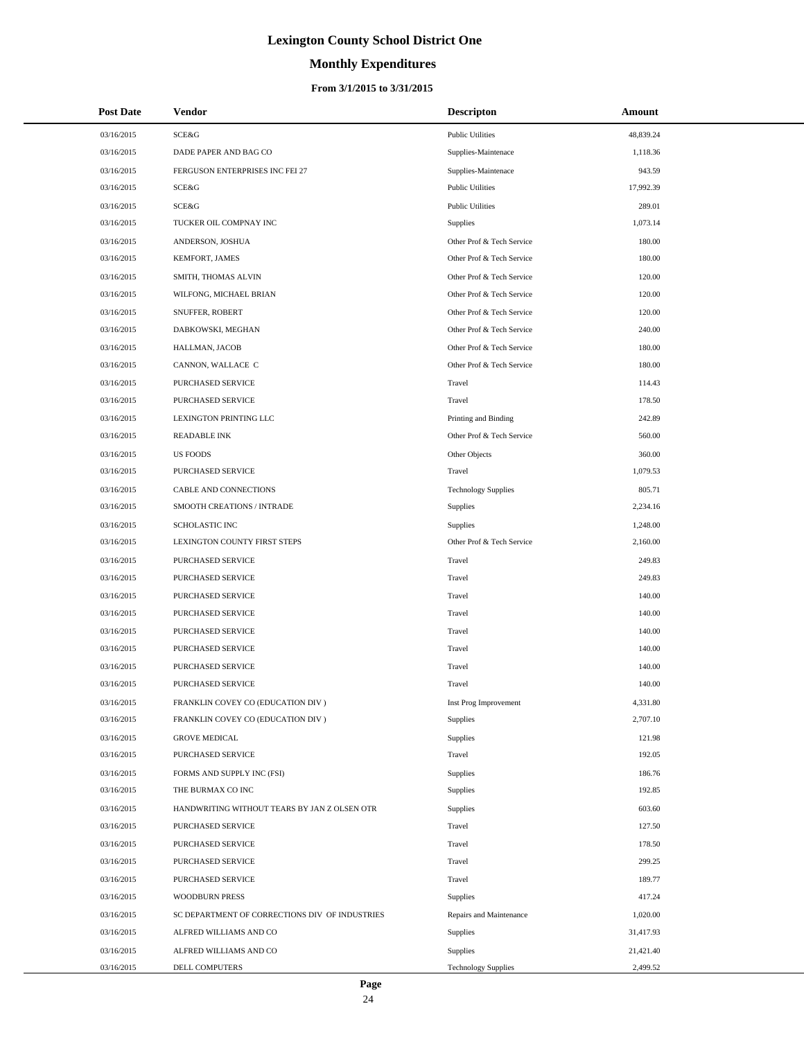# **Monthly Expenditures**

#### **From 3/1/2015 to 3/31/2015**

| <b>Post Date</b> | Vendor                                         | <b>Descripton</b>          | Amount    |
|------------------|------------------------------------------------|----------------------------|-----------|
| 03/16/2015       | SCE&G                                          | <b>Public Utilities</b>    | 48,839.24 |
| 03/16/2015       | DADE PAPER AND BAG CO                          | Supplies-Maintenace        | 1,118.36  |
| 03/16/2015       | FERGUSON ENTERPRISES INC FEI 27                | Supplies-Maintenace        | 943.59    |
| 03/16/2015       | SCE&G                                          | <b>Public Utilities</b>    | 17,992.39 |
| 03/16/2015       | <b>SCE&amp;G</b>                               | <b>Public Utilities</b>    | 289.01    |
| 03/16/2015       | TUCKER OIL COMPNAY INC                         | Supplies                   | 1,073.14  |
| 03/16/2015       | ANDERSON, JOSHUA                               | Other Prof & Tech Service  | 180.00    |
| 03/16/2015       | <b>KEMFORT, JAMES</b>                          | Other Prof & Tech Service  | 180.00    |
| 03/16/2015       | SMITH, THOMAS ALVIN                            | Other Prof & Tech Service  | 120.00    |
| 03/16/2015       | WILFONG, MICHAEL BRIAN                         | Other Prof & Tech Service  | 120.00    |
| 03/16/2015       | SNUFFER, ROBERT                                | Other Prof & Tech Service  | 120.00    |
| 03/16/2015       | DABKOWSKI, MEGHAN                              | Other Prof & Tech Service  | 240.00    |
| 03/16/2015       | HALLMAN, JACOB                                 | Other Prof & Tech Service  | 180.00    |
| 03/16/2015       | CANNON, WALLACE C                              | Other Prof & Tech Service  | 180.00    |
| 03/16/2015       | <b>PURCHASED SERVICE</b>                       | Travel                     | 114.43    |
| 03/16/2015       | PURCHASED SERVICE                              | Travel                     | 178.50    |
| 03/16/2015       | LEXINGTON PRINTING LLC                         | Printing and Binding       | 242.89    |
| 03/16/2015       | <b>READABLE INK</b>                            | Other Prof & Tech Service  | 560.00    |
| 03/16/2015       | <b>US FOODS</b>                                | Other Objects              | 360.00    |
| 03/16/2015       | PURCHASED SERVICE                              | Travel                     | 1,079.53  |
| 03/16/2015       | CABLE AND CONNECTIONS                          | <b>Technology Supplies</b> | 805.71    |
| 03/16/2015       | SMOOTH CREATIONS / INTRADE                     | <b>Supplies</b>            | 2,234.16  |
| 03/16/2015       | <b>SCHOLASTIC INC</b>                          | Supplies                   | 1,248.00  |
| 03/16/2015       | LEXINGTON COUNTY FIRST STEPS                   | Other Prof & Tech Service  | 2,160.00  |
| 03/16/2015       | PURCHASED SERVICE                              | Travel                     | 249.83    |
| 03/16/2015       | PURCHASED SERVICE                              | Travel                     | 249.83    |
| 03/16/2015       | PURCHASED SERVICE                              | Travel                     | 140.00    |
| 03/16/2015       | PURCHASED SERVICE                              | Travel                     | 140.00    |
| 03/16/2015       | PURCHASED SERVICE                              | Travel                     | 140.00    |
| 03/16/2015       | PURCHASED SERVICE                              | Travel                     | 140.00    |
| 03/16/2015       | PURCHASED SERVICE                              | Travel                     | 140.00    |
| 03/16/2015       | PURCHASED SERVICE                              | Travel                     | 140.00    |
| 03/16/2015       | FRANKLIN COVEY CO (EDUCATION DIV)              | Inst Prog Improvement      | 4,331.80  |
| 03/16/2015       | FRANKLIN COVEY CO (EDUCATION DIV)              | Supplies                   | 2,707.10  |
| 03/16/2015       | <b>GROVE MEDICAL</b>                           | Supplies                   | 121.98    |
| 03/16/2015       | PURCHASED SERVICE                              | Travel                     | 192.05    |
| 03/16/2015       | FORMS AND SUPPLY INC (FSI)                     | Supplies                   | 186.76    |
| 03/16/2015       | THE BURMAX CO INC                              | Supplies                   | 192.85    |
| 03/16/2015       | HANDWRITING WITHOUT TEARS BY JAN Z OLSEN OTR   | Supplies                   | 603.60    |
| 03/16/2015       | PURCHASED SERVICE                              | Travel                     | 127.50    |
| 03/16/2015       | PURCHASED SERVICE                              | Travel                     | 178.50    |
| 03/16/2015       | PURCHASED SERVICE                              | Travel                     | 299.25    |
| 03/16/2015       | PURCHASED SERVICE                              | Travel                     | 189.77    |
| 03/16/2015       | <b>WOODBURN PRESS</b>                          | <b>Supplies</b>            | 417.24    |
| 03/16/2015       | SC DEPARTMENT OF CORRECTIONS DIV OF INDUSTRIES | Repairs and Maintenance    | 1,020.00  |
| 03/16/2015       | ALFRED WILLIAMS AND CO                         | Supplies                   | 31,417.93 |
| 03/16/2015       | ALFRED WILLIAMS AND CO                         | <b>Supplies</b>            | 21,421.40 |
| 03/16/2015       | DELL COMPUTERS                                 | <b>Technology Supplies</b> | 2,499.52  |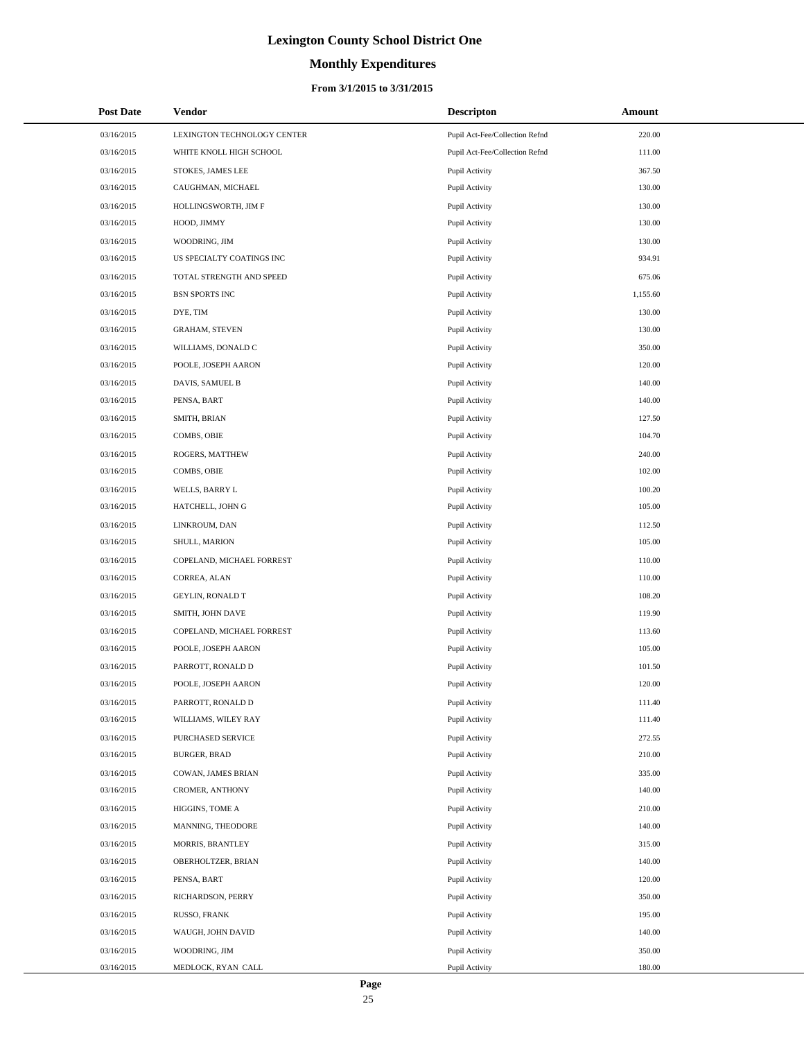# **Monthly Expenditures**

#### **From 3/1/2015 to 3/31/2015**

| <b>Post Date</b> | Vendor                      | <b>Descripton</b>              | Amount   |
|------------------|-----------------------------|--------------------------------|----------|
| 03/16/2015       | LEXINGTON TECHNOLOGY CENTER | Pupil Act-Fee/Collection Refnd | 220.00   |
| 03/16/2015       | WHITE KNOLL HIGH SCHOOL     | Pupil Act-Fee/Collection Refnd | 111.00   |
| 03/16/2015       | STOKES, JAMES LEE           | Pupil Activity                 | 367.50   |
| 03/16/2015       | CAUGHMAN, MICHAEL           | Pupil Activity                 | 130.00   |
| 03/16/2015       | HOLLINGSWORTH, JIM F        | Pupil Activity                 | 130.00   |
| 03/16/2015       | HOOD, JIMMY                 | Pupil Activity                 | 130.00   |
| 03/16/2015       | WOODRING, JIM               | Pupil Activity                 | 130.00   |
| 03/16/2015       | US SPECIALTY COATINGS INC   | Pupil Activity                 | 934.91   |
| 03/16/2015       | TOTAL STRENGTH AND SPEED    | Pupil Activity                 | 675.06   |
| 03/16/2015       | <b>BSN SPORTS INC</b>       | Pupil Activity                 | 1,155.60 |
| 03/16/2015       | DYE, TIM                    | Pupil Activity                 | 130.00   |
| 03/16/2015       | <b>GRAHAM, STEVEN</b>       | Pupil Activity                 | 130.00   |
| 03/16/2015       | WILLIAMS, DONALD C          | Pupil Activity                 | 350.00   |
| 03/16/2015       | POOLE, JOSEPH AARON         | Pupil Activity                 | 120.00   |
| 03/16/2015       | DAVIS, SAMUEL B             | Pupil Activity                 | 140.00   |
| 03/16/2015       | PENSA, BART                 | Pupil Activity                 | 140.00   |
| 03/16/2015       | SMITH, BRIAN                | Pupil Activity                 | 127.50   |
| 03/16/2015       | COMBS, OBIE                 | Pupil Activity                 | 104.70   |
| 03/16/2015       | ROGERS, MATTHEW             | Pupil Activity                 | 240.00   |
| 03/16/2015       | COMBS, OBIE                 | Pupil Activity                 | 102.00   |
| 03/16/2015       | WELLS, BARRY L              | Pupil Activity                 | 100.20   |
| 03/16/2015       | HATCHELL, JOHN G            | Pupil Activity                 | 105.00   |
| 03/16/2015       | LINKROUM, DAN               | Pupil Activity                 | 112.50   |
| 03/16/2015       | SHULL, MARION               | Pupil Activity                 | 105.00   |
| 03/16/2015       | COPELAND, MICHAEL FORREST   | Pupil Activity                 | 110.00   |
| 03/16/2015       | CORREA, ALAN                | Pupil Activity                 | 110.00   |
| 03/16/2015       | GEYLIN, RONALD T            | Pupil Activity                 | 108.20   |
| 03/16/2015       | SMITH, JOHN DAVE            | Pupil Activity                 | 119.90   |
| 03/16/2015       | COPELAND, MICHAEL FORREST   | Pupil Activity                 | 113.60   |
| 03/16/2015       | POOLE, JOSEPH AARON         | Pupil Activity                 | 105.00   |
| 03/16/2015       | PARROTT, RONALD D           | Pupil Activity                 | 101.50   |
| 03/16/2015       | POOLE, JOSEPH AARON         | Pupil Activity                 | 120.00   |
| 03/16/2015       | PARROTT, RONALD D           | Pupil Activity                 | 111.40   |
| 03/16/2015       | WILLIAMS, WILEY RAY         | Pupil Activity                 | 111.40   |
| 03/16/2015       | PURCHASED SERVICE           | Pupil Activity                 | 272.55   |
| 03/16/2015       | <b>BURGER, BRAD</b>         | Pupil Activity                 | 210.00   |
| 03/16/2015       | COWAN, JAMES BRIAN          | Pupil Activity                 | 335.00   |
| 03/16/2015       | CROMER, ANTHONY             | Pupil Activity                 | 140.00   |
| 03/16/2015       | HIGGINS, TOME A             | Pupil Activity                 | 210.00   |
| 03/16/2015       | MANNING, THEODORE           | Pupil Activity                 | 140.00   |
| 03/16/2015       | MORRIS, BRANTLEY            | Pupil Activity                 | 315.00   |
| 03/16/2015       | OBERHOLTZER, BRIAN          | Pupil Activity                 | 140.00   |
| 03/16/2015       | PENSA, BART                 | Pupil Activity                 | 120.00   |
| 03/16/2015       | RICHARDSON, PERRY           | Pupil Activity                 | 350.00   |
| 03/16/2015       | RUSSO, FRANK                | Pupil Activity                 | 195.00   |
| 03/16/2015       | WAUGH, JOHN DAVID           | Pupil Activity                 | 140.00   |
| 03/16/2015       | WOODRING, JIM               | Pupil Activity                 | 350.00   |
| 03/16/2015       | MEDLOCK, RYAN CALL          | Pupil Activity                 | 180.00   |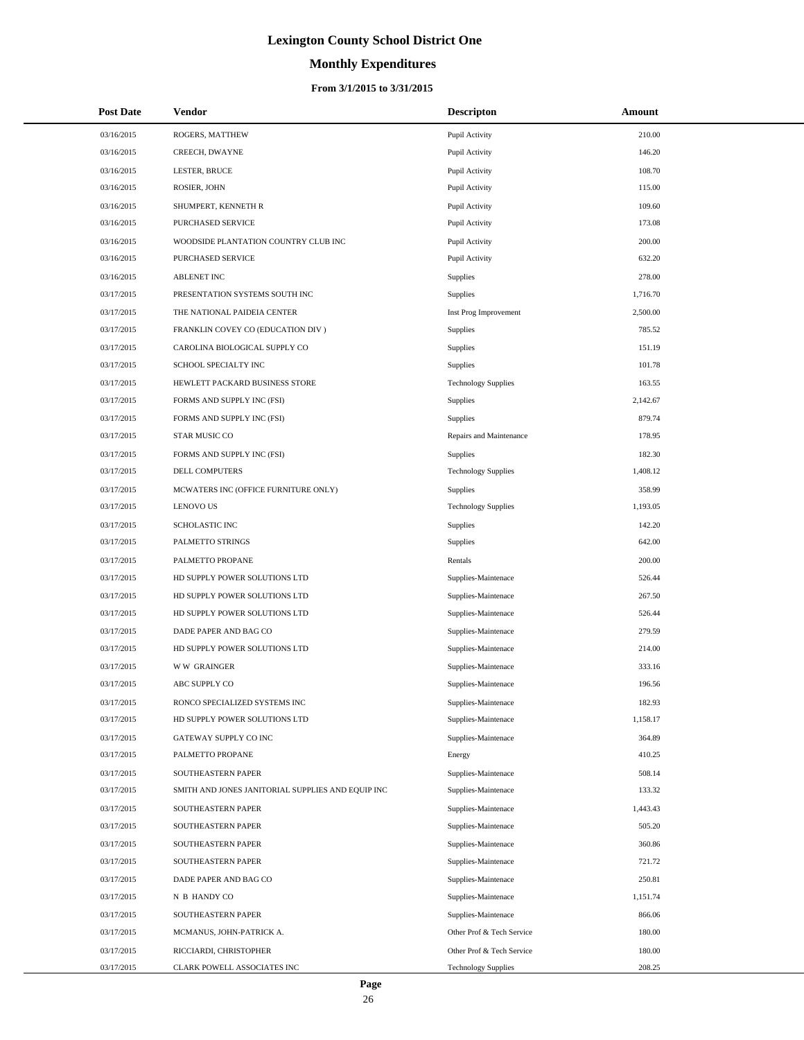# **Monthly Expenditures**

#### **From 3/1/2015 to 3/31/2015**

| <b>Post Date</b> | Vendor                                            | <b>Descripton</b>          | Amount   |
|------------------|---------------------------------------------------|----------------------------|----------|
| 03/16/2015       | ROGERS, MATTHEW                                   | Pupil Activity             | 210.00   |
| 03/16/2015       | CREECH, DWAYNE                                    | Pupil Activity             | 146.20   |
| 03/16/2015       | LESTER, BRUCE                                     | Pupil Activity             | 108.70   |
| 03/16/2015       | ROSIER, JOHN                                      | Pupil Activity             | 115.00   |
| 03/16/2015       | SHUMPERT, KENNETH R                               | Pupil Activity             | 109.60   |
| 03/16/2015       | PURCHASED SERVICE                                 | Pupil Activity             | 173.08   |
| 03/16/2015       | WOODSIDE PLANTATION COUNTRY CLUB INC              | Pupil Activity             | 200.00   |
| 03/16/2015       | PURCHASED SERVICE                                 | Pupil Activity             | 632.20   |
| 03/16/2015       | <b>ABLENET INC</b>                                | Supplies                   | 278.00   |
| 03/17/2015       | PRESENTATION SYSTEMS SOUTH INC                    | Supplies                   | 1,716.70 |
| 03/17/2015       | THE NATIONAL PAIDEIA CENTER                       | Inst Prog Improvement      | 2,500.00 |
| 03/17/2015       | FRANKLIN COVEY CO (EDUCATION DIV)                 | Supplies                   | 785.52   |
| 03/17/2015       | CAROLINA BIOLOGICAL SUPPLY CO                     | Supplies                   | 151.19   |
| 03/17/2015       | SCHOOL SPECIALTY INC                              | Supplies                   | 101.78   |
| 03/17/2015       | HEWLETT PACKARD BUSINESS STORE                    | <b>Technology Supplies</b> | 163.55   |
| 03/17/2015       | FORMS AND SUPPLY INC (FSI)                        | Supplies                   | 2,142.67 |
| 03/17/2015       | FORMS AND SUPPLY INC (FSI)                        | Supplies                   | 879.74   |
| 03/17/2015       | STAR MUSIC CO                                     | Repairs and Maintenance    | 178.95   |
| 03/17/2015       | FORMS AND SUPPLY INC (FSI)                        | Supplies                   | 182.30   |
| 03/17/2015       | <b>DELL COMPUTERS</b>                             | <b>Technology Supplies</b> | 1,408.12 |
| 03/17/2015       | MCWATERS INC (OFFICE FURNITURE ONLY)              | <b>Supplies</b>            | 358.99   |
| 03/17/2015       | <b>LENOVO US</b>                                  | <b>Technology Supplies</b> | 1,193.05 |
| 03/17/2015       | <b>SCHOLASTIC INC</b>                             | Supplies                   | 142.20   |
| 03/17/2015       | PALMETTO STRINGS                                  | Supplies                   | 642.00   |
| 03/17/2015       | PALMETTO PROPANE                                  | Rentals                    | 200.00   |
| 03/17/2015       | HD SUPPLY POWER SOLUTIONS LTD                     | Supplies-Maintenace        | 526.44   |
| 03/17/2015       | HD SUPPLY POWER SOLUTIONS LTD                     | Supplies-Maintenace        | 267.50   |
| 03/17/2015       | HD SUPPLY POWER SOLUTIONS LTD                     | Supplies-Maintenace        | 526.44   |
| 03/17/2015       | DADE PAPER AND BAG CO                             | Supplies-Maintenace        | 279.59   |
| 03/17/2015       | HD SUPPLY POWER SOLUTIONS LTD                     | Supplies-Maintenace        | 214.00   |
| 03/17/2015       | <b>WW GRAINGER</b>                                | Supplies-Maintenace        | 333.16   |
| 03/17/2015       | ABC SUPPLY CO                                     | Supplies-Maintenace        | 196.56   |
| 03/17/2015       | RONCO SPECIALIZED SYSTEMS INC                     | Supplies-Maintenace        | 182.93   |
| 03/17/2015       | HD SUPPLY POWER SOLUTIONS LTD                     | Supplies-Maintenace        | 1,158.17 |
| 03/17/2015       | <b>GATEWAY SUPPLY CO INC</b>                      | Supplies-Maintenace        | 364.89   |
| 03/17/2015       | PALMETTO PROPANE                                  | Energy                     | 410.25   |
| 03/17/2015       | SOUTHEASTERN PAPER                                | Supplies-Maintenace        | 508.14   |
| 03/17/2015       | SMITH AND JONES JANITORIAL SUPPLIES AND EQUIP INC | Supplies-Maintenace        | 133.32   |
| 03/17/2015       | SOUTHEASTERN PAPER                                | Supplies-Maintenace        | 1,443.43 |
| 03/17/2015       | SOUTHEASTERN PAPER                                | Supplies-Maintenace        | 505.20   |
| 03/17/2015       | SOUTHEASTERN PAPER                                | Supplies-Maintenace        | 360.86   |
| 03/17/2015       | SOUTHEASTERN PAPER                                | Supplies-Maintenace        | 721.72   |
| 03/17/2015       | DADE PAPER AND BAG CO                             | Supplies-Maintenace        | 250.81   |
| 03/17/2015       | N B HANDY CO                                      | Supplies-Maintenace        | 1,151.74 |
| 03/17/2015       | SOUTHEASTERN PAPER                                | Supplies-Maintenace        | 866.06   |
| 03/17/2015       | MCMANUS, JOHN-PATRICK A.                          | Other Prof & Tech Service  | 180.00   |
| 03/17/2015       | RICCIARDI, CHRISTOPHER                            | Other Prof & Tech Service  | 180.00   |
| 03/17/2015       | CLARK POWELL ASSOCIATES INC                       | <b>Technology Supplies</b> | 208.25   |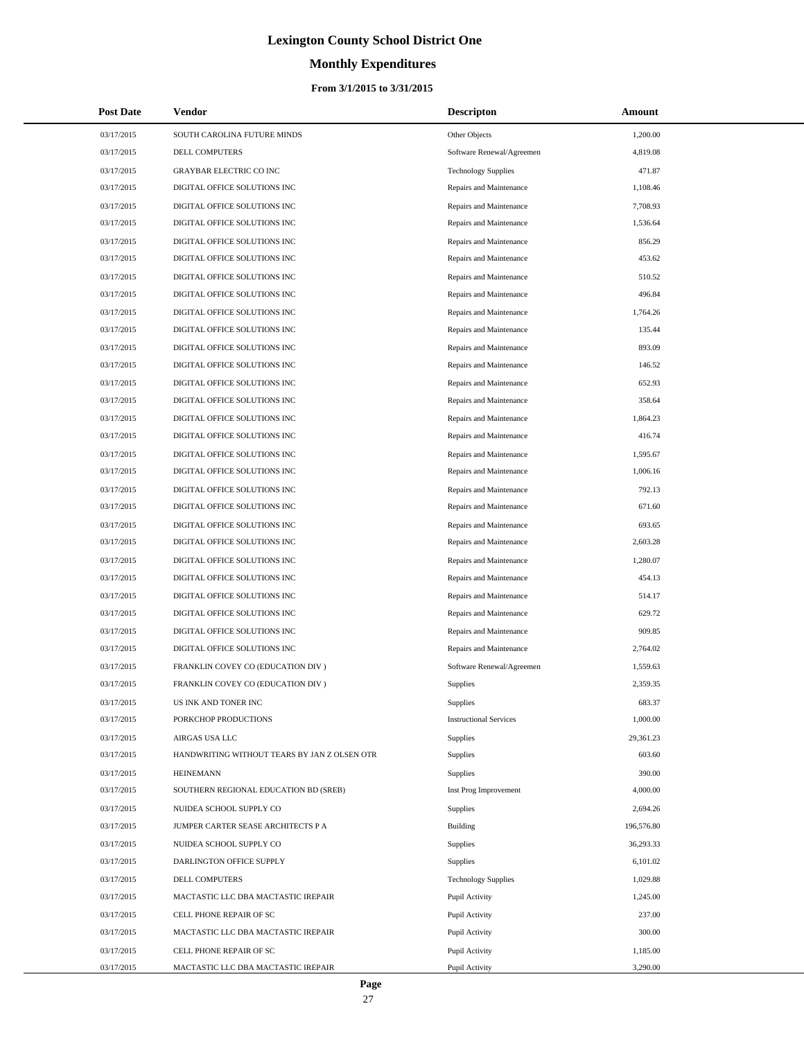# **Monthly Expenditures**

| <b>Post Date</b> | <b>Vendor</b>                                | <b>Descripton</b>             | Amount     |
|------------------|----------------------------------------------|-------------------------------|------------|
| 03/17/2015       | SOUTH CAROLINA FUTURE MINDS                  | Other Objects                 | 1,200.00   |
| 03/17/2015       | <b>DELL COMPUTERS</b>                        | Software Renewal/Agreemen     | 4,819.08   |
| 03/17/2015       | GRAYBAR ELECTRIC CO INC                      | <b>Technology Supplies</b>    | 471.87     |
| 03/17/2015       | DIGITAL OFFICE SOLUTIONS INC                 | Repairs and Maintenance       | 1,108.46   |
| 03/17/2015       | DIGITAL OFFICE SOLUTIONS INC                 | Repairs and Maintenance       | 7,708.93   |
| 03/17/2015       | DIGITAL OFFICE SOLUTIONS INC                 | Repairs and Maintenance       | 1,536.64   |
| 03/17/2015       | DIGITAL OFFICE SOLUTIONS INC                 | Repairs and Maintenance       | 856.29     |
| 03/17/2015       | DIGITAL OFFICE SOLUTIONS INC                 | Repairs and Maintenance       | 453.62     |
| 03/17/2015       | DIGITAL OFFICE SOLUTIONS INC                 | Repairs and Maintenance       | 510.52     |
| 03/17/2015       | DIGITAL OFFICE SOLUTIONS INC                 | Repairs and Maintenance       | 496.84     |
| 03/17/2015       | DIGITAL OFFICE SOLUTIONS INC                 | Repairs and Maintenance       | 1,764.26   |
| 03/17/2015       | DIGITAL OFFICE SOLUTIONS INC                 | Repairs and Maintenance       | 135.44     |
| 03/17/2015       | DIGITAL OFFICE SOLUTIONS INC                 | Repairs and Maintenance       | 893.09     |
| 03/17/2015       | DIGITAL OFFICE SOLUTIONS INC                 | Repairs and Maintenance       | 146.52     |
| 03/17/2015       | DIGITAL OFFICE SOLUTIONS INC                 | Repairs and Maintenance       | 652.93     |
| 03/17/2015       | DIGITAL OFFICE SOLUTIONS INC                 | Repairs and Maintenance       | 358.64     |
| 03/17/2015       | DIGITAL OFFICE SOLUTIONS INC                 | Repairs and Maintenance       | 1,864.23   |
| 03/17/2015       | DIGITAL OFFICE SOLUTIONS INC                 | Repairs and Maintenance       | 416.74     |
| 03/17/2015       | DIGITAL OFFICE SOLUTIONS INC                 | Repairs and Maintenance       | 1,595.67   |
| 03/17/2015       | DIGITAL OFFICE SOLUTIONS INC                 | Repairs and Maintenance       | 1,006.16   |
| 03/17/2015       | DIGITAL OFFICE SOLUTIONS INC                 | Repairs and Maintenance       | 792.13     |
| 03/17/2015       | DIGITAL OFFICE SOLUTIONS INC                 | Repairs and Maintenance       | 671.60     |
| 03/17/2015       | DIGITAL OFFICE SOLUTIONS INC                 | Repairs and Maintenance       | 693.65     |
| 03/17/2015       | DIGITAL OFFICE SOLUTIONS INC                 | Repairs and Maintenance       | 2,603.28   |
| 03/17/2015       | DIGITAL OFFICE SOLUTIONS INC                 | Repairs and Maintenance       | 1,280.07   |
| 03/17/2015       | DIGITAL OFFICE SOLUTIONS INC                 | Repairs and Maintenance       | 454.13     |
| 03/17/2015       | DIGITAL OFFICE SOLUTIONS INC                 | Repairs and Maintenance       | 514.17     |
| 03/17/2015       | DIGITAL OFFICE SOLUTIONS INC                 | Repairs and Maintenance       | 629.72     |
| 03/17/2015       | DIGITAL OFFICE SOLUTIONS INC                 | Repairs and Maintenance       | 909.85     |
| 03/17/2015       | DIGITAL OFFICE SOLUTIONS INC                 | Repairs and Maintenance       | 2,764.02   |
| 03/17/2015       | FRANKLIN COVEY CO (EDUCATION DIV)            | Software Renewal/Agreemen     | 1,559.63   |
| 03/17/2015       | FRANKLIN COVEY CO (EDUCATION DIV)            | Supplies                      | 2,359.35   |
| 03/17/2015       | US INK AND TONER INC                         | Supplies                      | 683.37     |
| 03/17/2015       | PORKCHOP PRODUCTIONS                         | <b>Instructional Services</b> | 1,000.00   |
| 03/17/2015       | AIRGAS USA LLC                               | Supplies                      | 29,361.23  |
| 03/17/2015       | HANDWRITING WITHOUT TEARS BY JAN Z OLSEN OTR | Supplies                      | 603.60     |
| 03/17/2015       | <b>HEINEMANN</b>                             | Supplies                      | 390.00     |
| 03/17/2015       | SOUTHERN REGIONAL EDUCATION BD (SREB)        | Inst Prog Improvement         | 4,000.00   |
| 03/17/2015       | NUIDEA SCHOOL SUPPLY CO                      | Supplies                      | 2,694.26   |
| 03/17/2015       | JUMPER CARTER SEASE ARCHITECTS P A           | <b>Building</b>               | 196,576.80 |
| 03/17/2015       | NUIDEA SCHOOL SUPPLY CO                      | Supplies                      | 36,293.33  |
| 03/17/2015       | DARLINGTON OFFICE SUPPLY                     | Supplies                      | 6,101.02   |
| 03/17/2015       | DELL COMPUTERS                               | <b>Technology Supplies</b>    | 1,029.88   |
| 03/17/2015       | MACTASTIC LLC DBA MACTASTIC IREPAIR          | Pupil Activity                | 1,245.00   |
| 03/17/2015       | CELL PHONE REPAIR OF SC                      | Pupil Activity                | 237.00     |
| 03/17/2015       | MACTASTIC LLC DBA MACTASTIC IREPAIR          | Pupil Activity                | 300.00     |
| 03/17/2015       | CELL PHONE REPAIR OF SC                      | Pupil Activity                | 1,185.00   |
| 03/17/2015       | MACTASTIC LLC DBA MACTASTIC IREPAIR          | Pupil Activity                | 3,290.00   |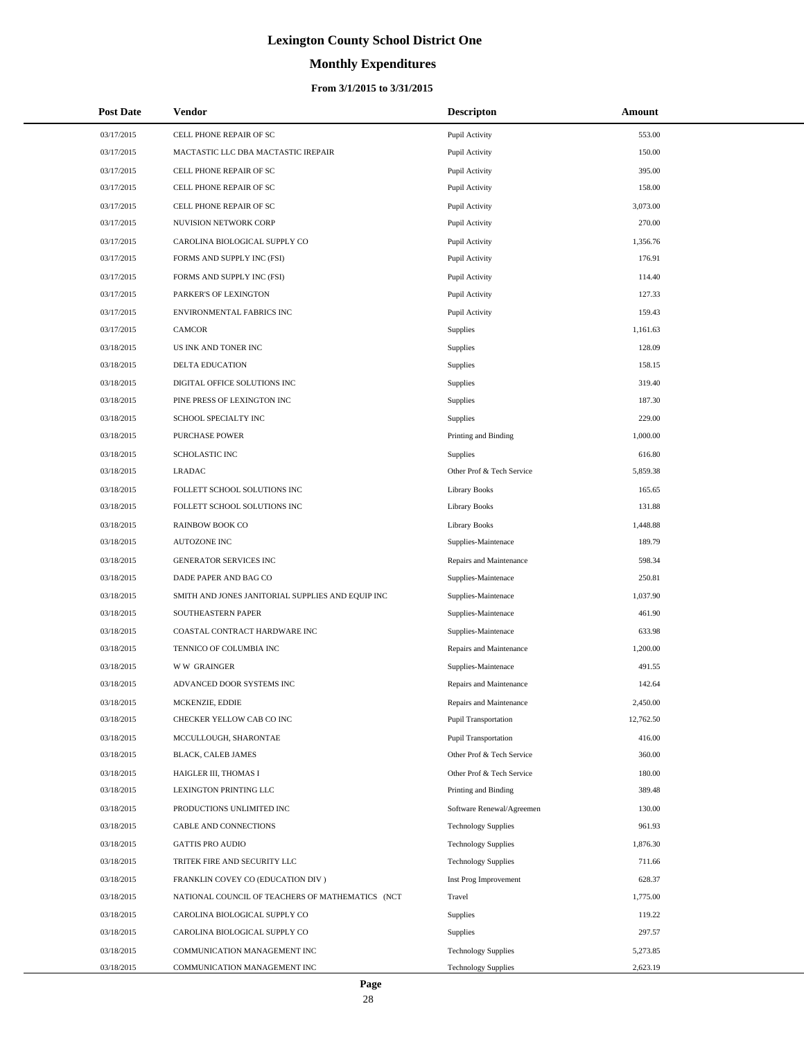# **Monthly Expenditures**

### **From 3/1/2015 to 3/31/2015**

| <b>Post Date</b> | <b>Vendor</b>                                     | <b>Descripton</b>           | Amount    |
|------------------|---------------------------------------------------|-----------------------------|-----------|
| 03/17/2015       | CELL PHONE REPAIR OF SC                           | Pupil Activity              | 553.00    |
| 03/17/2015       | MACTASTIC LLC DBA MACTASTIC IREPAIR               | Pupil Activity              | 150.00    |
| 03/17/2015       | CELL PHONE REPAIR OF SC                           | Pupil Activity              | 395.00    |
| 03/17/2015       | CELL PHONE REPAIR OF SC                           | Pupil Activity              | 158.00    |
| 03/17/2015       | CELL PHONE REPAIR OF SC                           | Pupil Activity              | 3,073.00  |
| 03/17/2015       | NUVISION NETWORK CORP                             | Pupil Activity              | 270.00    |
| 03/17/2015       | CAROLINA BIOLOGICAL SUPPLY CO                     | Pupil Activity              | 1,356.76  |
| 03/17/2015       | FORMS AND SUPPLY INC (FSI)                        | Pupil Activity              | 176.91    |
| 03/17/2015       | FORMS AND SUPPLY INC (FSI)                        | Pupil Activity              | 114.40    |
| 03/17/2015       | PARKER'S OF LEXINGTON                             | Pupil Activity              | 127.33    |
| 03/17/2015       | ENVIRONMENTAL FABRICS INC                         | Pupil Activity              | 159.43    |
| 03/17/2015       | <b>CAMCOR</b>                                     | Supplies                    | 1,161.63  |
| 03/18/2015       | US INK AND TONER INC                              | Supplies                    | 128.09    |
| 03/18/2015       | DELTA EDUCATION                                   | Supplies                    | 158.15    |
| 03/18/2015       | DIGITAL OFFICE SOLUTIONS INC                      | Supplies                    | 319.40    |
| 03/18/2015       | PINE PRESS OF LEXINGTON INC                       | Supplies                    | 187.30    |
| 03/18/2015       | SCHOOL SPECIALTY INC                              | Supplies                    | 229.00    |
| 03/18/2015       | <b>PURCHASE POWER</b>                             | Printing and Binding        | 1,000.00  |
| 03/18/2015       | <b>SCHOLASTIC INC</b>                             | <b>Supplies</b>             | 616.80    |
| 03/18/2015       | <b>LRADAC</b>                                     | Other Prof & Tech Service   | 5,859.38  |
| 03/18/2015       | FOLLETT SCHOOL SOLUTIONS INC                      | <b>Library Books</b>        | 165.65    |
| 03/18/2015       | FOLLETT SCHOOL SOLUTIONS INC                      | <b>Library Books</b>        | 131.88    |
| 03/18/2015       | <b>RAINBOW BOOK CO</b>                            | <b>Library Books</b>        | 1,448.88  |
| 03/18/2015       | <b>AUTOZONE INC</b>                               | Supplies-Maintenace         | 189.79    |
| 03/18/2015       | GENERATOR SERVICES INC                            | Repairs and Maintenance     | 598.34    |
| 03/18/2015       | DADE PAPER AND BAG CO                             | Supplies-Maintenace         | 250.81    |
| 03/18/2015       | SMITH AND JONES JANITORIAL SUPPLIES AND EQUIP INC | Supplies-Maintenace         | 1,037.90  |
| 03/18/2015       | SOUTHEASTERN PAPER                                | Supplies-Maintenace         | 461.90    |
| 03/18/2015       | COASTAL CONTRACT HARDWARE INC                     | Supplies-Maintenace         | 633.98    |
| 03/18/2015       | TENNICO OF COLUMBIA INC                           | Repairs and Maintenance     | 1,200.00  |
| 03/18/2015       | <b>WW GRAINGER</b>                                | Supplies-Maintenace         | 491.55    |
| 03/18/2015       | ADVANCED DOOR SYSTEMS INC                         | Repairs and Maintenance     | 142.64    |
| 03/18/2015       | MCKENZIE, EDDIE                                   | Repairs and Maintenance     | 2,450.00  |
| 03/18/2015       | CHECKER YELLOW CAB CO INC                         | <b>Pupil Transportation</b> | 12,762.50 |
| 03/18/2015       | MCCULLOUGH, SHARONTAE                             | Pupil Transportation        | 416.00    |
| 03/18/2015       | BLACK, CALEB JAMES                                | Other Prof & Tech Service   | 360.00    |
| 03/18/2015       | HAIGLER III, THOMAS I                             | Other Prof & Tech Service   | 180.00    |
| 03/18/2015       | LEXINGTON PRINTING LLC                            | Printing and Binding        | 389.48    |
| 03/18/2015       | PRODUCTIONS UNLIMITED INC                         | Software Renewal/Agreemen   | 130.00    |
| 03/18/2015       | CABLE AND CONNECTIONS                             | <b>Technology Supplies</b>  | 961.93    |
| 03/18/2015       | <b>GATTIS PRO AUDIO</b>                           | <b>Technology Supplies</b>  | 1,876.30  |
| 03/18/2015       | TRITEK FIRE AND SECURITY LLC                      | <b>Technology Supplies</b>  | 711.66    |
| 03/18/2015       | FRANKLIN COVEY CO (EDUCATION DIV)                 | Inst Prog Improvement       | 628.37    |
| 03/18/2015       | NATIONAL COUNCIL OF TEACHERS OF MATHEMATICS (NCT  | Travel                      | 1,775.00  |
| 03/18/2015       | CAROLINA BIOLOGICAL SUPPLY CO                     | <b>Supplies</b>             | 119.22    |
| 03/18/2015       | CAROLINA BIOLOGICAL SUPPLY CO                     | <b>Supplies</b>             | 297.57    |
| 03/18/2015       | COMMUNICATION MANAGEMENT INC                      | <b>Technology Supplies</b>  | 5,273.85  |
| 03/18/2015       | COMMUNICATION MANAGEMENT INC                      | <b>Technology Supplies</b>  | 2,623.19  |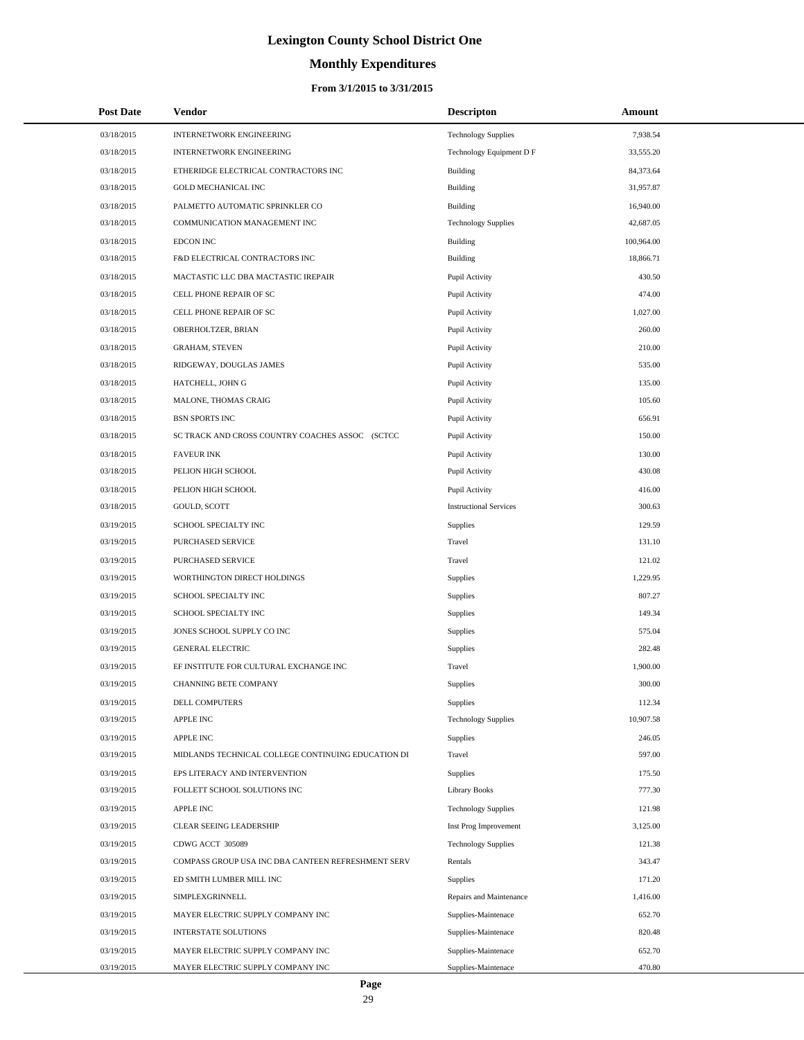# **Monthly Expenditures**

### **From 3/1/2015 to 3/31/2015**

| <b>Post Date</b> | Vendor                                             | <b>Descripton</b>             | Amount     |
|------------------|----------------------------------------------------|-------------------------------|------------|
| 03/18/2015       | <b>INTERNETWORK ENGINEERING</b>                    | <b>Technology Supplies</b>    | 7,938.54   |
| 03/18/2015       | INTERNETWORK ENGINEERING                           | Technology Equipment D F      | 33,555.20  |
| 03/18/2015       | ETHERIDGE ELECTRICAL CONTRACTORS INC               | Building                      | 84,373.64  |
| 03/18/2015       | <b>GOLD MECHANICAL INC</b>                         | Building                      | 31,957.87  |
| 03/18/2015       | PALMETTO AUTOMATIC SPRINKLER CO                    | Building                      | 16,940.00  |
| 03/18/2015       | COMMUNICATION MANAGEMENT INC                       | <b>Technology Supplies</b>    | 42,687.05  |
| 03/18/2015       | <b>EDCON INC</b>                                   | Building                      | 100,964.00 |
| 03/18/2015       | F&D ELECTRICAL CONTRACTORS INC                     | Building                      | 18,866.71  |
| 03/18/2015       | MACTASTIC LLC DBA MACTASTIC IREPAIR                | Pupil Activity                | 430.50     |
| 03/18/2015       | CELL PHONE REPAIR OF SC                            | Pupil Activity                | 474.00     |
| 03/18/2015       | CELL PHONE REPAIR OF SC                            | Pupil Activity                | 1,027.00   |
| 03/18/2015       | OBERHOLTZER, BRIAN                                 | Pupil Activity                | 260.00     |
| 03/18/2015       | <b>GRAHAM, STEVEN</b>                              | Pupil Activity                | 210.00     |
| 03/18/2015       | RIDGEWAY, DOUGLAS JAMES                            | Pupil Activity                | 535.00     |
| 03/18/2015       | HATCHELL, JOHN G                                   | Pupil Activity                | 135.00     |
| 03/18/2015       | MALONE, THOMAS CRAIG                               | Pupil Activity                | 105.60     |
| 03/18/2015       | <b>BSN SPORTS INC</b>                              | Pupil Activity                | 656.91     |
| 03/18/2015       | SC TRACK AND CROSS COUNTRY COACHES ASSOC (SCTCC    | Pupil Activity                | 150.00     |
| 03/18/2015       | <b>FAVEUR INK</b>                                  | Pupil Activity                | 130.00     |
| 03/18/2015       | PELION HIGH SCHOOL                                 | Pupil Activity                | 430.08     |
| 03/18/2015       | PELION HIGH SCHOOL                                 | Pupil Activity                | 416.00     |
| 03/18/2015       | GOULD, SCOTT                                       | <b>Instructional Services</b> | 300.63     |
| 03/19/2015       | SCHOOL SPECIALTY INC                               | Supplies                      | 129.59     |
| 03/19/2015       | PURCHASED SERVICE                                  | Travel                        | 131.10     |
| 03/19/2015       | PURCHASED SERVICE                                  | Travel                        | 121.02     |
| 03/19/2015       | WORTHINGTON DIRECT HOLDINGS                        | Supplies                      | 1,229.95   |
| 03/19/2015       | SCHOOL SPECIALTY INC                               | Supplies                      | 807.27     |
| 03/19/2015       | SCHOOL SPECIALTY INC                               | <b>Supplies</b>               | 149.34     |
| 03/19/2015       | JONES SCHOOL SUPPLY CO INC                         | <b>Supplies</b>               | 575.04     |
| 03/19/2015       | <b>GENERAL ELECTRIC</b>                            | Supplies                      | 282.48     |
| 03/19/2015       | EF INSTITUTE FOR CULTURAL EXCHANGE INC             | Travel                        | 1,900.00   |
| 03/19/2015       | <b>CHANNING BETE COMPANY</b>                       | Supplies                      | 300.00     |
| 03/19/2015       | DELL COMPUTERS                                     | Supplies                      | 112.34     |
| 03/19/2015       | <b>APPLE INC</b>                                   | <b>Technology Supplies</b>    | 10,907.58  |
| 03/19/2015       | APPLE INC                                          | <b>Supplies</b>               | 246.05     |
| 03/19/2015       | MIDLANDS TECHNICAL COLLEGE CONTINUING EDUCATION DI | Travel                        | 597.00     |
| 03/19/2015       | EPS LITERACY AND INTERVENTION                      | <b>Supplies</b>               | 175.50     |
| 03/19/2015       | FOLLETT SCHOOL SOLUTIONS INC                       | <b>Library Books</b>          | 777.30     |
| 03/19/2015       | APPLE INC                                          | <b>Technology Supplies</b>    | 121.98     |
| 03/19/2015       | CLEAR SEEING LEADERSHIP                            | Inst Prog Improvement         | 3,125.00   |
| 03/19/2015       | CDWG ACCT 305089                                   | <b>Technology Supplies</b>    | 121.38     |
| 03/19/2015       | COMPASS GROUP USA INC DBA CANTEEN REFRESHMENT SERV | Rentals                       | 343.47     |
| 03/19/2015       | ED SMITH LUMBER MILL INC                           | <b>Supplies</b>               | 171.20     |
| 03/19/2015       | SIMPLEXGRINNELL                                    | Repairs and Maintenance       | 1,416.00   |
| 03/19/2015       | MAYER ELECTRIC SUPPLY COMPANY INC                  | Supplies-Maintenace           | 652.70     |
| 03/19/2015       | INTERSTATE SOLUTIONS                               | Supplies-Maintenace           | 820.48     |
| 03/19/2015       | MAYER ELECTRIC SUPPLY COMPANY INC                  | Supplies-Maintenace           | 652.70     |
| 03/19/2015       | MAYER ELECTRIC SUPPLY COMPANY INC                  | Supplies-Maintenace           | 470.80     |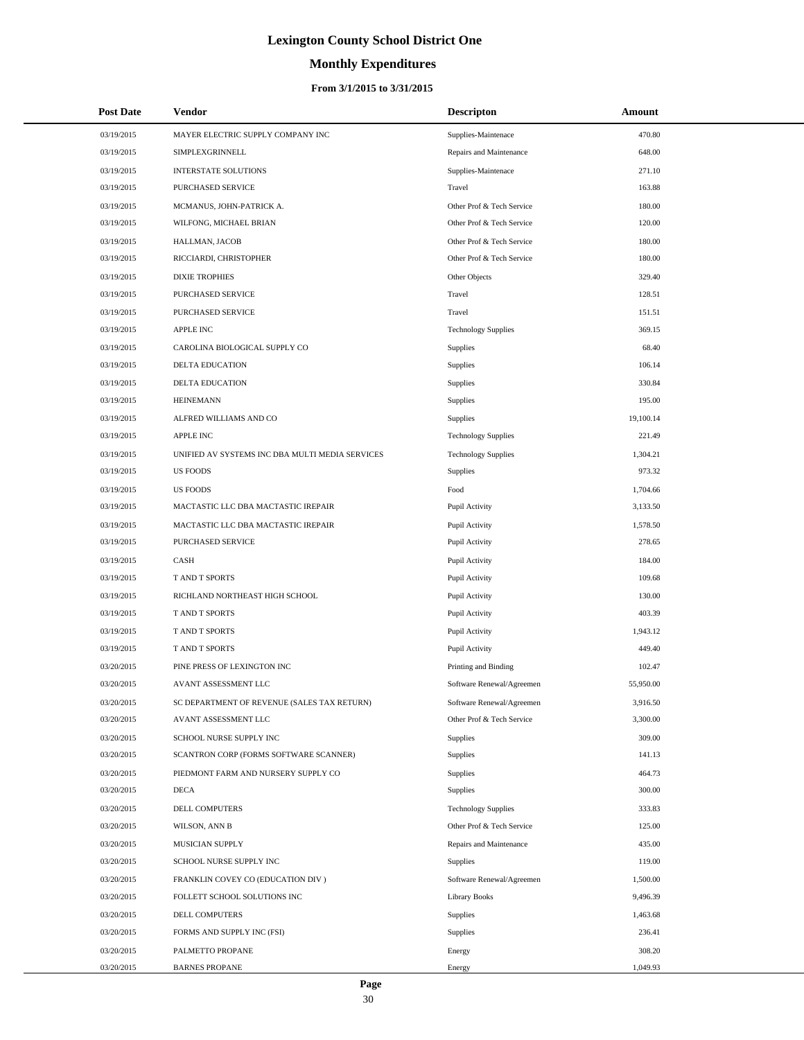# **Monthly Expenditures**

| <b>Post Date</b> | Vendor                                          | <b>Descripton</b>          | Amount    |
|------------------|-------------------------------------------------|----------------------------|-----------|
| 03/19/2015       | MAYER ELECTRIC SUPPLY COMPANY INC               | Supplies-Maintenace        | 470.80    |
| 03/19/2015       | SIMPLEXGRINNELL                                 | Repairs and Maintenance    | 648.00    |
| 03/19/2015       | <b>INTERSTATE SOLUTIONS</b>                     | Supplies-Maintenace        | 271.10    |
| 03/19/2015       | <b>PURCHASED SERVICE</b>                        | Travel                     | 163.88    |
| 03/19/2015       | MCMANUS, JOHN-PATRICK A.                        | Other Prof & Tech Service  | 180.00    |
| 03/19/2015       | WILFONG, MICHAEL BRIAN                          | Other Prof & Tech Service  | 120.00    |
| 03/19/2015       | HALLMAN, JACOB                                  | Other Prof & Tech Service  | 180.00    |
| 03/19/2015       | RICCIARDI, CHRISTOPHER                          | Other Prof & Tech Service  | 180.00    |
| 03/19/2015       | <b>DIXIE TROPHIES</b>                           | Other Objects              | 329.40    |
| 03/19/2015       | PURCHASED SERVICE                               | Travel                     | 128.51    |
| 03/19/2015       | PURCHASED SERVICE                               | Travel                     | 151.51    |
| 03/19/2015       | <b>APPLE INC</b>                                | <b>Technology Supplies</b> | 369.15    |
| 03/19/2015       | CAROLINA BIOLOGICAL SUPPLY CO                   | Supplies                   | 68.40     |
| 03/19/2015       | DELTA EDUCATION                                 | Supplies                   | 106.14    |
| 03/19/2015       | <b>DELTA EDUCATION</b>                          | Supplies                   | 330.84    |
| 03/19/2015       | <b>HEINEMANN</b>                                | Supplies                   | 195.00    |
| 03/19/2015       | ALFRED WILLIAMS AND CO                          | Supplies                   | 19,100.14 |
| 03/19/2015       | <b>APPLE INC</b>                                | <b>Technology Supplies</b> | 221.49    |
| 03/19/2015       | UNIFIED AV SYSTEMS INC DBA MULTI MEDIA SERVICES | <b>Technology Supplies</b> | 1,304.21  |
| 03/19/2015       | <b>US FOODS</b>                                 | Supplies                   | 973.32    |
| 03/19/2015       | <b>US FOODS</b>                                 | Food                       | 1,704.66  |
| 03/19/2015       | MACTASTIC LLC DBA MACTASTIC IREPAIR             | Pupil Activity             | 3,133.50  |
| 03/19/2015       | MACTASTIC LLC DBA MACTASTIC IREPAIR             | Pupil Activity             | 1,578.50  |
| 03/19/2015       | PURCHASED SERVICE                               | Pupil Activity             | 278.65    |
| 03/19/2015       | CASH                                            | Pupil Activity             | 184.00    |
| 03/19/2015       | T AND T SPORTS                                  | Pupil Activity             | 109.68    |
| 03/19/2015       | RICHLAND NORTHEAST HIGH SCHOOL                  | Pupil Activity             | 130.00    |
| 03/19/2015       | T AND T SPORTS                                  | Pupil Activity             | 403.39    |
| 03/19/2015       | <b>T AND T SPORTS</b>                           | Pupil Activity             | 1,943.12  |
| 03/19/2015       | T AND T SPORTS                                  | Pupil Activity             | 449.40    |
| 03/20/2015       | PINE PRESS OF LEXINGTON INC                     | Printing and Binding       | 102.47    |
| 03/20/2015       | AVANT ASSESSMENT LLC                            | Software Renewal/Agreemen  | 55,950.00 |
| 03/20/2015       | SC DEPARTMENT OF REVENUE (SALES TAX RETURN)     | Software Renewal/Agreemen  | 3,916.50  |
| 03/20/2015       | AVANT ASSESSMENT LLC                            | Other Prof & Tech Service  | 3,300.00  |
| 03/20/2015       | SCHOOL NURSE SUPPLY INC                         | Supplies                   | 309.00    |
| 03/20/2015       | SCANTRON CORP (FORMS SOFTWARE SCANNER)          | Supplies                   | 141.13    |
| 03/20/2015       | PIEDMONT FARM AND NURSERY SUPPLY CO             | Supplies                   | 464.73    |
| 03/20/2015       | DECA                                            | <b>Supplies</b>            | 300.00    |
| 03/20/2015       | DELL COMPUTERS                                  | <b>Technology Supplies</b> | 333.83    |
| 03/20/2015       | WILSON, ANN B                                   | Other Prof & Tech Service  | 125.00    |
| 03/20/2015       | MUSICIAN SUPPLY                                 | Repairs and Maintenance    | 435.00    |
| 03/20/2015       | SCHOOL NURSE SUPPLY INC                         | Supplies                   | 119.00    |
| 03/20/2015       | FRANKLIN COVEY CO (EDUCATION DIV)               | Software Renewal/Agreemen  | 1,500.00  |
| 03/20/2015       | FOLLETT SCHOOL SOLUTIONS INC                    | <b>Library Books</b>       | 9,496.39  |
| 03/20/2015       | DELL COMPUTERS                                  | Supplies                   | 1,463.68  |
| 03/20/2015       | FORMS AND SUPPLY INC (FSI)                      | Supplies                   | 236.41    |
| 03/20/2015       | PALMETTO PROPANE                                | Energy                     | 308.20    |
| 03/20/2015       | <b>BARNES PROPANE</b>                           | Energy                     | 1,049.93  |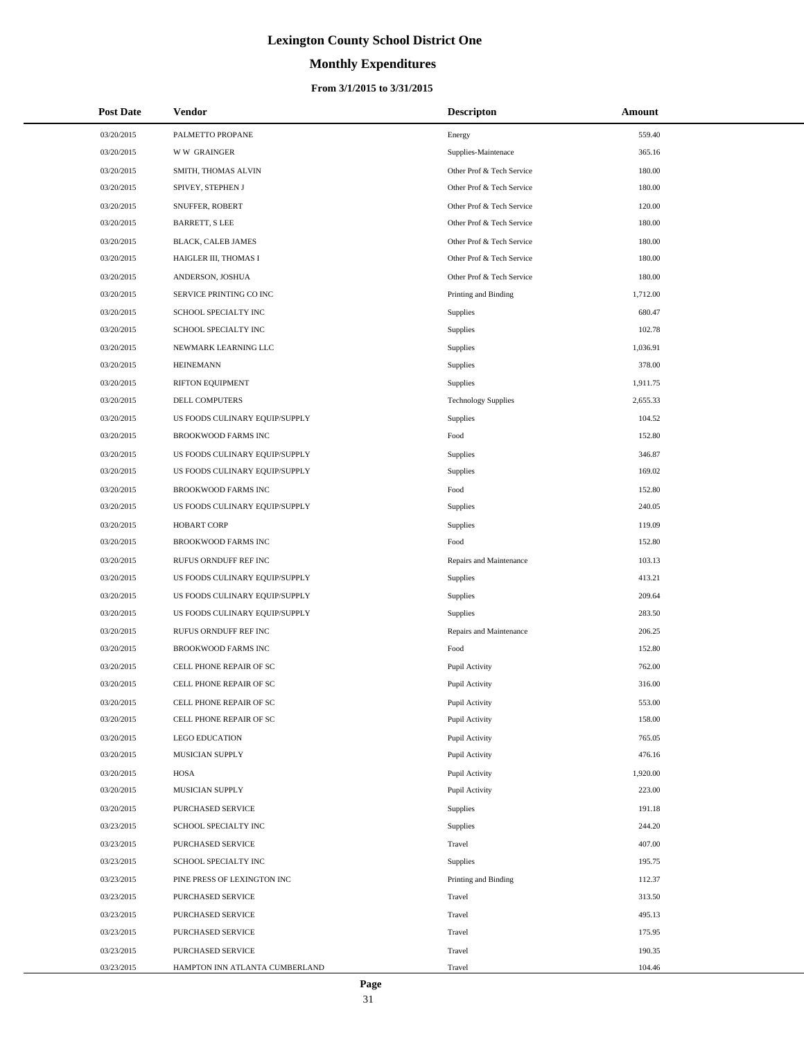# **Monthly Expenditures**

#### **From 3/1/2015 to 3/31/2015**

| <b>Post Date</b> | <b>Vendor</b>                  | <b>Descripton</b>          | Amount   |
|------------------|--------------------------------|----------------------------|----------|
| 03/20/2015       | PALMETTO PROPANE               | Energy                     | 559.40   |
| 03/20/2015       | <b>WW GRAINGER</b>             | Supplies-Maintenace        | 365.16   |
| 03/20/2015       | SMITH, THOMAS ALVIN            | Other Prof & Tech Service  | 180.00   |
| 03/20/2015       | SPIVEY, STEPHEN J              | Other Prof & Tech Service  | 180.00   |
| 03/20/2015       | SNUFFER, ROBERT                | Other Prof & Tech Service  | 120.00   |
| 03/20/2015       | <b>BARRETT, S LEE</b>          | Other Prof & Tech Service  | 180.00   |
| 03/20/2015       | BLACK, CALEB JAMES             | Other Prof & Tech Service  | 180.00   |
| 03/20/2015       | HAIGLER III, THOMAS I          | Other Prof & Tech Service  | 180.00   |
| 03/20/2015       | ANDERSON, JOSHUA               | Other Prof & Tech Service  | 180.00   |
| 03/20/2015       | SERVICE PRINTING CO INC        | Printing and Binding       | 1,712.00 |
| 03/20/2015       | SCHOOL SPECIALTY INC           | Supplies                   | 680.47   |
| 03/20/2015       | SCHOOL SPECIALTY INC           | Supplies                   | 102.78   |
| 03/20/2015       | NEWMARK LEARNING LLC           | Supplies                   | 1,036.91 |
| 03/20/2015       | <b>HEINEMANN</b>               | Supplies                   | 378.00   |
| 03/20/2015       | RIFTON EQUIPMENT               | Supplies                   | 1,911.75 |
| 03/20/2015       | <b>DELL COMPUTERS</b>          | <b>Technology Supplies</b> | 2,655.33 |
| 03/20/2015       | US FOODS CULINARY EQUIP/SUPPLY | Supplies                   | 104.52   |
| 03/20/2015       | BROOKWOOD FARMS INC            | Food                       | 152.80   |
| 03/20/2015       | US FOODS CULINARY EQUIP/SUPPLY | Supplies                   | 346.87   |
| 03/20/2015       | US FOODS CULINARY EQUIP/SUPPLY | Supplies                   | 169.02   |
| 03/20/2015       | BROOKWOOD FARMS INC            | Food                       | 152.80   |
| 03/20/2015       | US FOODS CULINARY EQUIP/SUPPLY | Supplies                   | 240.05   |
| 03/20/2015       | <b>HOBART CORP</b>             | Supplies                   | 119.09   |
| 03/20/2015       | BROOKWOOD FARMS INC            | Food                       | 152.80   |
| 03/20/2015       | RUFUS ORNDUFF REF INC          | Repairs and Maintenance    | 103.13   |
| 03/20/2015       | US FOODS CULINARY EQUIP/SUPPLY | Supplies                   | 413.21   |
| 03/20/2015       | US FOODS CULINARY EQUIP/SUPPLY | Supplies                   | 209.64   |
| 03/20/2015       | US FOODS CULINARY EQUIP/SUPPLY | Supplies                   | 283.50   |
| 03/20/2015       | RUFUS ORNDUFF REF INC          | Repairs and Maintenance    | 206.25   |
| 03/20/2015       | BROOKWOOD FARMS INC            | Food                       | 152.80   |
| 03/20/2015       | CELL PHONE REPAIR OF SC        | Pupil Activity             | 762.00   |
| 03/20/2015       | CELL PHONE REPAIR OF SC        | Pupil Activity             | 316.00   |
| 03/20/2015       | CELL PHONE REPAIR OF SC        | Pupil Activity             | 553.00   |
| 03/20/2015       | CELL PHONE REPAIR OF SC        | Pupil Activity             | 158.00   |
| 03/20/2015       | <b>LEGO EDUCATION</b>          | Pupil Activity             | 765.05   |
| 03/20/2015       | MUSICIAN SUPPLY                | Pupil Activity             | 476.16   |
| 03/20/2015       | HOSA                           | Pupil Activity             | 1,920.00 |
| 03/20/2015       | MUSICIAN SUPPLY                | Pupil Activity             | 223.00   |
| 03/20/2015       | PURCHASED SERVICE              | Supplies                   | 191.18   |
| 03/23/2015       | SCHOOL SPECIALTY INC           | Supplies                   | 244.20   |
| 03/23/2015       | PURCHASED SERVICE              | Travel                     | 407.00   |
| 03/23/2015       | SCHOOL SPECIALTY INC           | Supplies                   | 195.75   |
| 03/23/2015       | PINE PRESS OF LEXINGTON INC    | Printing and Binding       | 112.37   |
| 03/23/2015       | PURCHASED SERVICE              | Travel                     | 313.50   |
| 03/23/2015       | PURCHASED SERVICE              | Travel                     | 495.13   |
| 03/23/2015       | PURCHASED SERVICE              | Travel                     | 175.95   |
| 03/23/2015       | PURCHASED SERVICE              | Travel                     | 190.35   |
| 03/23/2015       | HAMPTON INN ATLANTA CUMBERLAND | Travel                     | 104.46   |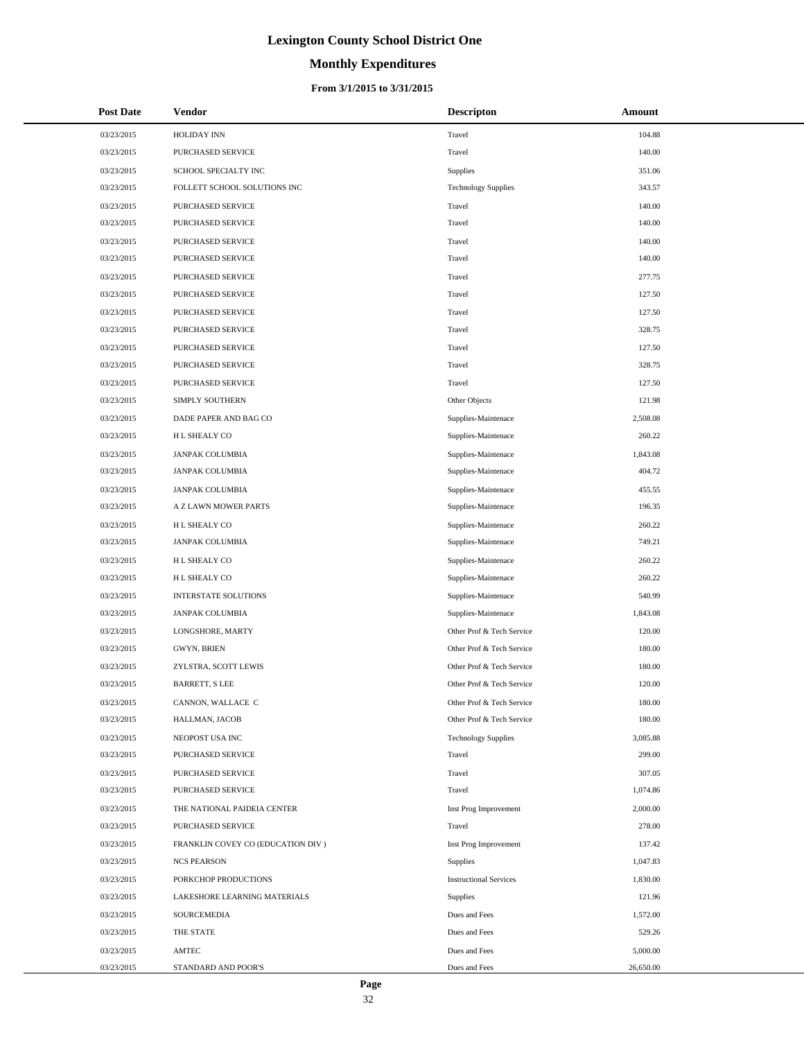# **Monthly Expenditures**

#### **From 3/1/2015 to 3/31/2015**

| <b>Post Date</b> | <b>Vendor</b>                     | <b>Descripton</b>             | Amount    |
|------------------|-----------------------------------|-------------------------------|-----------|
| 03/23/2015       | <b>HOLIDAY INN</b>                | Travel                        | 104.88    |
| 03/23/2015       | PURCHASED SERVICE                 | Travel                        | 140.00    |
| 03/23/2015       | SCHOOL SPECIALTY INC              | Supplies                      | 351.06    |
| 03/23/2015       | FOLLETT SCHOOL SOLUTIONS INC      | <b>Technology Supplies</b>    | 343.57    |
| 03/23/2015       | PURCHASED SERVICE                 | Travel                        | 140.00    |
| 03/23/2015       | PURCHASED SERVICE                 | Travel                        | 140.00    |
| 03/23/2015       | PURCHASED SERVICE                 | Travel                        | 140.00    |
| 03/23/2015       | PURCHASED SERVICE                 | Travel                        | 140.00    |
| 03/23/2015       | PURCHASED SERVICE                 | Travel                        | 277.75    |
| 03/23/2015       | PURCHASED SERVICE                 | Travel                        | 127.50    |
| 03/23/2015       | PURCHASED SERVICE                 | Travel                        | 127.50    |
| 03/23/2015       | PURCHASED SERVICE                 | Travel                        | 328.75    |
| 03/23/2015       | PURCHASED SERVICE                 | Travel                        | 127.50    |
| 03/23/2015       | PURCHASED SERVICE                 | Travel                        | 328.75    |
| 03/23/2015       | PURCHASED SERVICE                 | Travel                        | 127.50    |
| 03/23/2015       | <b>SIMPLY SOUTHERN</b>            | Other Objects                 | 121.98    |
| 03/23/2015       | DADE PAPER AND BAG CO             | Supplies-Maintenace           | 2,508.08  |
| 03/23/2015       | H L SHEALY CO                     | Supplies-Maintenace           | 260.22    |
| 03/23/2015       | JANPAK COLUMBIA                   | Supplies-Maintenace           | 1,843.08  |
| 03/23/2015       | JANPAK COLUMBIA                   | Supplies-Maintenace           | 404.72    |
| 03/23/2015       | JANPAK COLUMBIA                   | Supplies-Maintenace           | 455.55    |
| 03/23/2015       | A Z LAWN MOWER PARTS              | Supplies-Maintenace           | 196.35    |
| 03/23/2015       | H L SHEALY CO                     | Supplies-Maintenace           | 260.22    |
| 03/23/2015       | JANPAK COLUMBIA                   | Supplies-Maintenace           | 749.21    |
| 03/23/2015       | H L SHEALY CO                     | Supplies-Maintenace           | 260.22    |
| 03/23/2015       | H L SHEALY CO                     | Supplies-Maintenace           | 260.22    |
| 03/23/2015       | <b>INTERSTATE SOLUTIONS</b>       | Supplies-Maintenace           | 540.99    |
| 03/23/2015       | JANPAK COLUMBIA                   | Supplies-Maintenace           | 1,843.08  |
| 03/23/2015       | LONGSHORE, MARTY                  | Other Prof & Tech Service     | 120.00    |
| 03/23/2015       | <b>GWYN, BRIEN</b>                | Other Prof & Tech Service     | 180.00    |
| 03/23/2015       | ZYLSTRA, SCOTT LEWIS              | Other Prof & Tech Service     | 180.00    |
| 03/23/2015       | <b>BARRETT, S LEE</b>             | Other Prof & Tech Service     | 120.00    |
| 03/23/2015       | CANNON, WALLACE C                 | Other Prof & Tech Service     | 180.00    |
| 03/23/2015       | HALLMAN, JACOB                    | Other Prof & Tech Service     | 180.00    |
| 03/23/2015       | NEOPOST USA INC                   | <b>Technology Supplies</b>    | 3,085.88  |
| 03/23/2015       | PURCHASED SERVICE                 | Travel                        | 299.00    |
| 03/23/2015       | PURCHASED SERVICE                 | Travel                        | 307.05    |
| 03/23/2015       | PURCHASED SERVICE                 | Travel                        | 1,074.86  |
| 03/23/2015       | THE NATIONAL PAIDEIA CENTER       | Inst Prog Improvement         | 2,000.00  |
| 03/23/2015       | PURCHASED SERVICE                 | Travel                        | 278.00    |
| 03/23/2015       | FRANKLIN COVEY CO (EDUCATION DIV) | Inst Prog Improvement         | 137.42    |
| 03/23/2015       | <b>NCS PEARSON</b>                | Supplies                      | 1,047.83  |
| 03/23/2015       | PORKCHOP PRODUCTIONS              | <b>Instructional Services</b> | 1,830.00  |
| 03/23/2015       | LAKESHORE LEARNING MATERIALS      | Supplies                      | 121.96    |
| 03/23/2015       | SOURCEMEDIA                       | Dues and Fees                 | 1,572.00  |
| 03/23/2015       | THE STATE                         | Dues and Fees                 | 529.26    |
| 03/23/2015       | AMTEC                             | Dues and Fees                 | 5,000.00  |
| 03/23/2015       | STANDARD AND POOR'S               | Dues and Fees                 | 26,650.00 |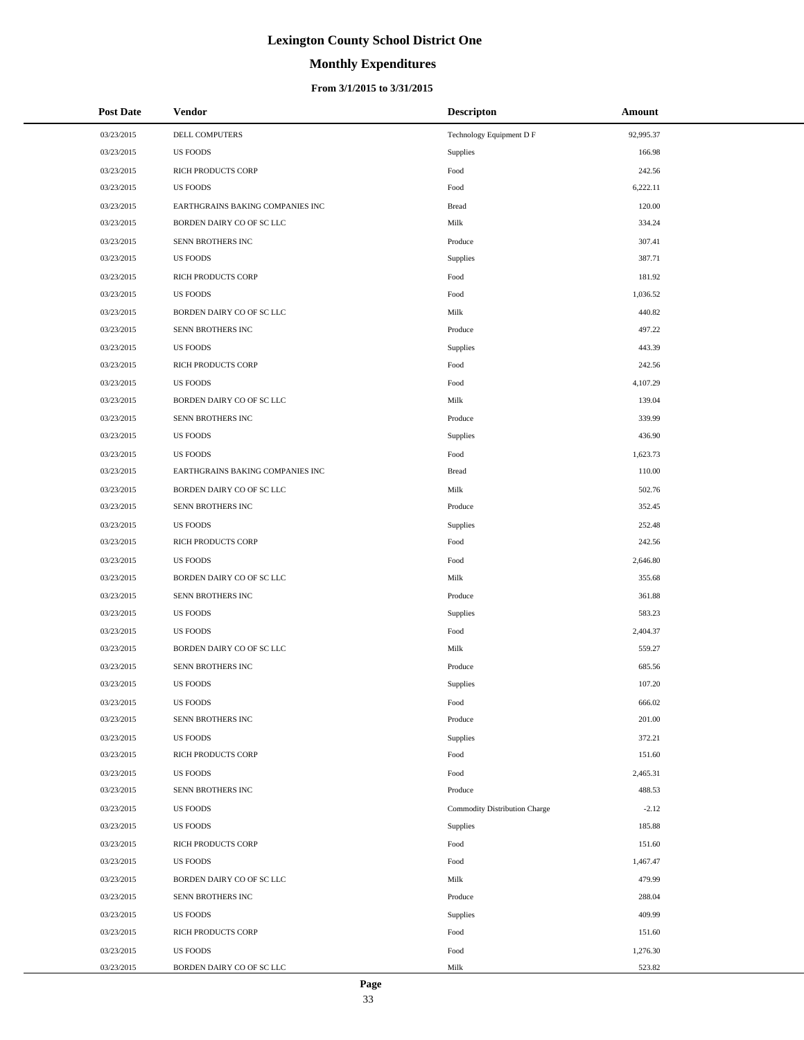# **Monthly Expenditures**

#### **From 3/1/2015 to 3/31/2015**

| <b>Post Date</b> | <b>Vendor</b>                    | <b>Descripton</b>             | Amount    |
|------------------|----------------------------------|-------------------------------|-----------|
| 03/23/2015       | DELL COMPUTERS                   | Technology Equipment D F      | 92,995.37 |
| 03/23/2015       | <b>US FOODS</b>                  | Supplies                      | 166.98    |
| 03/23/2015       | RICH PRODUCTS CORP               | Food                          | 242.56    |
| 03/23/2015       | <b>US FOODS</b>                  | Food                          | 6,222.11  |
| 03/23/2015       | EARTHGRAINS BAKING COMPANIES INC | <b>Bread</b>                  | 120.00    |
| 03/23/2015       | BORDEN DAIRY CO OF SC LLC        | Milk                          | 334.24    |
| 03/23/2015       | SENN BROTHERS INC                | Produce                       | 307.41    |
| 03/23/2015       | <b>US FOODS</b>                  | Supplies                      | 387.71    |
| 03/23/2015       | RICH PRODUCTS CORP               | Food                          | 181.92    |
| 03/23/2015       | <b>US FOODS</b>                  | Food                          | 1,036.52  |
| 03/23/2015       | BORDEN DAIRY CO OF SC LLC        | Milk                          | 440.82    |
| 03/23/2015       | SENN BROTHERS INC                | Produce                       | 497.22    |
| 03/23/2015       | <b>US FOODS</b>                  | Supplies                      | 443.39    |
| 03/23/2015       | <b>RICH PRODUCTS CORP</b>        | Food                          | 242.56    |
| 03/23/2015       | <b>US FOODS</b>                  | Food                          | 4,107.29  |
| 03/23/2015       | BORDEN DAIRY CO OF SC LLC        | Milk                          | 139.04    |
| 03/23/2015       | SENN BROTHERS INC                | Produce                       | 339.99    |
| 03/23/2015       | <b>US FOODS</b>                  | Supplies                      | 436.90    |
| 03/23/2015       | <b>US FOODS</b>                  | Food                          | 1,623.73  |
| 03/23/2015       | EARTHGRAINS BAKING COMPANIES INC | <b>Bread</b>                  | 110.00    |
| 03/23/2015       | BORDEN DAIRY CO OF SC LLC        | Milk                          | 502.76    |
| 03/23/2015       | SENN BROTHERS INC                | Produce                       | 352.45    |
| 03/23/2015       | <b>US FOODS</b>                  | Supplies                      | 252.48    |
| 03/23/2015       | RICH PRODUCTS CORP               | Food                          | 242.56    |
| 03/23/2015       | <b>US FOODS</b>                  | Food                          | 2,646.80  |
| 03/23/2015       | BORDEN DAIRY CO OF SC LLC        | Milk                          | 355.68    |
| 03/23/2015       | SENN BROTHERS INC                | Produce                       | 361.88    |
| 03/23/2015       | <b>US FOODS</b>                  | Supplies                      | 583.23    |
| 03/23/2015       | <b>US FOODS</b>                  | Food                          | 2,404.37  |
| 03/23/2015       | BORDEN DAIRY CO OF SC LLC        | Milk                          | 559.27    |
| 03/23/2015       | SENN BROTHERS INC                | Produce                       | 685.56    |
| 03/23/2015       | <b>US FOODS</b>                  | Supplies                      | 107.20    |
| 03/23/2015       | <b>US FOODS</b>                  | Food                          | 666.02    |
| 03/23/2015       | SENN BROTHERS INC                | Produce                       | 201.00    |
| 03/23/2015       | <b>US FOODS</b>                  | Supplies                      | 372.21    |
| 03/23/2015       | RICH PRODUCTS CORP               | Food                          | 151.60    |
| 03/23/2015       | <b>US FOODS</b>                  | Food                          | 2,465.31  |
| 03/23/2015       | SENN BROTHERS INC                | Produce                       | 488.53    |
| 03/23/2015       | <b>US FOODS</b>                  | Commodity Distribution Charge | $-2.12$   |
| 03/23/2015       | <b>US FOODS</b>                  | Supplies                      | 185.88    |
| 03/23/2015       | RICH PRODUCTS CORP               | Food                          | 151.60    |
| 03/23/2015       | <b>US FOODS</b>                  | Food                          | 1,467.47  |
| 03/23/2015       | BORDEN DAIRY CO OF SC LLC        | Milk                          | 479.99    |
| 03/23/2015       | SENN BROTHERS INC                | Produce                       | 288.04    |
| 03/23/2015       | <b>US FOODS</b>                  | Supplies                      | 409.99    |
| 03/23/2015       | RICH PRODUCTS CORP               | Food                          | 151.60    |
| 03/23/2015       | <b>US FOODS</b>                  | Food                          | 1,276.30  |
| 03/23/2015       | BORDEN DAIRY CO OF SC LLC        | Milk                          | 523.82    |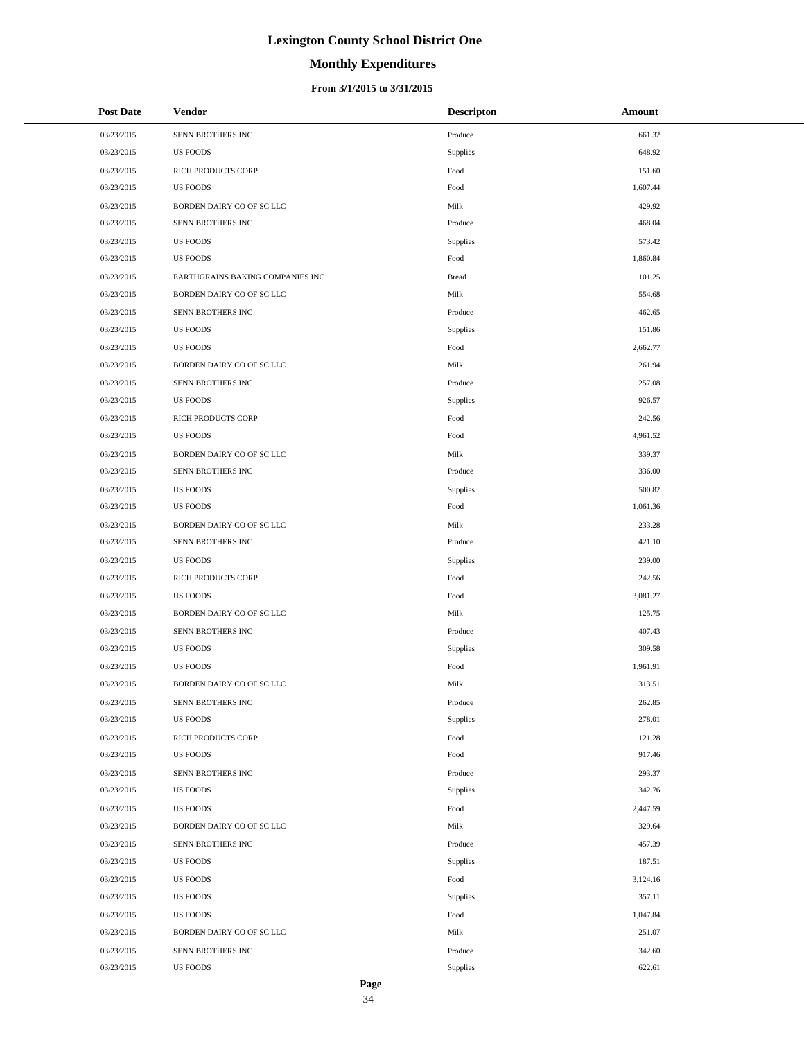# **Monthly Expenditures**

#### **From 3/1/2015 to 3/31/2015**

| <b>Post Date</b> | Vendor                           | <b>Descripton</b> | Amount   |
|------------------|----------------------------------|-------------------|----------|
| 03/23/2015       | SENN BROTHERS INC                | Produce           | 661.32   |
| 03/23/2015       | <b>US FOODS</b>                  | Supplies          | 648.92   |
| 03/23/2015       | RICH PRODUCTS CORP               | Food              | 151.60   |
| 03/23/2015       | <b>US FOODS</b>                  | Food              | 1,607.44 |
| 03/23/2015       | BORDEN DAIRY CO OF SC LLC        | Milk              | 429.92   |
| 03/23/2015       | SENN BROTHERS INC                | Produce           | 468.04   |
| 03/23/2015       | <b>US FOODS</b>                  | Supplies          | 573.42   |
| 03/23/2015       | <b>US FOODS</b>                  | Food              | 1,860.84 |
| 03/23/2015       | EARTHGRAINS BAKING COMPANIES INC | <b>Bread</b>      | 101.25   |
| 03/23/2015       | BORDEN DAIRY CO OF SC LLC        | Milk              | 554.68   |
| 03/23/2015       | SENN BROTHERS INC                | Produce           | 462.65   |
| 03/23/2015       | <b>US FOODS</b>                  | Supplies          | 151.86   |
| 03/23/2015       | <b>US FOODS</b>                  | Food              | 2,662.77 |
| 03/23/2015       | BORDEN DAIRY CO OF SC LLC        | Milk              | 261.94   |
| 03/23/2015       | SENN BROTHERS INC                | Produce           | 257.08   |
| 03/23/2015       | <b>US FOODS</b>                  | Supplies          | 926.57   |
| 03/23/2015       | RICH PRODUCTS CORP               | Food              | 242.56   |
| 03/23/2015       | <b>US FOODS</b>                  | Food              | 4,961.52 |
| 03/23/2015       | BORDEN DAIRY CO OF SC LLC        | Milk              | 339.37   |
| 03/23/2015       | SENN BROTHERS INC                | Produce           | 336.00   |
| 03/23/2015       | <b>US FOODS</b>                  | Supplies          | 500.82   |
| 03/23/2015       | <b>US FOODS</b>                  | Food              | 1,061.36 |
| 03/23/2015       | BORDEN DAIRY CO OF SC LLC        | Milk              | 233.28   |
| 03/23/2015       | SENN BROTHERS INC                | Produce           | 421.10   |
| 03/23/2015       | US FOODS                         | Supplies          | 239.00   |
| 03/23/2015       | RICH PRODUCTS CORP               | Food              | 242.56   |
| 03/23/2015       | <b>US FOODS</b>                  | Food              | 3,081.27 |
| 03/23/2015       | BORDEN DAIRY CO OF SC LLC        | Milk              | 125.75   |
| 03/23/2015       | SENN BROTHERS INC                | Produce           | 407.43   |
| 03/23/2015       | <b>US FOODS</b>                  | Supplies          | 309.58   |
| 03/23/2015       | <b>US FOODS</b>                  | Food              | 1,961.91 |
| 03/23/2015       | BORDEN DAIRY CO OF SC LLC        | Milk              | 313.51   |
| 03/23/2015       | SENN BROTHERS INC                | Produce           | 262.85   |
| 03/23/2015       | <b>US FOODS</b>                  | Supplies          | 278.01   |
| 03/23/2015       | <b>RICH PRODUCTS CORP</b>        | Food              | 121.28   |
| 03/23/2015       | <b>US FOODS</b>                  | Food              | 917.46   |
| 03/23/2015       | SENN BROTHERS INC                | Produce           | 293.37   |
| 03/23/2015       | <b>US FOODS</b>                  | Supplies          | 342.76   |
| 03/23/2015       | <b>US FOODS</b>                  | Food              | 2,447.59 |
| 03/23/2015       | BORDEN DAIRY CO OF SC LLC        | Milk              | 329.64   |
| 03/23/2015       | SENN BROTHERS INC                | Produce           | 457.39   |
| 03/23/2015       | <b>US FOODS</b>                  | Supplies          | 187.51   |
| 03/23/2015       | <b>US FOODS</b>                  | Food              | 3,124.16 |
| 03/23/2015       | <b>US FOODS</b>                  | Supplies          | 357.11   |
| 03/23/2015       | <b>US FOODS</b>                  | Food              | 1,047.84 |
| 03/23/2015       | BORDEN DAIRY CO OF SC LLC        | Milk              | 251.07   |
| 03/23/2015       | SENN BROTHERS INC                | Produce           | 342.60   |
| 03/23/2015       | US FOODS                         | <b>Supplies</b>   | 622.61   |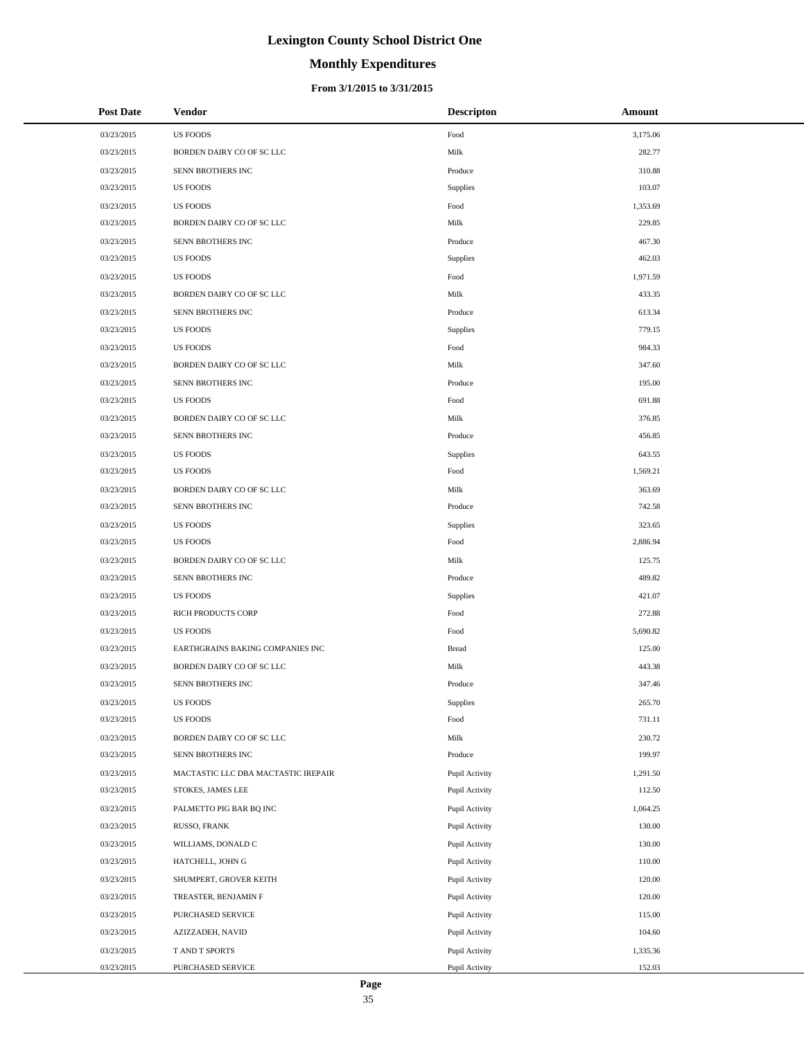# **Monthly Expenditures**

#### **From 3/1/2015 to 3/31/2015**

| <b>Post Date</b> | Vendor                              | <b>Descripton</b> | Amount   |
|------------------|-------------------------------------|-------------------|----------|
| 03/23/2015       | <b>US FOODS</b>                     | Food              | 3,175.06 |
| 03/23/2015       | BORDEN DAIRY CO OF SC LLC           | Milk              | 282.77   |
| 03/23/2015       | SENN BROTHERS INC                   | Produce           | 310.88   |
| 03/23/2015       | <b>US FOODS</b>                     | Supplies          | 103.07   |
| 03/23/2015       | <b>US FOODS</b>                     | Food              | 1,353.69 |
| 03/23/2015       | BORDEN DAIRY CO OF SC LLC           | Milk              | 229.85   |
| 03/23/2015       | SENN BROTHERS INC                   | Produce           | 467.30   |
| 03/23/2015       | <b>US FOODS</b>                     | <b>Supplies</b>   | 462.03   |
| 03/23/2015       | <b>US FOODS</b>                     | Food              | 1,971.59 |
| 03/23/2015       | BORDEN DAIRY CO OF SC LLC           | Milk              | 433.35   |
| 03/23/2015       | SENN BROTHERS INC                   | Produce           | 613.34   |
| 03/23/2015       | <b>US FOODS</b>                     | Supplies          | 779.15   |
| 03/23/2015       | <b>US FOODS</b>                     | Food              | 984.33   |
| 03/23/2015       | BORDEN DAIRY CO OF SC LLC           | Milk              | 347.60   |
| 03/23/2015       | SENN BROTHERS INC                   | Produce           | 195.00   |
| 03/23/2015       | <b>US FOODS</b>                     | Food              | 691.88   |
| 03/23/2015       | BORDEN DAIRY CO OF SC LLC           | Milk              | 376.85   |
| 03/23/2015       | SENN BROTHERS INC                   | Produce           | 456.85   |
| 03/23/2015       | <b>US FOODS</b>                     | Supplies          | 643.55   |
| 03/23/2015       | <b>US FOODS</b>                     | Food              | 1,569.21 |
| 03/23/2015       | BORDEN DAIRY CO OF SC LLC           | Milk              | 363.69   |
| 03/23/2015       | SENN BROTHERS INC                   | Produce           | 742.58   |
| 03/23/2015       | <b>US FOODS</b>                     | Supplies          | 323.65   |
| 03/23/2015       | <b>US FOODS</b>                     | Food              | 2,886.94 |
| 03/23/2015       | BORDEN DAIRY CO OF SC LLC           | Milk              | 125.75   |
| 03/23/2015       | SENN BROTHERS INC                   | Produce           | 489.82   |
| 03/23/2015       | <b>US FOODS</b>                     | Supplies          | 421.07   |
| 03/23/2015       | RICH PRODUCTS CORP                  | Food              | 272.88   |
| 03/23/2015       | <b>US FOODS</b>                     | Food              | 5,690.82 |
| 03/23/2015       | EARTHGRAINS BAKING COMPANIES INC    | <b>Bread</b>      | 125.00   |
| 03/23/2015       | BORDEN DAIRY CO OF SC LLC           | Milk              | 443.38   |
| 03/23/2015       | SENN BROTHERS INC                   | Produce           | 347.46   |
| 03/23/2015       | <b>US FOODS</b>                     | Supplies          | 265.70   |
| 03/23/2015       | <b>US FOODS</b>                     | Food              | 731.11   |
| 03/23/2015       | BORDEN DAIRY CO OF SC LLC           | Milk              | 230.72   |
| 03/23/2015       | SENN BROTHERS INC                   | Produce           | 199.97   |
| 03/23/2015       | MACTASTIC LLC DBA MACTASTIC IREPAIR | Pupil Activity    | 1,291.50 |
| 03/23/2015       | STOKES, JAMES LEE                   | Pupil Activity    | 112.50   |
| 03/23/2015       | PALMETTO PIG BAR BQ INC             | Pupil Activity    | 1,064.25 |
| 03/23/2015       | RUSSO, FRANK                        | Pupil Activity    | 130.00   |
| 03/23/2015       | WILLIAMS, DONALD C                  | Pupil Activity    | 130.00   |
| 03/23/2015       | HATCHELL, JOHN G                    | Pupil Activity    | 110.00   |
| 03/23/2015       | SHUMPERT, GROVER KEITH              | Pupil Activity    | 120.00   |
| 03/23/2015       | TREASTER, BENJAMIN F                | Pupil Activity    | 120.00   |
| 03/23/2015       | PURCHASED SERVICE                   | Pupil Activity    | 115.00   |
| 03/23/2015       | AZIZZADEH, NAVID                    | Pupil Activity    | 104.60   |
| 03/23/2015       | T AND T SPORTS                      | Pupil Activity    | 1,335.36 |
| 03/23/2015       | PURCHASED SERVICE                   | Pupil Activity    | 152.03   |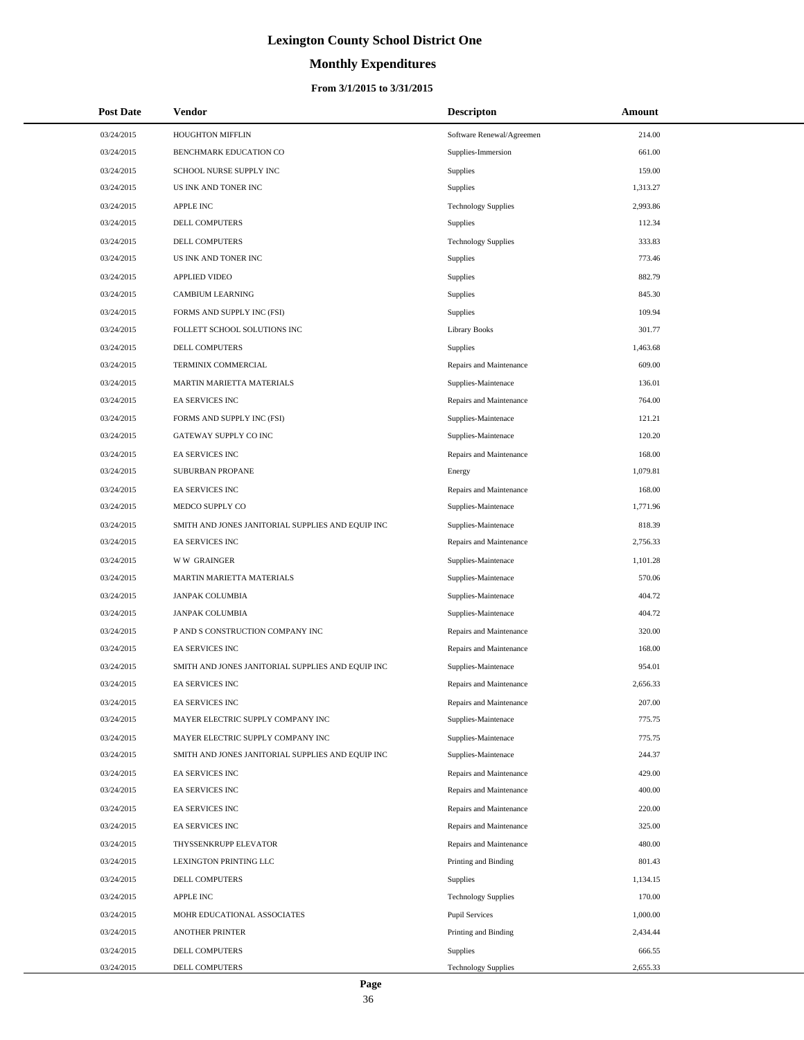# **Monthly Expenditures**

| <b>Post Date</b> | <b>Vendor</b>                                     | <b>Descripton</b>          | Amount   |
|------------------|---------------------------------------------------|----------------------------|----------|
| 03/24/2015       | HOUGHTON MIFFLIN                                  | Software Renewal/Agreemen  | 214.00   |
| 03/24/2015       | BENCHMARK EDUCATION CO                            | Supplies-Immersion         | 661.00   |
| 03/24/2015       | SCHOOL NURSE SUPPLY INC                           | Supplies                   | 159.00   |
| 03/24/2015       | US INK AND TONER INC                              | Supplies                   | 1,313.27 |
| 03/24/2015       | APPLE INC                                         | <b>Technology Supplies</b> | 2,993.86 |
| 03/24/2015       | DELL COMPUTERS                                    | <b>Supplies</b>            | 112.34   |
| 03/24/2015       | DELL COMPUTERS                                    | <b>Technology Supplies</b> | 333.83   |
| 03/24/2015       | US INK AND TONER INC                              | <b>Supplies</b>            | 773.46   |
| 03/24/2015       | <b>APPLIED VIDEO</b>                              | <b>Supplies</b>            | 882.79   |
| 03/24/2015       | <b>CAMBIUM LEARNING</b>                           | Supplies                   | 845.30   |
| 03/24/2015       | FORMS AND SUPPLY INC (FSI)                        | Supplies                   | 109.94   |
| 03/24/2015       | FOLLETT SCHOOL SOLUTIONS INC                      | <b>Library Books</b>       | 301.77   |
| 03/24/2015       | DELL COMPUTERS                                    | <b>Supplies</b>            | 1,463.68 |
| 03/24/2015       | TERMINIX COMMERCIAL                               | Repairs and Maintenance    | 609.00   |
| 03/24/2015       | MARTIN MARIETTA MATERIALS                         | Supplies-Maintenace        | 136.01   |
| 03/24/2015       | <b>EA SERVICES INC</b>                            | Repairs and Maintenance    | 764.00   |
| 03/24/2015       | FORMS AND SUPPLY INC (FSI)                        | Supplies-Maintenace        | 121.21   |
| 03/24/2015       | <b>GATEWAY SUPPLY CO INC</b>                      | Supplies-Maintenace        | 120.20   |
| 03/24/2015       | EA SERVICES INC                                   | Repairs and Maintenance    | 168.00   |
| 03/24/2015       | SUBURBAN PROPANE                                  | Energy                     | 1,079.81 |
| 03/24/2015       | EA SERVICES INC                                   | Repairs and Maintenance    | 168.00   |
| 03/24/2015       | MEDCO SUPPLY CO                                   | Supplies-Maintenace        | 1,771.96 |
| 03/24/2015       | SMITH AND JONES JANITORIAL SUPPLIES AND EQUIP INC | Supplies-Maintenace        | 818.39   |
| 03/24/2015       | EA SERVICES INC                                   | Repairs and Maintenance    | 2,756.33 |
| 03/24/2015       | <b>WW GRAINGER</b>                                | Supplies-Maintenace        | 1,101.28 |
| 03/24/2015       | MARTIN MARIETTA MATERIALS                         | Supplies-Maintenace        | 570.06   |
| 03/24/2015       | <b>JANPAK COLUMBIA</b>                            | Supplies-Maintenace        | 404.72   |
| 03/24/2015       | <b>JANPAK COLUMBIA</b>                            | Supplies-Maintenace        | 404.72   |
| 03/24/2015       | P AND S CONSTRUCTION COMPANY INC                  | Repairs and Maintenance    | 320.00   |
| 03/24/2015       | <b>EA SERVICES INC</b>                            | Repairs and Maintenance    | 168.00   |
| 03/24/2015       | SMITH AND JONES JANITORIAL SUPPLIES AND EQUIP INC | Supplies-Maintenace        | 954.01   |
| 03/24/2015       | <b>EA SERVICES INC</b>                            | Repairs and Maintenance    | 2,656.33 |
| 03/24/2015       | EA SERVICES INC                                   | Repairs and Maintenance    | 207.00   |
| 03/24/2015       | MAYER ELECTRIC SUPPLY COMPANY INC                 | Supplies-Maintenace        | 775.75   |
| 03/24/2015       | MAYER ELECTRIC SUPPLY COMPANY INC                 | Supplies-Maintenace        | 775.75   |
| 03/24/2015       | SMITH AND JONES JANITORIAL SUPPLIES AND EQUIP INC | Supplies-Maintenace        | 244.37   |
| 03/24/2015       | <b>EA SERVICES INC</b>                            | Repairs and Maintenance    | 429.00   |
| 03/24/2015       | EA SERVICES INC                                   | Repairs and Maintenance    | 400.00   |
| 03/24/2015       | <b>EA SERVICES INC</b>                            | Repairs and Maintenance    | 220.00   |
| 03/24/2015       | EA SERVICES INC                                   | Repairs and Maintenance    | 325.00   |
| 03/24/2015       | THYSSENKRUPP ELEVATOR                             | Repairs and Maintenance    | 480.00   |
| 03/24/2015       | LEXINGTON PRINTING LLC                            | Printing and Binding       | 801.43   |
| 03/24/2015       | DELL COMPUTERS                                    | <b>Supplies</b>            | 1,134.15 |
| 03/24/2015       | <b>APPLE INC</b>                                  | <b>Technology Supplies</b> | 170.00   |
| 03/24/2015       | MOHR EDUCATIONAL ASSOCIATES                       | <b>Pupil Services</b>      | 1,000.00 |
| 03/24/2015       | ANOTHER PRINTER                                   | Printing and Binding       | 2,434.44 |
| 03/24/2015       | DELL COMPUTERS                                    | <b>Supplies</b>            | 666.55   |
| 03/24/2015       | DELL COMPUTERS                                    | <b>Technology Supplies</b> | 2,655.33 |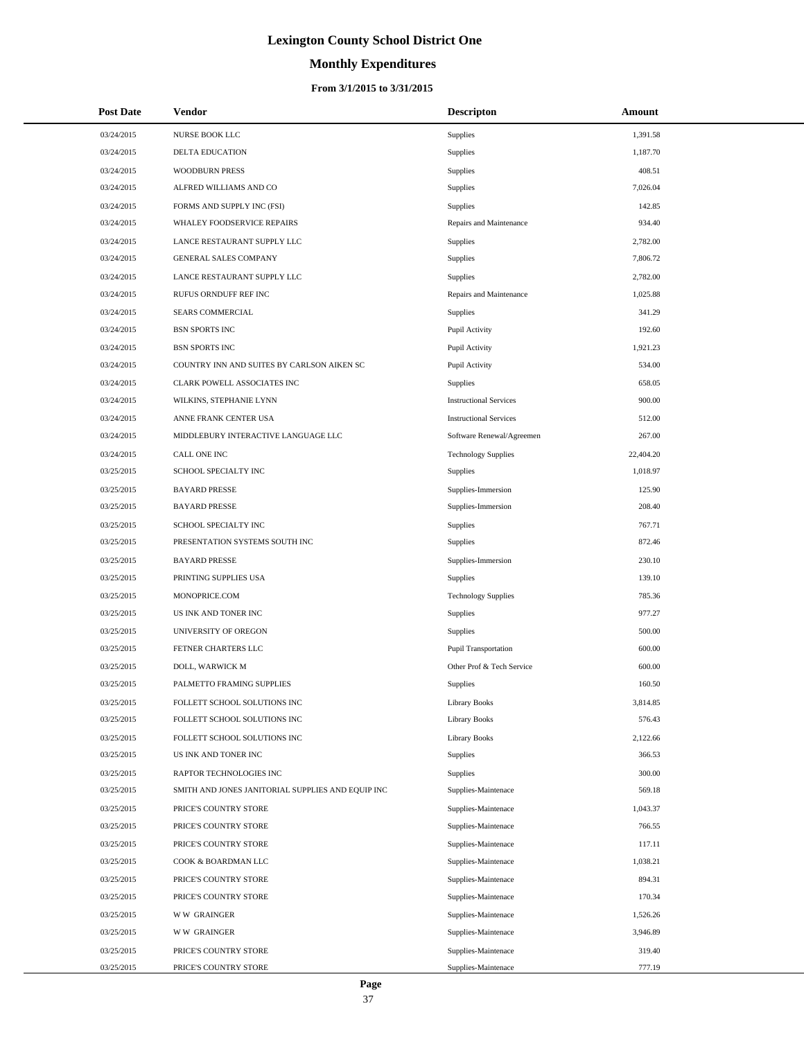# **Monthly Expenditures**

### **From 3/1/2015 to 3/31/2015**

| <b>Post Date</b> | <b>Vendor</b>                                     | <b>Descripton</b>             | Amount    |
|------------------|---------------------------------------------------|-------------------------------|-----------|
| 03/24/2015       | NURSE BOOK LLC                                    | Supplies                      | 1,391.58  |
| 03/24/2015       | <b>DELTA EDUCATION</b>                            | Supplies                      | 1,187.70  |
| 03/24/2015       | <b>WOODBURN PRESS</b>                             | Supplies                      | 408.51    |
| 03/24/2015       | ALFRED WILLIAMS AND CO                            | Supplies                      | 7.026.04  |
| 03/24/2015       | FORMS AND SUPPLY INC (FSI)                        | Supplies                      | 142.85    |
| 03/24/2015       | WHALEY FOODSERVICE REPAIRS                        | Repairs and Maintenance       | 934.40    |
| 03/24/2015       | LANCE RESTAURANT SUPPLY LLC                       | Supplies                      | 2,782.00  |
| 03/24/2015       | GENERAL SALES COMPANY                             | Supplies                      | 7,806.72  |
| 03/24/2015       | LANCE RESTAURANT SUPPLY LLC                       | Supplies                      | 2,782.00  |
| 03/24/2015       | RUFUS ORNDUFF REF INC                             | Repairs and Maintenance       | 1,025.88  |
| 03/24/2015       | SEARS COMMERCIAL                                  | Supplies                      | 341.29    |
| 03/24/2015       | <b>BSN SPORTS INC</b>                             | Pupil Activity                | 192.60    |
| 03/24/2015       | <b>BSN SPORTS INC</b>                             | Pupil Activity                | 1,921.23  |
| 03/24/2015       | COUNTRY INN AND SUITES BY CARLSON AIKEN SC        | Pupil Activity                | 534.00    |
| 03/24/2015       | CLARK POWELL ASSOCIATES INC                       | Supplies                      | 658.05    |
| 03/24/2015       | WILKINS, STEPHANIE LYNN                           | <b>Instructional Services</b> | 900.00    |
| 03/24/2015       | ANNE FRANK CENTER USA                             | <b>Instructional Services</b> | 512.00    |
| 03/24/2015       | MIDDLEBURY INTERACTIVE LANGUAGE LLC               | Software Renewal/Agreemen     | 267.00    |
| 03/24/2015       | CALL ONE INC                                      | <b>Technology Supplies</b>    | 22,404.20 |
| 03/25/2015       | SCHOOL SPECIALTY INC                              | Supplies                      | 1.018.97  |
| 03/25/2015       | <b>BAYARD PRESSE</b>                              | Supplies-Immersion            | 125.90    |
| 03/25/2015       | <b>BAYARD PRESSE</b>                              | Supplies-Immersion            | 208.40    |
| 03/25/2015       | SCHOOL SPECIALTY INC                              | Supplies                      | 767.71    |
| 03/25/2015       | PRESENTATION SYSTEMS SOUTH INC                    | Supplies                      | 872.46    |
| 03/25/2015       | <b>BAYARD PRESSE</b>                              | Supplies-Immersion            | 230.10    |
| 03/25/2015       | PRINTING SUPPLIES USA                             | Supplies                      | 139.10    |
| 03/25/2015       | MONOPRICE.COM                                     | <b>Technology Supplies</b>    | 785.36    |
| 03/25/2015       | US INK AND TONER INC                              | Supplies                      | 977.27    |
| 03/25/2015       | UNIVERSITY OF OREGON                              | Supplies                      | 500.00    |
| 03/25/2015       | FETNER CHARTERS LLC                               | Pupil Transportation          | 600.00    |
| 03/25/2015       | DOLL, WARWICK M                                   | Other Prof & Tech Service     | 600.00    |
| 03/25/2015       | PALMETTO FRAMING SUPPLIES                         | <b>Supplies</b>               | 160.50    |
| 03/25/2015       | FOLLETT SCHOOL SOLUTIONS INC                      | <b>Library Books</b>          | 3,814.85  |
| 03/25/2015       | FOLLETT SCHOOL SOLUTIONS INC                      | <b>Library Books</b>          | 576.43    |
| 03/25/2015       | FOLLETT SCHOOL SOLUTIONS INC                      | <b>Library Books</b>          | 2,122.66  |
| 03/25/2015       | US INK AND TONER INC                              | Supplies                      | 366.53    |
| 03/25/2015       | RAPTOR TECHNOLOGIES INC                           | Supplies                      | 300.00    |
| 03/25/2015       | SMITH AND JONES JANITORIAL SUPPLIES AND EQUIP INC | Supplies-Maintenace           | 569.18    |
| 03/25/2015       | PRICE'S COUNTRY STORE                             | Supplies-Maintenace           | 1,043.37  |
| 03/25/2015       | PRICE'S COUNTRY STORE                             | Supplies-Maintenace           | 766.55    |
| 03/25/2015       | PRICE'S COUNTRY STORE                             | Supplies-Maintenace           | 117.11    |
| 03/25/2015       | COOK & BOARDMAN LLC                               | Supplies-Maintenace           | 1,038.21  |
| 03/25/2015       | PRICE'S COUNTRY STORE                             | Supplies-Maintenace           | 894.31    |
| 03/25/2015       | PRICE'S COUNTRY STORE                             | Supplies-Maintenace           | 170.34    |
| 03/25/2015       | <b>WW GRAINGER</b>                                | Supplies-Maintenace           | 1,526.26  |
| 03/25/2015       | <b>WW GRAINGER</b>                                | Supplies-Maintenace           | 3,946.89  |
| 03/25/2015       | PRICE'S COUNTRY STORE                             | Supplies-Maintenace           | 319.40    |
| 03/25/2015       | PRICE'S COUNTRY STORE                             | Supplies-Maintenace           | 777.19    |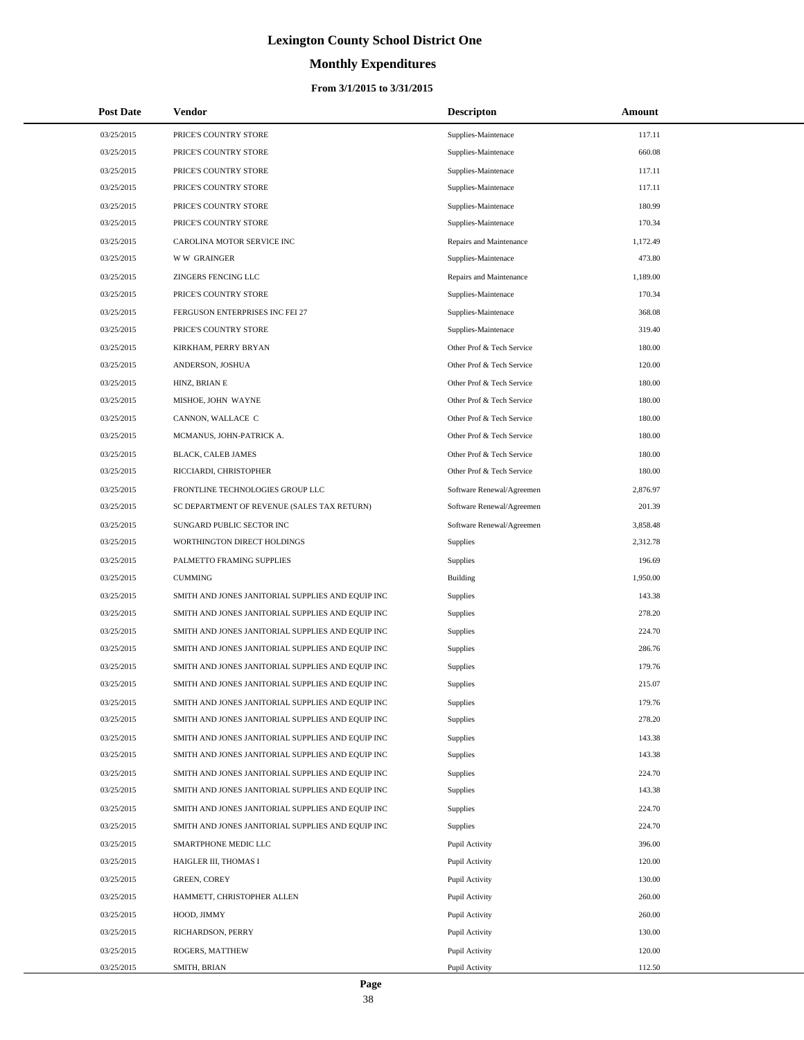# **Monthly Expenditures**

#### **From 3/1/2015 to 3/31/2015**

| <b>Post Date</b> | <b>Vendor</b>                                     | <b>Descripton</b>         | Amount   |  |
|------------------|---------------------------------------------------|---------------------------|----------|--|
| 03/25/2015       | PRICE'S COUNTRY STORE                             | Supplies-Maintenace       | 117.11   |  |
| 03/25/2015       | PRICE'S COUNTRY STORE                             | Supplies-Maintenace       | 660.08   |  |
| 03/25/2015       | PRICE'S COUNTRY STORE                             | Supplies-Maintenace       | 117.11   |  |
| 03/25/2015       | PRICE'S COUNTRY STORE                             | Supplies-Maintenace       | 117.11   |  |
| 03/25/2015       | PRICE'S COUNTRY STORE                             | Supplies-Maintenace       | 180.99   |  |
| 03/25/2015       | PRICE'S COUNTRY STORE                             | Supplies-Maintenace       | 170.34   |  |
| 03/25/2015       | CAROLINA MOTOR SERVICE INC                        | Repairs and Maintenance   | 1,172.49 |  |
| 03/25/2015       | <b>WW GRAINGER</b>                                | Supplies-Maintenace       | 473.80   |  |
| 03/25/2015       | ZINGERS FENCING LLC                               | Repairs and Maintenance   | 1,189.00 |  |
| 03/25/2015       | PRICE'S COUNTRY STORE                             | Supplies-Maintenace       | 170.34   |  |
| 03/25/2015       | FERGUSON ENTERPRISES INC FEI 27                   | Supplies-Maintenace       | 368.08   |  |
| 03/25/2015       | PRICE'S COUNTRY STORE                             | Supplies-Maintenace       | 319.40   |  |
| 03/25/2015       | KIRKHAM, PERRY BRYAN                              | Other Prof & Tech Service | 180.00   |  |
| 03/25/2015       | ANDERSON, JOSHUA                                  | Other Prof & Tech Service | 120.00   |  |
| 03/25/2015       | HINZ, BRIAN E                                     | Other Prof & Tech Service | 180.00   |  |
| 03/25/2015       | MISHOE, JOHN WAYNE                                | Other Prof & Tech Service | 180.00   |  |
| 03/25/2015       | CANNON, WALLACE C                                 | Other Prof & Tech Service | 180.00   |  |
| 03/25/2015       | MCMANUS, JOHN-PATRICK A.                          | Other Prof & Tech Service | 180.00   |  |
| 03/25/2015       | BLACK, CALEB JAMES                                | Other Prof & Tech Service | 180.00   |  |
| 03/25/2015       | RICCIARDI, CHRISTOPHER                            | Other Prof & Tech Service | 180.00   |  |
| 03/25/2015       | FRONTLINE TECHNOLOGIES GROUP LLC                  | Software Renewal/Agreemen | 2,876.97 |  |
| 03/25/2015       | SC DEPARTMENT OF REVENUE (SALES TAX RETURN)       | Software Renewal/Agreemen | 201.39   |  |
| 03/25/2015       | SUNGARD PUBLIC SECTOR INC                         | Software Renewal/Agreemen | 3,858.48 |  |
| 03/25/2015       | WORTHINGTON DIRECT HOLDINGS                       | Supplies                  | 2,312.78 |  |
| 03/25/2015       | PALMETTO FRAMING SUPPLIES                         | <b>Supplies</b>           | 196.69   |  |
| 03/25/2015       | <b>CUMMING</b>                                    | Building                  | 1,950.00 |  |
| 03/25/2015       | SMITH AND JONES JANITORIAL SUPPLIES AND EQUIP INC | Supplies                  | 143.38   |  |
| 03/25/2015       | SMITH AND JONES JANITORIAL SUPPLIES AND EQUIP INC | Supplies                  | 278.20   |  |
| 03/25/2015       | SMITH AND JONES JANITORIAL SUPPLIES AND EQUIP INC | Supplies                  | 224.70   |  |
| 03/25/2015       | SMITH AND JONES JANITORIAL SUPPLIES AND EQUIP INC | Supplies                  | 286.76   |  |
| 03/25/2015       | SMITH AND JONES JANITORIAL SUPPLIES AND EQUIP INC | Supplies                  | 179.76   |  |
| 03/25/2015       | SMITH AND JONES JANITORIAL SUPPLIES AND EQUIP INC | Supplies                  | 215.07   |  |
| 03/25/2015       | SMITH AND JONES JANITORIAL SUPPLIES AND EQUIP INC | Supplies                  | 179.76   |  |
| 03/25/2015       | SMITH AND JONES JANITORIAL SUPPLIES AND EQUIP INC | <b>Supplies</b>           | 278.20   |  |
| 03/25/2015       | SMITH AND JONES JANITORIAL SUPPLIES AND EQUIP INC | <b>Supplies</b>           | 143.38   |  |
| 03/25/2015       | SMITH AND JONES JANITORIAL SUPPLIES AND EQUIP INC | Supplies                  | 143.38   |  |
| 03/25/2015       | SMITH AND JONES JANITORIAL SUPPLIES AND EQUIP INC | Supplies                  | 224.70   |  |
| 03/25/2015       | SMITH AND JONES JANITORIAL SUPPLIES AND EQUIP INC | <b>Supplies</b>           | 143.38   |  |
| 03/25/2015       | SMITH AND JONES JANITORIAL SUPPLIES AND EQUIP INC | <b>Supplies</b>           | 224.70   |  |
| 03/25/2015       | SMITH AND JONES JANITORIAL SUPPLIES AND EQUIP INC | Supplies                  | 224.70   |  |
| 03/25/2015       | SMARTPHONE MEDIC LLC                              | Pupil Activity            | 396.00   |  |
| 03/25/2015       | HAIGLER III, THOMAS I                             | Pupil Activity            | 120.00   |  |
| 03/25/2015       | <b>GREEN, COREY</b>                               | Pupil Activity            | 130.00   |  |
| 03/25/2015       | HAMMETT, CHRISTOPHER ALLEN                        | Pupil Activity            | 260.00   |  |
| 03/25/2015       | HOOD, JIMMY                                       | Pupil Activity            | 260.00   |  |
| 03/25/2015       | RICHARDSON, PERRY                                 | Pupil Activity            | 130.00   |  |
| 03/25/2015       | ROGERS, MATTHEW                                   | Pupil Activity            | 120.00   |  |
| 03/25/2015       | SMITH, BRIAN                                      | Pupil Activity            | 112.50   |  |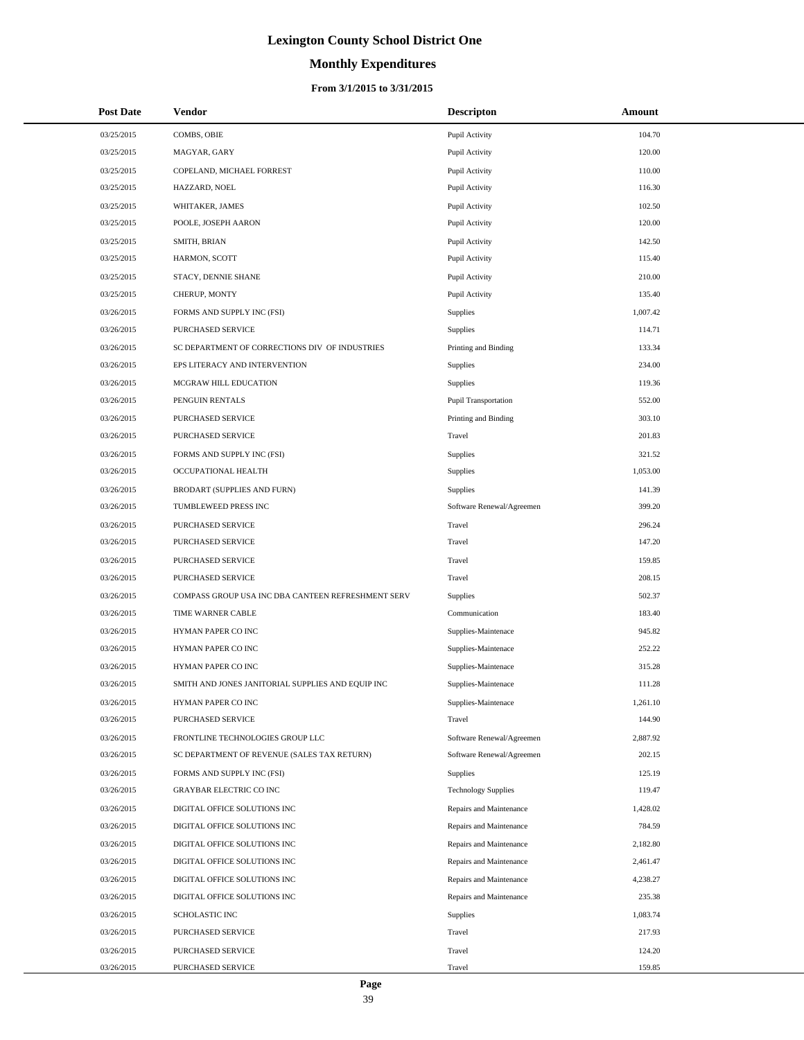# **Monthly Expenditures**

| <b>Post Date</b> | <b>Vendor</b>                                      | <b>Descripton</b>           | Amount   |
|------------------|----------------------------------------------------|-----------------------------|----------|
| 03/25/2015       | COMBS, OBIE                                        | Pupil Activity              | 104.70   |
| 03/25/2015       | MAGYAR, GARY                                       | Pupil Activity              | 120.00   |
| 03/25/2015       | COPELAND, MICHAEL FORREST                          | Pupil Activity              | 110.00   |
| 03/25/2015       | HAZZARD, NOEL                                      | Pupil Activity              | 116.30   |
| 03/25/2015       | WHITAKER, JAMES                                    | Pupil Activity              | 102.50   |
| 03/25/2015       | POOLE, JOSEPH AARON                                | Pupil Activity              | 120.00   |
| 03/25/2015       | SMITH, BRIAN                                       | Pupil Activity              | 142.50   |
| 03/25/2015       | HARMON, SCOTT                                      | Pupil Activity              | 115.40   |
| 03/25/2015       | STACY, DENNIE SHANE                                | Pupil Activity              | 210.00   |
| 03/25/2015       | CHERUP, MONTY                                      | Pupil Activity              | 135.40   |
| 03/26/2015       | FORMS AND SUPPLY INC (FSI)                         | Supplies                    | 1,007.42 |
| 03/26/2015       | PURCHASED SERVICE                                  | Supplies                    | 114.71   |
| 03/26/2015       | SC DEPARTMENT OF CORRECTIONS DIV OF INDUSTRIES     | Printing and Binding        | 133.34   |
| 03/26/2015       | EPS LITERACY AND INTERVENTION                      | Supplies                    | 234.00   |
| 03/26/2015       | MCGRAW HILL EDUCATION                              | Supplies                    | 119.36   |
| 03/26/2015       | PENGUIN RENTALS                                    | <b>Pupil Transportation</b> | 552.00   |
| 03/26/2015       | PURCHASED SERVICE                                  | Printing and Binding        | 303.10   |
| 03/26/2015       | PURCHASED SERVICE                                  | Travel                      | 201.83   |
| 03/26/2015       | FORMS AND SUPPLY INC (FSI)                         | Supplies                    | 321.52   |
| 03/26/2015       | OCCUPATIONAL HEALTH                                | Supplies                    | 1,053.00 |
| 03/26/2015       | BRODART (SUPPLIES AND FURN)                        | Supplies                    | 141.39   |
| 03/26/2015       | TUMBLEWEED PRESS INC                               | Software Renewal/Agreemen   | 399.20   |
| 03/26/2015       | PURCHASED SERVICE                                  | Travel                      | 296.24   |
| 03/26/2015       | PURCHASED SERVICE                                  | Travel                      | 147.20   |
| 03/26/2015       | PURCHASED SERVICE                                  | Travel                      | 159.85   |
| 03/26/2015       | PURCHASED SERVICE                                  | Travel                      | 208.15   |
| 03/26/2015       | COMPASS GROUP USA INC DBA CANTEEN REFRESHMENT SERV | Supplies                    | 502.37   |
| 03/26/2015       | TIME WARNER CABLE                                  | Communication               | 183.40   |
| 03/26/2015       | HYMAN PAPER CO INC                                 | Supplies-Maintenace         | 945.82   |
| 03/26/2015       | HYMAN PAPER CO INC                                 | Supplies-Maintenace         | 252.22   |
| 03/26/2015       | HYMAN PAPER CO INC                                 | Supplies-Maintenace         | 315.28   |
| 03/26/2015       | SMITH AND JONES JANITORIAL SUPPLIES AND EQUIP INC  | Supplies-Maintenace         | 111.28   |
| 03/26/2015       | HYMAN PAPER CO INC                                 | Supplies-Maintenace         | 1,261.10 |
| 03/26/2015       | PURCHASED SERVICE                                  | Travel                      | 144.90   |
| 03/26/2015       | FRONTLINE TECHNOLOGIES GROUP LLC                   | Software Renewal/Agreemen   | 2,887.92 |
| 03/26/2015       | SC DEPARTMENT OF REVENUE (SALES TAX RETURN)        | Software Renewal/Agreemen   | 202.15   |
| 03/26/2015       | FORMS AND SUPPLY INC (FSI)                         | <b>Supplies</b>             | 125.19   |
| 03/26/2015       | <b>GRAYBAR ELECTRIC CO INC</b>                     | <b>Technology Supplies</b>  | 119.47   |
| 03/26/2015       | DIGITAL OFFICE SOLUTIONS INC                       | Repairs and Maintenance     | 1,428.02 |
| 03/26/2015       | DIGITAL OFFICE SOLUTIONS INC                       | Repairs and Maintenance     | 784.59   |
| 03/26/2015       | DIGITAL OFFICE SOLUTIONS INC                       | Repairs and Maintenance     | 2,182.80 |
| 03/26/2015       | DIGITAL OFFICE SOLUTIONS INC                       | Repairs and Maintenance     | 2,461.47 |
| 03/26/2015       | DIGITAL OFFICE SOLUTIONS INC                       | Repairs and Maintenance     | 4,238.27 |
| 03/26/2015       | DIGITAL OFFICE SOLUTIONS INC                       | Repairs and Maintenance     | 235.38   |
| 03/26/2015       | <b>SCHOLASTIC INC</b>                              | Supplies                    | 1,083.74 |
| 03/26/2015       | PURCHASED SERVICE                                  | Travel                      | 217.93   |
| 03/26/2015       | PURCHASED SERVICE                                  | Travel                      | 124.20   |
| 03/26/2015       | PURCHASED SERVICE                                  | Travel                      | 159.85   |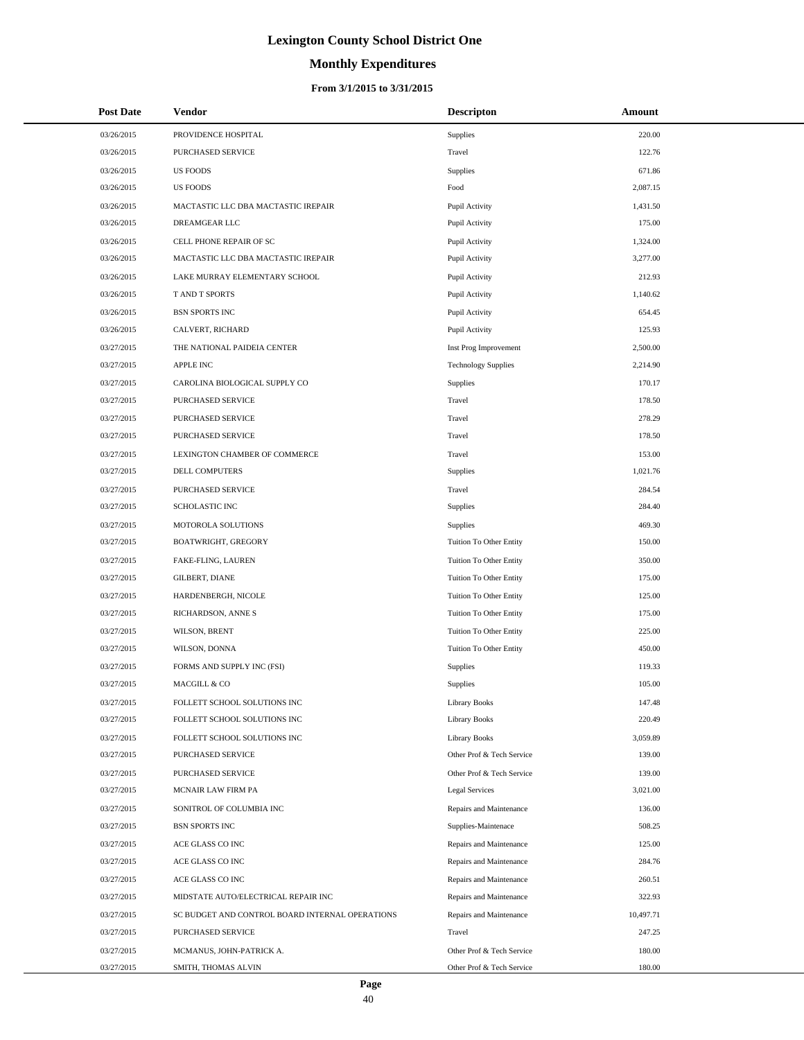# **Monthly Expenditures**

| <b>Post Date</b>         | <b>Vendor</b>                                                        | <b>Descripton</b>                                  | Amount              |
|--------------------------|----------------------------------------------------------------------|----------------------------------------------------|---------------------|
| 03/26/2015               | PROVIDENCE HOSPITAL                                                  | Supplies                                           | 220.00              |
| 03/26/2015               | PURCHASED SERVICE                                                    | Travel                                             | 122.76              |
| 03/26/2015               | <b>US FOODS</b>                                                      | Supplies                                           | 671.86              |
| 03/26/2015               | <b>US FOODS</b>                                                      | Food                                               | 2,087.15            |
| 03/26/2015               | MACTASTIC LLC DBA MACTASTIC IREPAIR                                  | Pupil Activity                                     | 1,431.50            |
| 03/26/2015               | DREAMGEAR LLC                                                        | Pupil Activity                                     | 175.00              |
| 03/26/2015               | CELL PHONE REPAIR OF SC                                              | Pupil Activity                                     | 1,324.00            |
| 03/26/2015               | MACTASTIC LLC DBA MACTASTIC IREPAIR                                  | Pupil Activity                                     | 3,277.00            |
| 03/26/2015               | LAKE MURRAY ELEMENTARY SCHOOL                                        | Pupil Activity                                     | 212.93              |
| 03/26/2015               | T AND T SPORTS                                                       | Pupil Activity                                     | 1,140.62            |
| 03/26/2015               | <b>BSN SPORTS INC</b>                                                | Pupil Activity                                     | 654.45              |
| 03/26/2015               | CALVERT, RICHARD                                                     | Pupil Activity                                     | 125.93              |
| 03/27/2015               | THE NATIONAL PAIDEIA CENTER                                          | Inst Prog Improvement                              | 2,500.00            |
| 03/27/2015               | <b>APPLE INC</b>                                                     | <b>Technology Supplies</b>                         | 2,214.90            |
| 03/27/2015               | CAROLINA BIOLOGICAL SUPPLY CO                                        | Supplies                                           | 170.17              |
| 03/27/2015               | PURCHASED SERVICE                                                    | Travel                                             | 178.50              |
| 03/27/2015               | PURCHASED SERVICE                                                    | Travel                                             | 278.29              |
| 03/27/2015               | PURCHASED SERVICE                                                    | Travel                                             | 178.50              |
| 03/27/2015               | LEXINGTON CHAMBER OF COMMERCE                                        | Travel                                             | 153.00              |
| 03/27/2015               | DELL COMPUTERS                                                       | Supplies                                           | 1,021.76            |
| 03/27/2015               | PURCHASED SERVICE                                                    | Travel                                             | 284.54              |
| 03/27/2015               | SCHOLASTIC INC                                                       | Supplies                                           | 284.40              |
| 03/27/2015               | MOTOROLA SOLUTIONS                                                   | Supplies                                           | 469.30              |
| 03/27/2015               | BOATWRIGHT, GREGORY                                                  | Tuition To Other Entity                            | 150.00              |
| 03/27/2015               | FAKE-FLING, LAUREN                                                   | Tuition To Other Entity                            | 350.00              |
| 03/27/2015               | GILBERT, DIANE                                                       | Tuition To Other Entity                            | 175.00              |
| 03/27/2015               | HARDENBERGH, NICOLE                                                  | Tuition To Other Entity                            | 125.00              |
| 03/27/2015               | RICHARDSON, ANNE S                                                   | Tuition To Other Entity                            | 175.00              |
| 03/27/2015               | WILSON, BRENT                                                        | Tuition To Other Entity                            | 225.00              |
| 03/27/2015               | WILSON, DONNA                                                        | Tuition To Other Entity                            | 450.00              |
| 03/27/2015               | FORMS AND SUPPLY INC (FSI)                                           | Supplies                                           | 119.33              |
| 03/27/2015               | MACGILL & CO                                                         | Supplies                                           | 105.00              |
| 03/27/2015               | FOLLETT SCHOOL SOLUTIONS INC                                         | <b>Library Books</b>                               | 147.48              |
| 03/27/2015               | FOLLETT SCHOOL SOLUTIONS INC                                         | <b>Library Books</b>                               | 220.49              |
| 03/27/2015               | FOLLETT SCHOOL SOLUTIONS INC                                         | <b>Library Books</b>                               | 3,059.89            |
| 03/27/2015               | PURCHASED SERVICE                                                    | Other Prof & Tech Service                          | 139.00              |
| 03/27/2015               | PURCHASED SERVICE                                                    | Other Prof & Tech Service                          | 139.00              |
| 03/27/2015               | MCNAIR LAW FIRM PA                                                   | Legal Services                                     | 3,021.00            |
| 03/27/2015               | SONITROL OF COLUMBIA INC                                             | Repairs and Maintenance                            | 136.00              |
| 03/27/2015               | <b>BSN SPORTS INC</b>                                                | Supplies-Maintenace                                | 508.25              |
| 03/27/2015               | ACE GLASS CO INC                                                     | Repairs and Maintenance                            | 125.00              |
| 03/27/2015               | ACE GLASS CO INC                                                     | Repairs and Maintenance                            | 284.76              |
| 03/27/2015               | ACE GLASS CO INC                                                     | Repairs and Maintenance                            | 260.51              |
| 03/27/2015               | MIDSTATE AUTO/ELECTRICAL REPAIR INC                                  | Repairs and Maintenance<br>Repairs and Maintenance | 322.93              |
| 03/27/2015<br>03/27/2015 | SC BUDGET AND CONTROL BOARD INTERNAL OPERATIONS<br>PURCHASED SERVICE | Travel                                             | 10,497.71<br>247.25 |
| 03/27/2015               | MCMANUS, JOHN-PATRICK A.                                             | Other Prof & Tech Service                          | 180.00              |
| 03/27/2015               | SMITH, THOMAS ALVIN                                                  | Other Prof & Tech Service                          | 180.00              |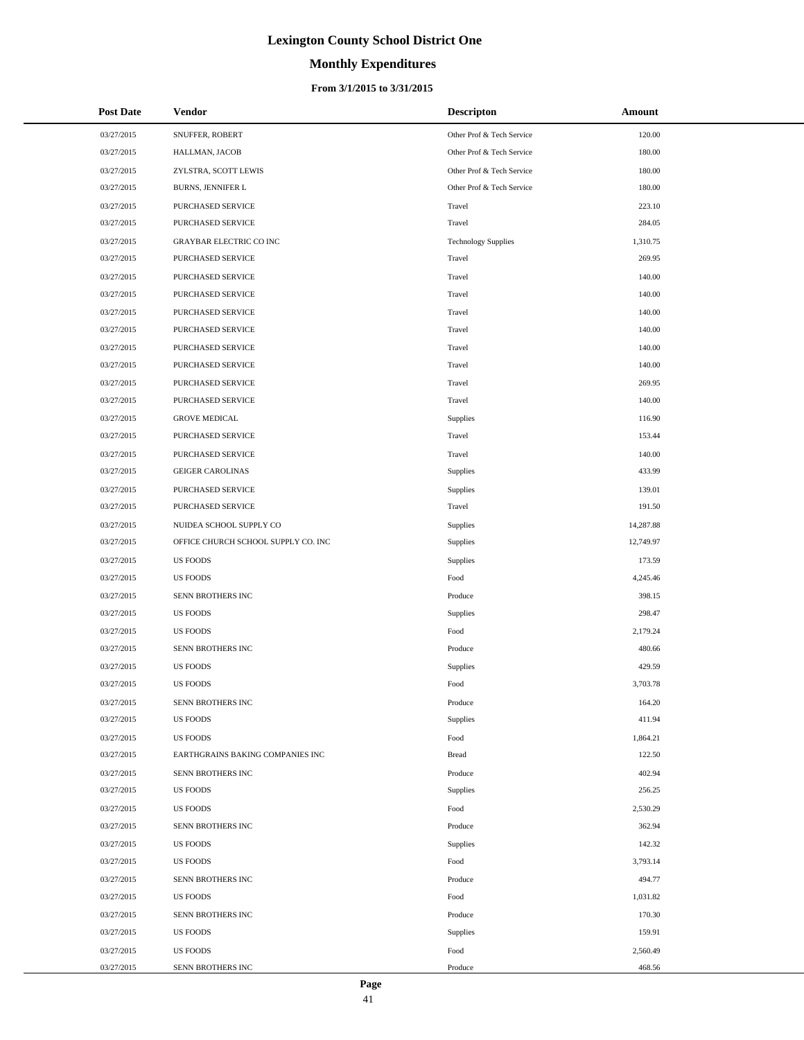# **Monthly Expenditures**

| <b>Post Date</b> | Vendor                              | <b>Descripton</b>         | Amount    |
|------------------|-------------------------------------|---------------------------|-----------|
| 03/27/2015       | SNUFFER, ROBERT                     | Other Prof & Tech Service | 120.00    |
| 03/27/2015       | HALLMAN, JACOB                      | Other Prof & Tech Service | 180.00    |
| 03/27/2015       | ZYLSTRA, SCOTT LEWIS                | Other Prof & Tech Service | 180.00    |
| 03/27/2015       | <b>BURNS, JENNIFER L</b>            | Other Prof & Tech Service | 180.00    |
| 03/27/2015       | PURCHASED SERVICE                   | Travel                    | 223.10    |
| 03/27/2015       | PURCHASED SERVICE                   | Travel                    | 284.05    |
| 03/27/2015       | <b>GRAYBAR ELECTRIC CO INC</b>      | Technology Supplies       | 1,310.75  |
| 03/27/2015       | PURCHASED SERVICE                   | Travel                    | 269.95    |
| 03/27/2015       | PURCHASED SERVICE                   | Travel                    | 140.00    |
| 03/27/2015       | PURCHASED SERVICE                   | Travel                    | 140.00    |
| 03/27/2015       | PURCHASED SERVICE                   | Travel                    | 140.00    |
| 03/27/2015       | PURCHASED SERVICE                   | Travel                    | 140.00    |
| 03/27/2015       | PURCHASED SERVICE                   | Travel                    | 140.00    |
| 03/27/2015       | PURCHASED SERVICE                   | Travel                    | 140.00    |
| 03/27/2015       | PURCHASED SERVICE                   | Travel                    | 269.95    |
| 03/27/2015       | PURCHASED SERVICE                   | Travel                    | 140.00    |
| 03/27/2015       | <b>GROVE MEDICAL</b>                | Supplies                  | 116.90    |
| 03/27/2015       | PURCHASED SERVICE                   | Travel                    | 153.44    |
| 03/27/2015       | PURCHASED SERVICE                   | Travel                    | 140.00    |
| 03/27/2015       | <b>GEIGER CAROLINAS</b>             | Supplies                  | 433.99    |
| 03/27/2015       | PURCHASED SERVICE                   | Supplies                  | 139.01    |
| 03/27/2015       | PURCHASED SERVICE                   | Travel                    | 191.50    |
| 03/27/2015       | NUIDEA SCHOOL SUPPLY CO             | Supplies                  | 14,287.88 |
| 03/27/2015       | OFFICE CHURCH SCHOOL SUPPLY CO. INC | Supplies                  | 12,749.97 |
| 03/27/2015       | <b>US FOODS</b>                     | Supplies                  | 173.59    |
| 03/27/2015       | <b>US FOODS</b>                     | Food                      | 4,245.46  |
| 03/27/2015       | SENN BROTHERS INC                   | Produce                   | 398.15    |
| 03/27/2015       | <b>US FOODS</b>                     | Supplies                  | 298.47    |
| 03/27/2015       | <b>US FOODS</b>                     | Food                      | 2,179.24  |
| 03/27/2015       | SENN BROTHERS INC                   | Produce                   | 480.66    |
| 03/27/2015       | <b>US FOODS</b>                     | Supplies                  | 429.59    |
| 03/27/2015       | <b>US FOODS</b>                     | Food                      | 3,703.78  |
| 03/27/2015       | SENN BROTHERS INC                   | Produce                   | 164.20    |
| 03/27/2015       | <b>US FOODS</b>                     | Supplies                  | 411.94    |
| 03/27/2015       | <b>US FOODS</b>                     | Food                      | 1,864.21  |
| 03/27/2015       | EARTHGRAINS BAKING COMPANIES INC    | <b>Bread</b>              | 122.50    |
| 03/27/2015       | SENN BROTHERS INC                   | Produce                   | 402.94    |
| 03/27/2015       | <b>US FOODS</b>                     | Supplies                  | 256.25    |
| 03/27/2015       | <b>US FOODS</b>                     | Food                      | 2,530.29  |
| 03/27/2015       | SENN BROTHERS INC                   | Produce                   | 362.94    |
| 03/27/2015       | <b>US FOODS</b>                     | Supplies                  | 142.32    |
| 03/27/2015       | <b>US FOODS</b>                     | Food                      | 3,793.14  |
| 03/27/2015       | SENN BROTHERS INC                   | Produce                   | 494.77    |
| 03/27/2015       | <b>US FOODS</b>                     | Food                      | 1,031.82  |
| 03/27/2015       | SENN BROTHERS INC                   | Produce                   | 170.30    |
| 03/27/2015       | <b>US FOODS</b>                     | Supplies                  | 159.91    |
| 03/27/2015       | <b>US FOODS</b>                     | Food                      | 2,560.49  |
| 03/27/2015       | SENN BROTHERS INC                   | Produce                   | 468.56    |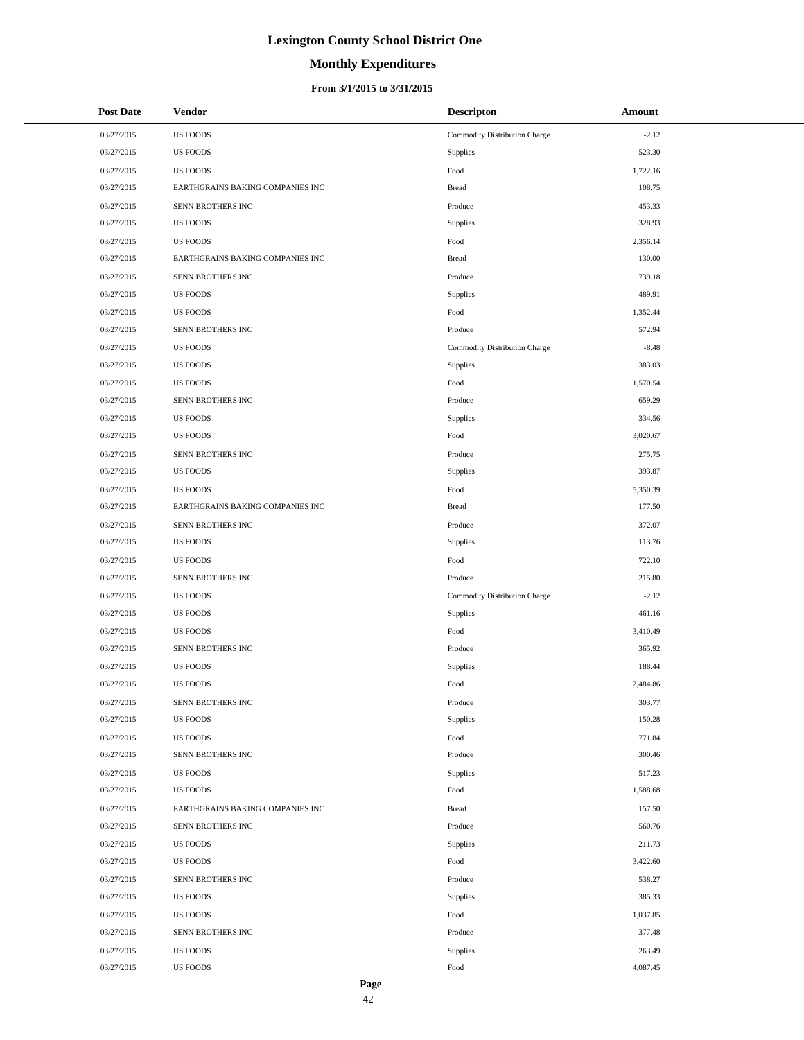# **Monthly Expenditures**

#### **From 3/1/2015 to 3/31/2015**

| 03/27/2015<br><b>US FOODS</b><br>$-2.12$<br>Commodity Distribution Charge<br>03/27/2015<br><b>US FOODS</b><br>523.30<br>Supplies<br><b>US FOODS</b><br>03/27/2015<br>Food<br>1,722.16<br>108.75<br>03/27/2015<br>EARTHGRAINS BAKING COMPANIES INC<br><b>Bread</b><br>03/27/2015<br>SENN BROTHERS INC<br>453.33<br>Produce<br>03/27/2015<br><b>US FOODS</b><br>328.93<br>Supplies<br>03/27/2015<br><b>US FOODS</b><br>Food<br>2,356.14<br>130.00<br>03/27/2015<br>EARTHGRAINS BAKING COMPANIES INC<br><b>Bread</b><br>739.18<br>03/27/2015<br>SENN BROTHERS INC<br>Produce<br>489.91<br>03/27/2015<br><b>US FOODS</b><br>Supplies<br><b>US FOODS</b><br>Food<br>03/27/2015<br>1,352.44<br>572.94<br>03/27/2015<br>SENN BROTHERS INC<br>Produce<br>$-8.48$<br>03/27/2015<br><b>US FOODS</b><br>Commodity Distribution Charge<br>03/27/2015<br><b>US FOODS</b><br>383.03<br>Supplies<br><b>US FOODS</b><br>Food<br>03/27/2015<br>1,570.54<br>659.29<br>03/27/2015<br>SENN BROTHERS INC<br>Produce<br>03/27/2015<br><b>US FOODS</b><br>Supplies<br>334.56<br>3,020.67<br>03/27/2015<br><b>US FOODS</b><br>Food<br>03/27/2015<br>SENN BROTHERS INC<br>Produce<br>275.75<br>393.87<br>03/27/2015<br><b>US FOODS</b><br>Supplies<br>Food<br>5,350.39<br>03/27/2015<br><b>US FOODS</b><br>03/27/2015<br>177.50<br>EARTHGRAINS BAKING COMPANIES INC<br><b>Bread</b><br>03/27/2015<br>SENN BROTHERS INC<br>372.07<br>Produce<br>03/27/2015<br><b>US FOODS</b><br>Supplies<br>113.76<br>Food<br>03/27/2015<br><b>US FOODS</b><br>722.10<br>03/27/2015<br>SENN BROTHERS INC<br>Produce<br>215.80<br>03/27/2015<br><b>US FOODS</b><br>Commodity Distribution Charge<br>$-2.12$<br>03/27/2015<br><b>US FOODS</b><br>Supplies<br>461.16<br>3,410.49<br>03/27/2015<br><b>US FOODS</b><br>Food<br>03/27/2015<br>SENN BROTHERS INC<br>365.92<br>Produce<br>03/27/2015<br><b>US FOODS</b><br>Supplies<br>188.44<br>03/27/2015<br><b>US FOODS</b><br>Food<br>2,484.86<br>303.77<br>03/27/2015<br>SENN BROTHERS INC<br>Produce<br>03/27/2015<br><b>US FOODS</b><br>150.28<br>Supplies<br><b>US FOODS</b><br>771.84<br>03/27/2015<br>Food<br>03/27/2015<br>SENN BROTHERS INC<br>Produce<br>300.46<br>03/27/2015<br><b>US FOODS</b><br>Supplies<br>517.23<br>03/27/2015<br><b>US FOODS</b><br>1,588.68<br>Food<br>03/27/2015<br>157.50<br>EARTHGRAINS BAKING COMPANIES INC<br><b>Bread</b><br>SENN BROTHERS INC<br>03/27/2015<br>Produce<br>560.76<br>03/27/2015<br><b>US FOODS</b><br>211.73<br>Supplies<br>03/27/2015<br><b>US FOODS</b><br>3,422.60<br>Food<br>03/27/2015<br>SENN BROTHERS INC<br>Produce<br>538.27<br>03/27/2015<br><b>US FOODS</b><br>Supplies<br>385.33<br>03/27/2015<br>1,037.85<br><b>US FOODS</b><br>Food | <b>Post Date</b> | <b>Vendor</b> | <b>Descripton</b> | Amount |
|-------------------------------------------------------------------------------------------------------------------------------------------------------------------------------------------------------------------------------------------------------------------------------------------------------------------------------------------------------------------------------------------------------------------------------------------------------------------------------------------------------------------------------------------------------------------------------------------------------------------------------------------------------------------------------------------------------------------------------------------------------------------------------------------------------------------------------------------------------------------------------------------------------------------------------------------------------------------------------------------------------------------------------------------------------------------------------------------------------------------------------------------------------------------------------------------------------------------------------------------------------------------------------------------------------------------------------------------------------------------------------------------------------------------------------------------------------------------------------------------------------------------------------------------------------------------------------------------------------------------------------------------------------------------------------------------------------------------------------------------------------------------------------------------------------------------------------------------------------------------------------------------------------------------------------------------------------------------------------------------------------------------------------------------------------------------------------------------------------------------------------------------------------------------------------------------------------------------------------------------------------------------------------------------------------------------------------------------------------------------------------------------------------------------------------------------------------------------------------------------------------------------------------------------------------------------------------------------------------------------------------------------------------------------------------------------------------------|------------------|---------------|-------------------|--------|
|                                                                                                                                                                                                                                                                                                                                                                                                                                                                                                                                                                                                                                                                                                                                                                                                                                                                                                                                                                                                                                                                                                                                                                                                                                                                                                                                                                                                                                                                                                                                                                                                                                                                                                                                                                                                                                                                                                                                                                                                                                                                                                                                                                                                                                                                                                                                                                                                                                                                                                                                                                                                                                                                                                             |                  |               |                   |        |
|                                                                                                                                                                                                                                                                                                                                                                                                                                                                                                                                                                                                                                                                                                                                                                                                                                                                                                                                                                                                                                                                                                                                                                                                                                                                                                                                                                                                                                                                                                                                                                                                                                                                                                                                                                                                                                                                                                                                                                                                                                                                                                                                                                                                                                                                                                                                                                                                                                                                                                                                                                                                                                                                                                             |                  |               |                   |        |
|                                                                                                                                                                                                                                                                                                                                                                                                                                                                                                                                                                                                                                                                                                                                                                                                                                                                                                                                                                                                                                                                                                                                                                                                                                                                                                                                                                                                                                                                                                                                                                                                                                                                                                                                                                                                                                                                                                                                                                                                                                                                                                                                                                                                                                                                                                                                                                                                                                                                                                                                                                                                                                                                                                             |                  |               |                   |        |
|                                                                                                                                                                                                                                                                                                                                                                                                                                                                                                                                                                                                                                                                                                                                                                                                                                                                                                                                                                                                                                                                                                                                                                                                                                                                                                                                                                                                                                                                                                                                                                                                                                                                                                                                                                                                                                                                                                                                                                                                                                                                                                                                                                                                                                                                                                                                                                                                                                                                                                                                                                                                                                                                                                             |                  |               |                   |        |
|                                                                                                                                                                                                                                                                                                                                                                                                                                                                                                                                                                                                                                                                                                                                                                                                                                                                                                                                                                                                                                                                                                                                                                                                                                                                                                                                                                                                                                                                                                                                                                                                                                                                                                                                                                                                                                                                                                                                                                                                                                                                                                                                                                                                                                                                                                                                                                                                                                                                                                                                                                                                                                                                                                             |                  |               |                   |        |
|                                                                                                                                                                                                                                                                                                                                                                                                                                                                                                                                                                                                                                                                                                                                                                                                                                                                                                                                                                                                                                                                                                                                                                                                                                                                                                                                                                                                                                                                                                                                                                                                                                                                                                                                                                                                                                                                                                                                                                                                                                                                                                                                                                                                                                                                                                                                                                                                                                                                                                                                                                                                                                                                                                             |                  |               |                   |        |
|                                                                                                                                                                                                                                                                                                                                                                                                                                                                                                                                                                                                                                                                                                                                                                                                                                                                                                                                                                                                                                                                                                                                                                                                                                                                                                                                                                                                                                                                                                                                                                                                                                                                                                                                                                                                                                                                                                                                                                                                                                                                                                                                                                                                                                                                                                                                                                                                                                                                                                                                                                                                                                                                                                             |                  |               |                   |        |
|                                                                                                                                                                                                                                                                                                                                                                                                                                                                                                                                                                                                                                                                                                                                                                                                                                                                                                                                                                                                                                                                                                                                                                                                                                                                                                                                                                                                                                                                                                                                                                                                                                                                                                                                                                                                                                                                                                                                                                                                                                                                                                                                                                                                                                                                                                                                                                                                                                                                                                                                                                                                                                                                                                             |                  |               |                   |        |
|                                                                                                                                                                                                                                                                                                                                                                                                                                                                                                                                                                                                                                                                                                                                                                                                                                                                                                                                                                                                                                                                                                                                                                                                                                                                                                                                                                                                                                                                                                                                                                                                                                                                                                                                                                                                                                                                                                                                                                                                                                                                                                                                                                                                                                                                                                                                                                                                                                                                                                                                                                                                                                                                                                             |                  |               |                   |        |
|                                                                                                                                                                                                                                                                                                                                                                                                                                                                                                                                                                                                                                                                                                                                                                                                                                                                                                                                                                                                                                                                                                                                                                                                                                                                                                                                                                                                                                                                                                                                                                                                                                                                                                                                                                                                                                                                                                                                                                                                                                                                                                                                                                                                                                                                                                                                                                                                                                                                                                                                                                                                                                                                                                             |                  |               |                   |        |
|                                                                                                                                                                                                                                                                                                                                                                                                                                                                                                                                                                                                                                                                                                                                                                                                                                                                                                                                                                                                                                                                                                                                                                                                                                                                                                                                                                                                                                                                                                                                                                                                                                                                                                                                                                                                                                                                                                                                                                                                                                                                                                                                                                                                                                                                                                                                                                                                                                                                                                                                                                                                                                                                                                             |                  |               |                   |        |
|                                                                                                                                                                                                                                                                                                                                                                                                                                                                                                                                                                                                                                                                                                                                                                                                                                                                                                                                                                                                                                                                                                                                                                                                                                                                                                                                                                                                                                                                                                                                                                                                                                                                                                                                                                                                                                                                                                                                                                                                                                                                                                                                                                                                                                                                                                                                                                                                                                                                                                                                                                                                                                                                                                             |                  |               |                   |        |
|                                                                                                                                                                                                                                                                                                                                                                                                                                                                                                                                                                                                                                                                                                                                                                                                                                                                                                                                                                                                                                                                                                                                                                                                                                                                                                                                                                                                                                                                                                                                                                                                                                                                                                                                                                                                                                                                                                                                                                                                                                                                                                                                                                                                                                                                                                                                                                                                                                                                                                                                                                                                                                                                                                             |                  |               |                   |        |
|                                                                                                                                                                                                                                                                                                                                                                                                                                                                                                                                                                                                                                                                                                                                                                                                                                                                                                                                                                                                                                                                                                                                                                                                                                                                                                                                                                                                                                                                                                                                                                                                                                                                                                                                                                                                                                                                                                                                                                                                                                                                                                                                                                                                                                                                                                                                                                                                                                                                                                                                                                                                                                                                                                             |                  |               |                   |        |
|                                                                                                                                                                                                                                                                                                                                                                                                                                                                                                                                                                                                                                                                                                                                                                                                                                                                                                                                                                                                                                                                                                                                                                                                                                                                                                                                                                                                                                                                                                                                                                                                                                                                                                                                                                                                                                                                                                                                                                                                                                                                                                                                                                                                                                                                                                                                                                                                                                                                                                                                                                                                                                                                                                             |                  |               |                   |        |
|                                                                                                                                                                                                                                                                                                                                                                                                                                                                                                                                                                                                                                                                                                                                                                                                                                                                                                                                                                                                                                                                                                                                                                                                                                                                                                                                                                                                                                                                                                                                                                                                                                                                                                                                                                                                                                                                                                                                                                                                                                                                                                                                                                                                                                                                                                                                                                                                                                                                                                                                                                                                                                                                                                             |                  |               |                   |        |
|                                                                                                                                                                                                                                                                                                                                                                                                                                                                                                                                                                                                                                                                                                                                                                                                                                                                                                                                                                                                                                                                                                                                                                                                                                                                                                                                                                                                                                                                                                                                                                                                                                                                                                                                                                                                                                                                                                                                                                                                                                                                                                                                                                                                                                                                                                                                                                                                                                                                                                                                                                                                                                                                                                             |                  |               |                   |        |
|                                                                                                                                                                                                                                                                                                                                                                                                                                                                                                                                                                                                                                                                                                                                                                                                                                                                                                                                                                                                                                                                                                                                                                                                                                                                                                                                                                                                                                                                                                                                                                                                                                                                                                                                                                                                                                                                                                                                                                                                                                                                                                                                                                                                                                                                                                                                                                                                                                                                                                                                                                                                                                                                                                             |                  |               |                   |        |
|                                                                                                                                                                                                                                                                                                                                                                                                                                                                                                                                                                                                                                                                                                                                                                                                                                                                                                                                                                                                                                                                                                                                                                                                                                                                                                                                                                                                                                                                                                                                                                                                                                                                                                                                                                                                                                                                                                                                                                                                                                                                                                                                                                                                                                                                                                                                                                                                                                                                                                                                                                                                                                                                                                             |                  |               |                   |        |
|                                                                                                                                                                                                                                                                                                                                                                                                                                                                                                                                                                                                                                                                                                                                                                                                                                                                                                                                                                                                                                                                                                                                                                                                                                                                                                                                                                                                                                                                                                                                                                                                                                                                                                                                                                                                                                                                                                                                                                                                                                                                                                                                                                                                                                                                                                                                                                                                                                                                                                                                                                                                                                                                                                             |                  |               |                   |        |
|                                                                                                                                                                                                                                                                                                                                                                                                                                                                                                                                                                                                                                                                                                                                                                                                                                                                                                                                                                                                                                                                                                                                                                                                                                                                                                                                                                                                                                                                                                                                                                                                                                                                                                                                                                                                                                                                                                                                                                                                                                                                                                                                                                                                                                                                                                                                                                                                                                                                                                                                                                                                                                                                                                             |                  |               |                   |        |
|                                                                                                                                                                                                                                                                                                                                                                                                                                                                                                                                                                                                                                                                                                                                                                                                                                                                                                                                                                                                                                                                                                                                                                                                                                                                                                                                                                                                                                                                                                                                                                                                                                                                                                                                                                                                                                                                                                                                                                                                                                                                                                                                                                                                                                                                                                                                                                                                                                                                                                                                                                                                                                                                                                             |                  |               |                   |        |
|                                                                                                                                                                                                                                                                                                                                                                                                                                                                                                                                                                                                                                                                                                                                                                                                                                                                                                                                                                                                                                                                                                                                                                                                                                                                                                                                                                                                                                                                                                                                                                                                                                                                                                                                                                                                                                                                                                                                                                                                                                                                                                                                                                                                                                                                                                                                                                                                                                                                                                                                                                                                                                                                                                             |                  |               |                   |        |
|                                                                                                                                                                                                                                                                                                                                                                                                                                                                                                                                                                                                                                                                                                                                                                                                                                                                                                                                                                                                                                                                                                                                                                                                                                                                                                                                                                                                                                                                                                                                                                                                                                                                                                                                                                                                                                                                                                                                                                                                                                                                                                                                                                                                                                                                                                                                                                                                                                                                                                                                                                                                                                                                                                             |                  |               |                   |        |
|                                                                                                                                                                                                                                                                                                                                                                                                                                                                                                                                                                                                                                                                                                                                                                                                                                                                                                                                                                                                                                                                                                                                                                                                                                                                                                                                                                                                                                                                                                                                                                                                                                                                                                                                                                                                                                                                                                                                                                                                                                                                                                                                                                                                                                                                                                                                                                                                                                                                                                                                                                                                                                                                                                             |                  |               |                   |        |
|                                                                                                                                                                                                                                                                                                                                                                                                                                                                                                                                                                                                                                                                                                                                                                                                                                                                                                                                                                                                                                                                                                                                                                                                                                                                                                                                                                                                                                                                                                                                                                                                                                                                                                                                                                                                                                                                                                                                                                                                                                                                                                                                                                                                                                                                                                                                                                                                                                                                                                                                                                                                                                                                                                             |                  |               |                   |        |
|                                                                                                                                                                                                                                                                                                                                                                                                                                                                                                                                                                                                                                                                                                                                                                                                                                                                                                                                                                                                                                                                                                                                                                                                                                                                                                                                                                                                                                                                                                                                                                                                                                                                                                                                                                                                                                                                                                                                                                                                                                                                                                                                                                                                                                                                                                                                                                                                                                                                                                                                                                                                                                                                                                             |                  |               |                   |        |
|                                                                                                                                                                                                                                                                                                                                                                                                                                                                                                                                                                                                                                                                                                                                                                                                                                                                                                                                                                                                                                                                                                                                                                                                                                                                                                                                                                                                                                                                                                                                                                                                                                                                                                                                                                                                                                                                                                                                                                                                                                                                                                                                                                                                                                                                                                                                                                                                                                                                                                                                                                                                                                                                                                             |                  |               |                   |        |
|                                                                                                                                                                                                                                                                                                                                                                                                                                                                                                                                                                                                                                                                                                                                                                                                                                                                                                                                                                                                                                                                                                                                                                                                                                                                                                                                                                                                                                                                                                                                                                                                                                                                                                                                                                                                                                                                                                                                                                                                                                                                                                                                                                                                                                                                                                                                                                                                                                                                                                                                                                                                                                                                                                             |                  |               |                   |        |
|                                                                                                                                                                                                                                                                                                                                                                                                                                                                                                                                                                                                                                                                                                                                                                                                                                                                                                                                                                                                                                                                                                                                                                                                                                                                                                                                                                                                                                                                                                                                                                                                                                                                                                                                                                                                                                                                                                                                                                                                                                                                                                                                                                                                                                                                                                                                                                                                                                                                                                                                                                                                                                                                                                             |                  |               |                   |        |
|                                                                                                                                                                                                                                                                                                                                                                                                                                                                                                                                                                                                                                                                                                                                                                                                                                                                                                                                                                                                                                                                                                                                                                                                                                                                                                                                                                                                                                                                                                                                                                                                                                                                                                                                                                                                                                                                                                                                                                                                                                                                                                                                                                                                                                                                                                                                                                                                                                                                                                                                                                                                                                                                                                             |                  |               |                   |        |
|                                                                                                                                                                                                                                                                                                                                                                                                                                                                                                                                                                                                                                                                                                                                                                                                                                                                                                                                                                                                                                                                                                                                                                                                                                                                                                                                                                                                                                                                                                                                                                                                                                                                                                                                                                                                                                                                                                                                                                                                                                                                                                                                                                                                                                                                                                                                                                                                                                                                                                                                                                                                                                                                                                             |                  |               |                   |        |
|                                                                                                                                                                                                                                                                                                                                                                                                                                                                                                                                                                                                                                                                                                                                                                                                                                                                                                                                                                                                                                                                                                                                                                                                                                                                                                                                                                                                                                                                                                                                                                                                                                                                                                                                                                                                                                                                                                                                                                                                                                                                                                                                                                                                                                                                                                                                                                                                                                                                                                                                                                                                                                                                                                             |                  |               |                   |        |
|                                                                                                                                                                                                                                                                                                                                                                                                                                                                                                                                                                                                                                                                                                                                                                                                                                                                                                                                                                                                                                                                                                                                                                                                                                                                                                                                                                                                                                                                                                                                                                                                                                                                                                                                                                                                                                                                                                                                                                                                                                                                                                                                                                                                                                                                                                                                                                                                                                                                                                                                                                                                                                                                                                             |                  |               |                   |        |
|                                                                                                                                                                                                                                                                                                                                                                                                                                                                                                                                                                                                                                                                                                                                                                                                                                                                                                                                                                                                                                                                                                                                                                                                                                                                                                                                                                                                                                                                                                                                                                                                                                                                                                                                                                                                                                                                                                                                                                                                                                                                                                                                                                                                                                                                                                                                                                                                                                                                                                                                                                                                                                                                                                             |                  |               |                   |        |
|                                                                                                                                                                                                                                                                                                                                                                                                                                                                                                                                                                                                                                                                                                                                                                                                                                                                                                                                                                                                                                                                                                                                                                                                                                                                                                                                                                                                                                                                                                                                                                                                                                                                                                                                                                                                                                                                                                                                                                                                                                                                                                                                                                                                                                                                                                                                                                                                                                                                                                                                                                                                                                                                                                             |                  |               |                   |        |
|                                                                                                                                                                                                                                                                                                                                                                                                                                                                                                                                                                                                                                                                                                                                                                                                                                                                                                                                                                                                                                                                                                                                                                                                                                                                                                                                                                                                                                                                                                                                                                                                                                                                                                                                                                                                                                                                                                                                                                                                                                                                                                                                                                                                                                                                                                                                                                                                                                                                                                                                                                                                                                                                                                             |                  |               |                   |        |
|                                                                                                                                                                                                                                                                                                                                                                                                                                                                                                                                                                                                                                                                                                                                                                                                                                                                                                                                                                                                                                                                                                                                                                                                                                                                                                                                                                                                                                                                                                                                                                                                                                                                                                                                                                                                                                                                                                                                                                                                                                                                                                                                                                                                                                                                                                                                                                                                                                                                                                                                                                                                                                                                                                             |                  |               |                   |        |
|                                                                                                                                                                                                                                                                                                                                                                                                                                                                                                                                                                                                                                                                                                                                                                                                                                                                                                                                                                                                                                                                                                                                                                                                                                                                                                                                                                                                                                                                                                                                                                                                                                                                                                                                                                                                                                                                                                                                                                                                                                                                                                                                                                                                                                                                                                                                                                                                                                                                                                                                                                                                                                                                                                             |                  |               |                   |        |
|                                                                                                                                                                                                                                                                                                                                                                                                                                                                                                                                                                                                                                                                                                                                                                                                                                                                                                                                                                                                                                                                                                                                                                                                                                                                                                                                                                                                                                                                                                                                                                                                                                                                                                                                                                                                                                                                                                                                                                                                                                                                                                                                                                                                                                                                                                                                                                                                                                                                                                                                                                                                                                                                                                             |                  |               |                   |        |
|                                                                                                                                                                                                                                                                                                                                                                                                                                                                                                                                                                                                                                                                                                                                                                                                                                                                                                                                                                                                                                                                                                                                                                                                                                                                                                                                                                                                                                                                                                                                                                                                                                                                                                                                                                                                                                                                                                                                                                                                                                                                                                                                                                                                                                                                                                                                                                                                                                                                                                                                                                                                                                                                                                             |                  |               |                   |        |
|                                                                                                                                                                                                                                                                                                                                                                                                                                                                                                                                                                                                                                                                                                                                                                                                                                                                                                                                                                                                                                                                                                                                                                                                                                                                                                                                                                                                                                                                                                                                                                                                                                                                                                                                                                                                                                                                                                                                                                                                                                                                                                                                                                                                                                                                                                                                                                                                                                                                                                                                                                                                                                                                                                             |                  |               |                   |        |
|                                                                                                                                                                                                                                                                                                                                                                                                                                                                                                                                                                                                                                                                                                                                                                                                                                                                                                                                                                                                                                                                                                                                                                                                                                                                                                                                                                                                                                                                                                                                                                                                                                                                                                                                                                                                                                                                                                                                                                                                                                                                                                                                                                                                                                                                                                                                                                                                                                                                                                                                                                                                                                                                                                             |                  |               |                   |        |
|                                                                                                                                                                                                                                                                                                                                                                                                                                                                                                                                                                                                                                                                                                                                                                                                                                                                                                                                                                                                                                                                                                                                                                                                                                                                                                                                                                                                                                                                                                                                                                                                                                                                                                                                                                                                                                                                                                                                                                                                                                                                                                                                                                                                                                                                                                                                                                                                                                                                                                                                                                                                                                                                                                             |                  |               |                   |        |
|                                                                                                                                                                                                                                                                                                                                                                                                                                                                                                                                                                                                                                                                                                                                                                                                                                                                                                                                                                                                                                                                                                                                                                                                                                                                                                                                                                                                                                                                                                                                                                                                                                                                                                                                                                                                                                                                                                                                                                                                                                                                                                                                                                                                                                                                                                                                                                                                                                                                                                                                                                                                                                                                                                             |                  |               |                   |        |
| 03/27/2015<br>SENN BROTHERS INC<br>377.48<br>Produce                                                                                                                                                                                                                                                                                                                                                                                                                                                                                                                                                                                                                                                                                                                                                                                                                                                                                                                                                                                                                                                                                                                                                                                                                                                                                                                                                                                                                                                                                                                                                                                                                                                                                                                                                                                                                                                                                                                                                                                                                                                                                                                                                                                                                                                                                                                                                                                                                                                                                                                                                                                                                                                        |                  |               |                   |        |
| 03/27/2015<br><b>US FOODS</b><br>Supplies<br>263.49                                                                                                                                                                                                                                                                                                                                                                                                                                                                                                                                                                                                                                                                                                                                                                                                                                                                                                                                                                                                                                                                                                                                                                                                                                                                                                                                                                                                                                                                                                                                                                                                                                                                                                                                                                                                                                                                                                                                                                                                                                                                                                                                                                                                                                                                                                                                                                                                                                                                                                                                                                                                                                                         |                  |               |                   |        |
| 03/27/2015<br>US FOODS<br>Food<br>4,087.45                                                                                                                                                                                                                                                                                                                                                                                                                                                                                                                                                                                                                                                                                                                                                                                                                                                                                                                                                                                                                                                                                                                                                                                                                                                                                                                                                                                                                                                                                                                                                                                                                                                                                                                                                                                                                                                                                                                                                                                                                                                                                                                                                                                                                                                                                                                                                                                                                                                                                                                                                                                                                                                                  |                  |               |                   |        |

 $\overline{a}$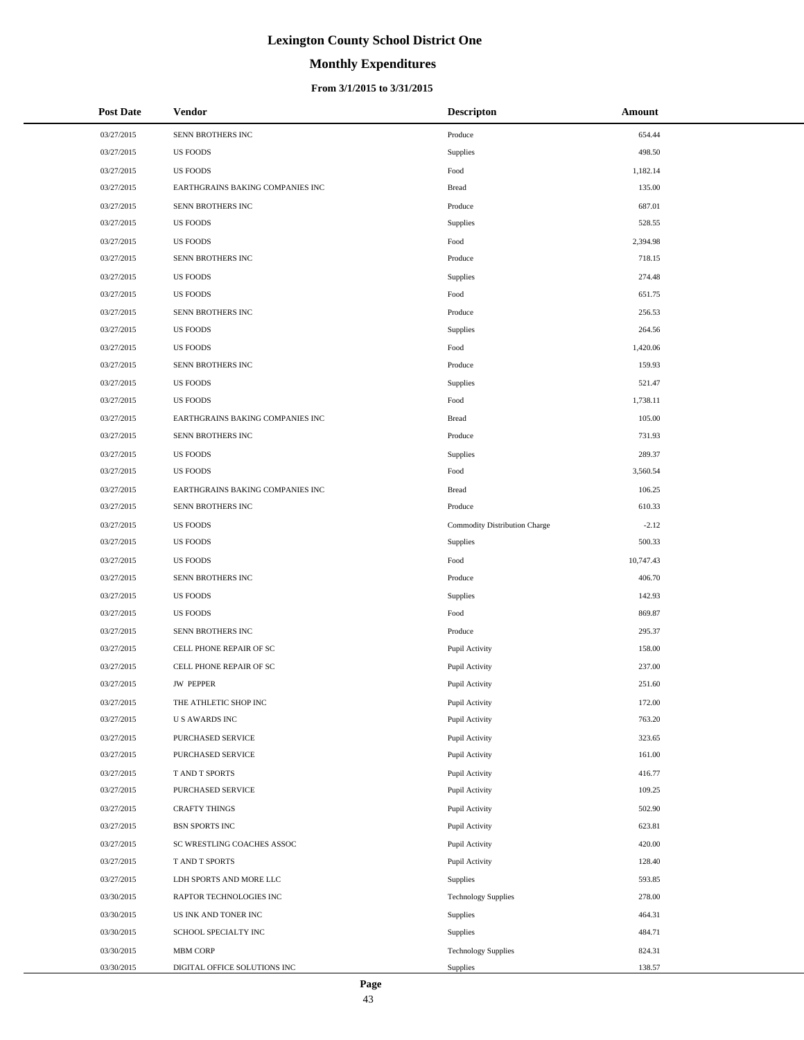# **Monthly Expenditures**

#### **From 3/1/2015 to 3/31/2015**

| <b>Post Date</b> | <b>Vendor</b>                    | <b>Descripton</b>             | Amount    |
|------------------|----------------------------------|-------------------------------|-----------|
| 03/27/2015       | SENN BROTHERS INC                | Produce                       | 654.44    |
| 03/27/2015       | <b>US FOODS</b>                  | Supplies                      | 498.50    |
| 03/27/2015       | <b>US FOODS</b>                  | Food                          | 1,182.14  |
| 03/27/2015       | EARTHGRAINS BAKING COMPANIES INC | <b>Bread</b>                  | 135.00    |
| 03/27/2015       | SENN BROTHERS INC                | Produce                       | 687.01    |
| 03/27/2015       | <b>US FOODS</b>                  | Supplies                      | 528.55    |
| 03/27/2015       | <b>US FOODS</b>                  | Food                          | 2,394.98  |
| 03/27/2015       | SENN BROTHERS INC                | Produce                       | 718.15    |
| 03/27/2015       | <b>US FOODS</b>                  | Supplies                      | 274.48    |
| 03/27/2015       | <b>US FOODS</b>                  | Food                          | 651.75    |
| 03/27/2015       | SENN BROTHERS INC                | Produce                       | 256.53    |
| 03/27/2015       | <b>US FOODS</b>                  | Supplies                      | 264.56    |
| 03/27/2015       | <b>US FOODS</b>                  | Food                          | 1,420.06  |
| 03/27/2015       | SENN BROTHERS INC                | Produce                       | 159.93    |
| 03/27/2015       | <b>US FOODS</b>                  | Supplies                      | 521.47    |
| 03/27/2015       | <b>US FOODS</b>                  | Food                          | 1,738.11  |
| 03/27/2015       | EARTHGRAINS BAKING COMPANIES INC | <b>Bread</b>                  | 105.00    |
| 03/27/2015       | SENN BROTHERS INC                | Produce                       | 731.93    |
| 03/27/2015       | <b>US FOODS</b>                  | Supplies                      | 289.37    |
| 03/27/2015       | <b>US FOODS</b>                  | Food                          | 3,560.54  |
| 03/27/2015       | EARTHGRAINS BAKING COMPANIES INC | <b>Bread</b>                  | 106.25    |
| 03/27/2015       | SENN BROTHERS INC                | Produce                       | 610.33    |
| 03/27/2015       | <b>US FOODS</b>                  | Commodity Distribution Charge | $-2.12$   |
| 03/27/2015       | <b>US FOODS</b>                  | Supplies                      | 500.33    |
| 03/27/2015       | <b>US FOODS</b>                  | Food                          | 10,747.43 |
| 03/27/2015       | SENN BROTHERS INC                | Produce                       | 406.70    |
| 03/27/2015       | <b>US FOODS</b>                  | Supplies                      | 142.93    |
| 03/27/2015       | <b>US FOODS</b>                  | Food                          | 869.87    |
| 03/27/2015       | SENN BROTHERS INC                | Produce                       | 295.37    |
| 03/27/2015       | CELL PHONE REPAIR OF SC          | Pupil Activity                | 158.00    |
| 03/27/2015       | CELL PHONE REPAIR OF SC          | Pupil Activity                | 237.00    |
| 03/27/2015       | <b>JW PEPPER</b>                 | Pupil Activity                | 251.60    |
| 03/27/2015       | THE ATHLETIC SHOP INC            | Pupil Activity                | 172.00    |
| 03/27/2015       | <b>US AWARDS INC</b>             | Pupil Activity                | 763.20    |
| 03/27/2015       | PURCHASED SERVICE                | Pupil Activity                | 323.65    |
| 03/27/2015       | PURCHASED SERVICE                | Pupil Activity                | 161.00    |
| 03/27/2015       | T AND T SPORTS                   | Pupil Activity                | 416.77    |
| 03/27/2015       | PURCHASED SERVICE                | Pupil Activity                | 109.25    |
| 03/27/2015       | <b>CRAFTY THINGS</b>             | Pupil Activity                | 502.90    |
| 03/27/2015       | BSN SPORTS INC                   | Pupil Activity                | 623.81    |
| 03/27/2015       | SC WRESTLING COACHES ASSOC       | Pupil Activity                | 420.00    |
| 03/27/2015       | T AND T SPORTS                   | Pupil Activity                | 128.40    |
| 03/27/2015       | LDH SPORTS AND MORE LLC          | Supplies                      | 593.85    |
| 03/30/2015       | RAPTOR TECHNOLOGIES INC          | <b>Technology Supplies</b>    | 278.00    |
| 03/30/2015       | US INK AND TONER INC             | Supplies                      | 464.31    |
| 03/30/2015       | SCHOOL SPECIALTY INC             | Supplies                      | 484.71    |
| 03/30/2015       | MBM CORP                         | <b>Technology Supplies</b>    | 824.31    |
| 03/30/2015       | DIGITAL OFFICE SOLUTIONS INC     | Supplies                      | 138.57    |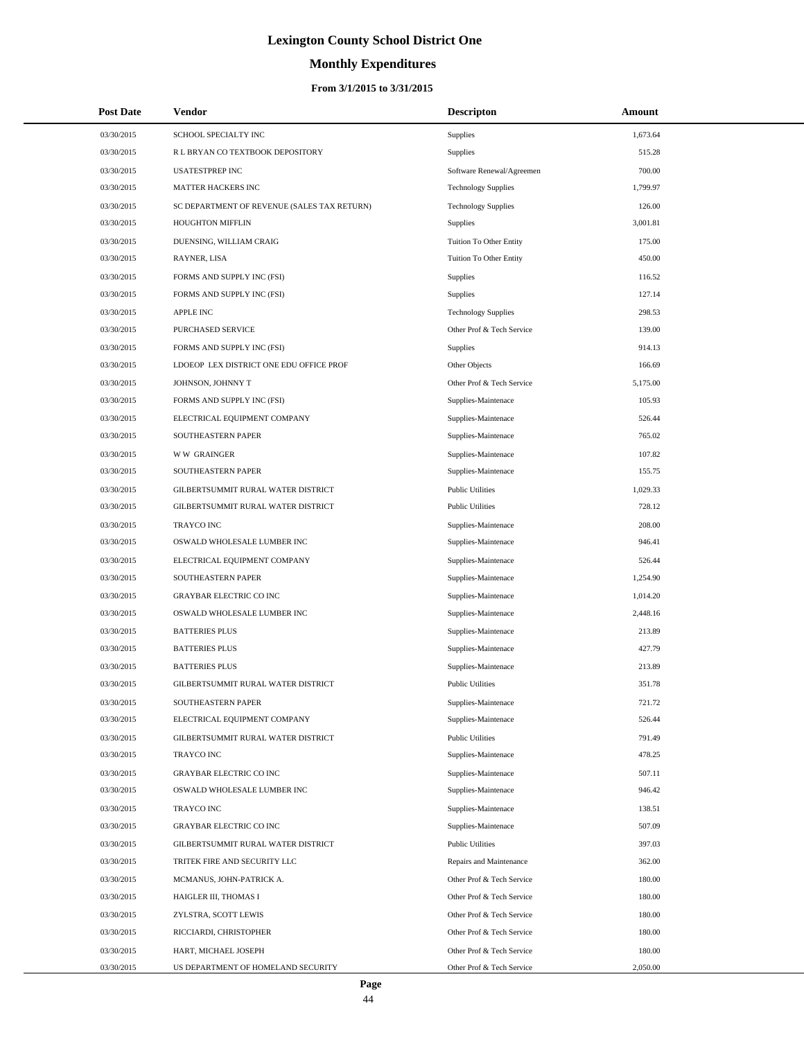# **Monthly Expenditures**

| <b>Post Date</b> | Vendor                                      | <b>Descripton</b>          | Amount   |
|------------------|---------------------------------------------|----------------------------|----------|
| 03/30/2015       | SCHOOL SPECIALTY INC                        | Supplies                   | 1,673.64 |
| 03/30/2015       | R L BRYAN CO TEXTBOOK DEPOSITORY            | Supplies                   | 515.28   |
| 03/30/2015       | <b>USATESTPREP INC</b>                      | Software Renewal/Agreemen  | 700.00   |
| 03/30/2015       | MATTER HACKERS INC                          | <b>Technology Supplies</b> | 1,799.97 |
| 03/30/2015       | SC DEPARTMENT OF REVENUE (SALES TAX RETURN) | <b>Technology Supplies</b> | 126.00   |
| 03/30/2015       | HOUGHTON MIFFLIN                            | <b>Supplies</b>            | 3,001.81 |
| 03/30/2015       | DUENSING, WILLIAM CRAIG                     | Tuition To Other Entity    | 175.00   |
| 03/30/2015       | RAYNER, LISA                                | Tuition To Other Entity    | 450.00   |
| 03/30/2015       | FORMS AND SUPPLY INC (FSI)                  | <b>Supplies</b>            | 116.52   |
| 03/30/2015       | FORMS AND SUPPLY INC (FSI)                  | Supplies                   | 127.14   |
| 03/30/2015       | <b>APPLE INC</b>                            | <b>Technology Supplies</b> | 298.53   |
| 03/30/2015       | PURCHASED SERVICE                           | Other Prof & Tech Service  | 139.00   |
| 03/30/2015       | FORMS AND SUPPLY INC (FSI)                  | Supplies                   | 914.13   |
| 03/30/2015       | LDOEOP LEX DISTRICT ONE EDU OFFICE PROF     | Other Objects              | 166.69   |
| 03/30/2015       | JOHNSON, JOHNNY T                           | Other Prof & Tech Service  | 5,175.00 |
| 03/30/2015       | FORMS AND SUPPLY INC (FSI)                  | Supplies-Maintenace        | 105.93   |
| 03/30/2015       | ELECTRICAL EQUIPMENT COMPANY                | Supplies-Maintenace        | 526.44   |
| 03/30/2015       | SOUTHEASTERN PAPER                          | Supplies-Maintenace        | 765.02   |
| 03/30/2015       | <b>WW GRAINGER</b>                          | Supplies-Maintenace        | 107.82   |
| 03/30/2015       | SOUTHEASTERN PAPER                          | Supplies-Maintenace        | 155.75   |
| 03/30/2015       | GILBERTSUMMIT RURAL WATER DISTRICT          | <b>Public Utilities</b>    | 1,029.33 |
| 03/30/2015       | GILBERTSUMMIT RURAL WATER DISTRICT          | <b>Public Utilities</b>    | 728.12   |
| 03/30/2015       | <b>TRAYCO INC</b>                           | Supplies-Maintenace        | 208.00   |
| 03/30/2015       | OSWALD WHOLESALE LUMBER INC                 | Supplies-Maintenace        | 946.41   |
| 03/30/2015       | ELECTRICAL EQUIPMENT COMPANY                | Supplies-Maintenace        | 526.44   |
| 03/30/2015       | SOUTHEASTERN PAPER                          | Supplies-Maintenace        | 1,254.90 |
| 03/30/2015       | <b>GRAYBAR ELECTRIC CO INC</b>              | Supplies-Maintenace        | 1,014.20 |
| 03/30/2015       | OSWALD WHOLESALE LUMBER INC                 | Supplies-Maintenace        | 2,448.16 |
| 03/30/2015       | <b>BATTERIES PLUS</b>                       | Supplies-Maintenace        | 213.89   |
| 03/30/2015       | <b>BATTERIES PLUS</b>                       | Supplies-Maintenace        | 427.79   |
| 03/30/2015       | <b>BATTERIES PLUS</b>                       | Supplies-Maintenace        | 213.89   |
| 03/30/2015       | GILBERTSUMMIT RURAL WATER DISTRICT          | <b>Public Utilities</b>    | 351.78   |
| 03/30/2015       | SOUTHEASTERN PAPER                          | Supplies-Maintenace        | 721.72   |
| 03/30/2015       | ELECTRICAL EQUIPMENT COMPANY                | Supplies-Maintenace        | 526.44   |
| 03/30/2015       | GILBERTSUMMIT RURAL WATER DISTRICT          | <b>Public Utilities</b>    | 791.49   |
| 03/30/2015       | TRAYCO INC                                  | Supplies-Maintenace        | 478.25   |
| 03/30/2015       | <b>GRAYBAR ELECTRIC CO INC</b>              | Supplies-Maintenace        | 507.11   |
| 03/30/2015       | OSWALD WHOLESALE LUMBER INC                 | Supplies-Maintenace        | 946.42   |
| 03/30/2015       | TRAYCO INC                                  | Supplies-Maintenace        | 138.51   |
| 03/30/2015       | <b>GRAYBAR ELECTRIC CO INC</b>              | Supplies-Maintenace        | 507.09   |
| 03/30/2015       | GILBERTSUMMIT RURAL WATER DISTRICT          | <b>Public Utilities</b>    | 397.03   |
| 03/30/2015       | TRITEK FIRE AND SECURITY LLC                | Repairs and Maintenance    | 362.00   |
| 03/30/2015       | MCMANUS, JOHN-PATRICK A.                    | Other Prof & Tech Service  | 180.00   |
| 03/30/2015       | HAIGLER III, THOMAS I                       | Other Prof & Tech Service  | 180.00   |
| 03/30/2015       | ZYLSTRA, SCOTT LEWIS                        | Other Prof & Tech Service  | 180.00   |
| 03/30/2015       | RICCIARDI, CHRISTOPHER                      | Other Prof & Tech Service  | 180.00   |
| 03/30/2015       | HART, MICHAEL JOSEPH                        | Other Prof & Tech Service  | 180.00   |
| 03/30/2015       | US DEPARTMENT OF HOMELAND SECURITY          | Other Prof & Tech Service  | 2,050.00 |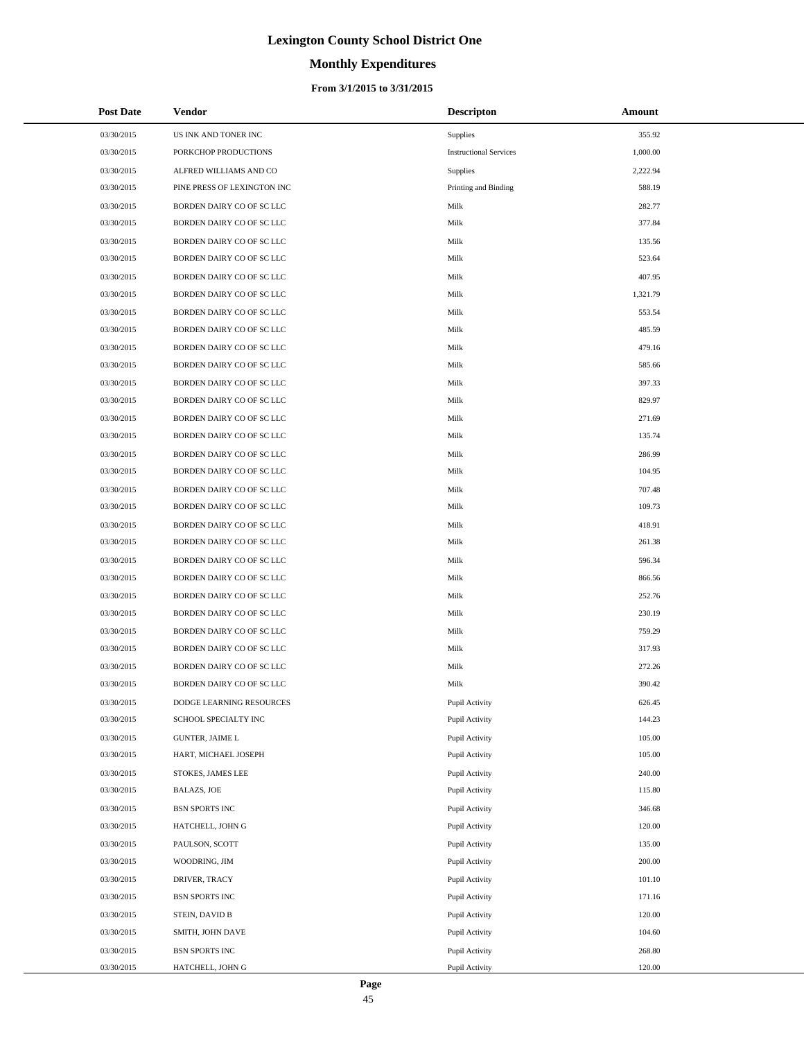# **Monthly Expenditures**

#### **From 3/1/2015 to 3/31/2015**

| <b>Post Date</b> | <b>Vendor</b>               | <b>Descripton</b>             | Amount   |
|------------------|-----------------------------|-------------------------------|----------|
| 03/30/2015       | US INK AND TONER INC        | Supplies                      | 355.92   |
| 03/30/2015       | PORKCHOP PRODUCTIONS        | <b>Instructional Services</b> | 1,000.00 |
| 03/30/2015       | ALFRED WILLIAMS AND CO      | Supplies                      | 2,222.94 |
| 03/30/2015       | PINE PRESS OF LEXINGTON INC | Printing and Binding          | 588.19   |
| 03/30/2015       | BORDEN DAIRY CO OF SC LLC   | Milk                          | 282.77   |
| 03/30/2015       | BORDEN DAIRY CO OF SC LLC   | Milk                          | 377.84   |
| 03/30/2015       | BORDEN DAIRY CO OF SC LLC   | Milk                          | 135.56   |
| 03/30/2015       | BORDEN DAIRY CO OF SC LLC   | Milk                          | 523.64   |
| 03/30/2015       | BORDEN DAIRY CO OF SC LLC   | Milk                          | 407.95   |
| 03/30/2015       | BORDEN DAIRY CO OF SC LLC   | Milk                          | 1,321.79 |
| 03/30/2015       | BORDEN DAIRY CO OF SC LLC   | Milk                          | 553.54   |
| 03/30/2015       | BORDEN DAIRY CO OF SC LLC   | Milk                          | 485.59   |
| 03/30/2015       | BORDEN DAIRY CO OF SC LLC   | Milk                          | 479.16   |
| 03/30/2015       | BORDEN DAIRY CO OF SC LLC   | Milk                          | 585.66   |
| 03/30/2015       | BORDEN DAIRY CO OF SC LLC   | Milk                          | 397.33   |
| 03/30/2015       | BORDEN DAIRY CO OF SC LLC   | Milk                          | 829.97   |
| 03/30/2015       | BORDEN DAIRY CO OF SC LLC   | Milk                          | 271.69   |
| 03/30/2015       | BORDEN DAIRY CO OF SC LLC   | Milk                          | 135.74   |
| 03/30/2015       | BORDEN DAIRY CO OF SC LLC   | Milk                          | 286.99   |
| 03/30/2015       | BORDEN DAIRY CO OF SC LLC   | Milk                          | 104.95   |
| 03/30/2015       | BORDEN DAIRY CO OF SC LLC   | Milk                          | 707.48   |
| 03/30/2015       | BORDEN DAIRY CO OF SC LLC   | Milk                          | 109.73   |
| 03/30/2015       | BORDEN DAIRY CO OF SC LLC   | Milk                          | 418.91   |
| 03/30/2015       | BORDEN DAIRY CO OF SC LLC   | Milk                          | 261.38   |
| 03/30/2015       | BORDEN DAIRY CO OF SC LLC   | Milk                          | 596.34   |
| 03/30/2015       | BORDEN DAIRY CO OF SC LLC   | Milk                          | 866.56   |
| 03/30/2015       | BORDEN DAIRY CO OF SC LLC   | Milk                          | 252.76   |
| 03/30/2015       | BORDEN DAIRY CO OF SC LLC   | Milk                          | 230.19   |
| 03/30/2015       | BORDEN DAIRY CO OF SC LLC   | Milk                          | 759.29   |
| 03/30/2015       | BORDEN DAIRY CO OF SC LLC   | Milk                          | 317.93   |
| 03/30/2015       | BORDEN DAIRY CO OF SC LLC   | Milk                          | 272.26   |
| 03/30/2015       | BORDEN DAIRY CO OF SC LLC   | Milk                          | 390.42   |
| 03/30/2015       | DODGE LEARNING RESOURCES    | Pupil Activity                | 626.45   |
| 03/30/2015       | SCHOOL SPECIALTY INC        | Pupil Activity                | 144.23   |
| 03/30/2015       | GUNTER, JAIME L             | Pupil Activity                | 105.00   |
| 03/30/2015       | HART, MICHAEL JOSEPH        | Pupil Activity                | 105.00   |
| 03/30/2015       | STOKES, JAMES LEE           | Pupil Activity                | 240.00   |
| 03/30/2015       | BALAZS, JOE                 | Pupil Activity                | 115.80   |
| 03/30/2015       | BSN SPORTS INC              | Pupil Activity                | 346.68   |
| 03/30/2015       | HATCHELL, JOHN G            | Pupil Activity                | 120.00   |
| 03/30/2015       | PAULSON, SCOTT              | Pupil Activity                | 135.00   |
| 03/30/2015       | WOODRING, JIM               | Pupil Activity                | 200.00   |
| 03/30/2015       | DRIVER, TRACY               | Pupil Activity                | 101.10   |
| 03/30/2015       | BSN SPORTS INC              | Pupil Activity                | 171.16   |
| 03/30/2015       | STEIN, DAVID B              | Pupil Activity                | 120.00   |
| 03/30/2015       | SMITH, JOHN DAVE            | Pupil Activity                | 104.60   |
| 03/30/2015       | BSN SPORTS INC              | Pupil Activity                | 268.80   |
| 03/30/2015       | HATCHELL, JOHN G            | Pupil Activity                | 120.00   |

 $\overline{a}$ 

÷.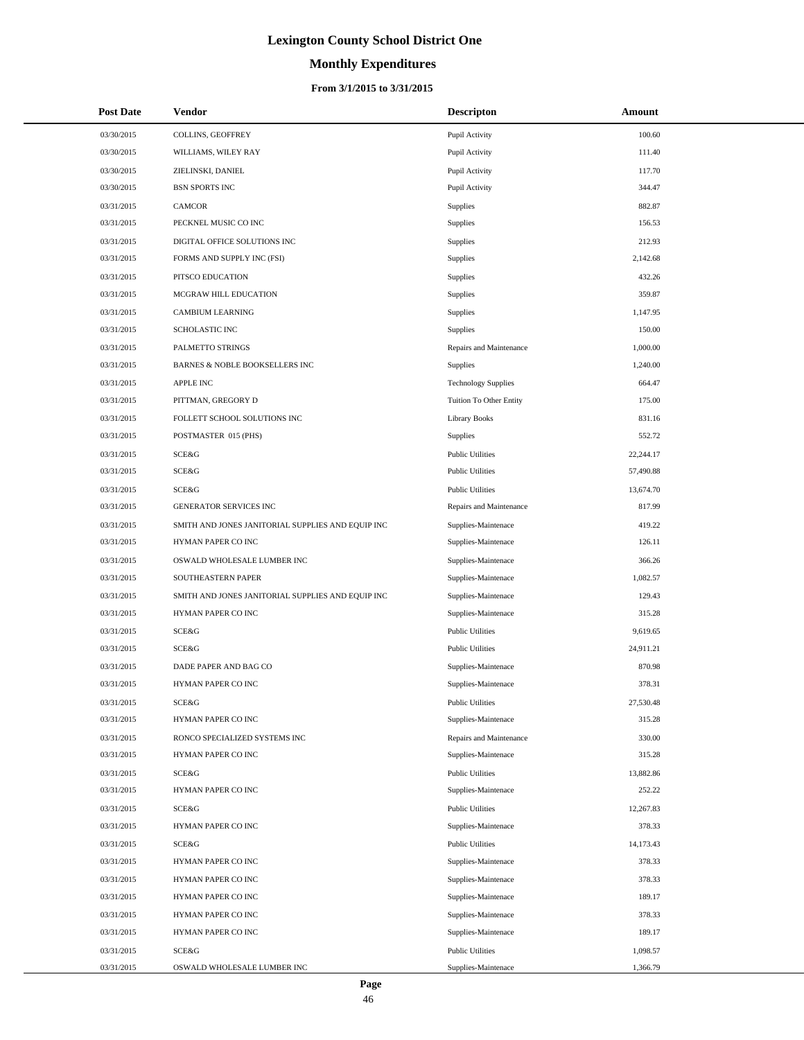# **Monthly Expenditures**

| <b>Post Date</b> | Vendor                                            | <b>Descripton</b>          | Amount    |
|------------------|---------------------------------------------------|----------------------------|-----------|
| 03/30/2015       | COLLINS, GEOFFREY                                 | Pupil Activity             | 100.60    |
| 03/30/2015       | WILLIAMS, WILEY RAY                               | Pupil Activity             | 111.40    |
| 03/30/2015       | ZIELINSKI, DANIEL                                 | Pupil Activity             | 117.70    |
| 03/30/2015       | <b>BSN SPORTS INC</b>                             | Pupil Activity             | 344.47    |
| 03/31/2015       | <b>CAMCOR</b>                                     | Supplies                   | 882.87    |
| 03/31/2015       | PECKNEL MUSIC CO INC                              | Supplies                   | 156.53    |
| 03/31/2015       | DIGITAL OFFICE SOLUTIONS INC                      | <b>Supplies</b>            | 212.93    |
| 03/31/2015       | FORMS AND SUPPLY INC (FSI)                        | Supplies                   | 2,142.68  |
| 03/31/2015       | PITSCO EDUCATION                                  | Supplies                   | 432.26    |
| 03/31/2015       | MCGRAW HILL EDUCATION                             | Supplies                   | 359.87    |
| 03/31/2015       | <b>CAMBIUM LEARNING</b>                           | Supplies                   | 1,147.95  |
| 03/31/2015       | SCHOLASTIC INC                                    | Supplies                   | 150.00    |
| 03/31/2015       | PALMETTO STRINGS                                  | Repairs and Maintenance    | 1,000.00  |
| 03/31/2015       | <b>BARNES &amp; NOBLE BOOKSELLERS INC</b>         | <b>Supplies</b>            | 1,240.00  |
| 03/31/2015       | <b>APPLE INC</b>                                  | <b>Technology Supplies</b> | 664.47    |
| 03/31/2015       | PITTMAN, GREGORY D                                | Tuition To Other Entity    | 175.00    |
| 03/31/2015       | FOLLETT SCHOOL SOLUTIONS INC                      | <b>Library Books</b>       | 831.16    |
| 03/31/2015       | POSTMASTER 015 (PHS)                              | <b>Supplies</b>            | 552.72    |
| 03/31/2015       | SCE&G                                             | <b>Public Utilities</b>    | 22,244.17 |
| 03/31/2015       | SCE&G                                             | <b>Public Utilities</b>    | 57,490.88 |
| 03/31/2015       | SCE&G                                             | <b>Public Utilities</b>    | 13,674.70 |
| 03/31/2015       | GENERATOR SERVICES INC                            | Repairs and Maintenance    | 817.99    |
| 03/31/2015       | SMITH AND JONES JANITORIAL SUPPLIES AND EQUIP INC | Supplies-Maintenace        | 419.22    |
| 03/31/2015       | HYMAN PAPER CO INC                                | Supplies-Maintenace        | 126.11    |
| 03/31/2015       | OSWALD WHOLESALE LUMBER INC                       | Supplies-Maintenace        | 366.26    |
| 03/31/2015       | SOUTHEASTERN PAPER                                | Supplies-Maintenace        | 1,082.57  |
| 03/31/2015       | SMITH AND JONES JANITORIAL SUPPLIES AND EQUIP INC | Supplies-Maintenace        | 129.43    |
| 03/31/2015       | HYMAN PAPER CO INC                                | Supplies-Maintenace        | 315.28    |
| 03/31/2015       | SCE&G                                             | <b>Public Utilities</b>    | 9,619.65  |
| 03/31/2015       | SCE&G                                             | <b>Public Utilities</b>    | 24,911.21 |
| 03/31/2015       | DADE PAPER AND BAG CO                             | Supplies-Maintenace        | 870.98    |
| 03/31/2015       | HYMAN PAPER CO INC                                | Supplies-Maintenace        | 378.31    |
| 03/31/2015       | SCE&G                                             | <b>Public Utilities</b>    | 27,530.48 |
| 03/31/2015       | HYMAN PAPER CO INC                                | Supplies-Maintenace        | 315.28    |
| 03/31/2015       | RONCO SPECIALIZED SYSTEMS INC                     | Repairs and Maintenance    | 330.00    |
| 03/31/2015       | HYMAN PAPER CO INC                                | Supplies-Maintenace        | 315.28    |
| 03/31/2015       | SCE&G                                             | <b>Public Utilities</b>    | 13,882.86 |
| 03/31/2015       | HYMAN PAPER CO INC                                | Supplies-Maintenace        | 252.22    |
| 03/31/2015       | SCE&G                                             | <b>Public Utilities</b>    | 12,267.83 |
| 03/31/2015       | HYMAN PAPER CO INC                                | Supplies-Maintenace        | 378.33    |
| 03/31/2015       | SCE&G                                             | <b>Public Utilities</b>    | 14,173.43 |
| 03/31/2015       | HYMAN PAPER CO INC                                | Supplies-Maintenace        | 378.33    |
| 03/31/2015       | HYMAN PAPER CO INC                                | Supplies-Maintenace        | 378.33    |
| 03/31/2015       | HYMAN PAPER CO INC                                | Supplies-Maintenace        | 189.17    |
| 03/31/2015       | HYMAN PAPER CO INC                                | Supplies-Maintenace        | 378.33    |
| 03/31/2015       | HYMAN PAPER CO INC                                | Supplies-Maintenace        | 189.17    |
| 03/31/2015       | SCE&G                                             | <b>Public Utilities</b>    | 1,098.57  |
| 03/31/2015       | OSWALD WHOLESALE LUMBER INC                       | Supplies-Maintenace        | 1,366.79  |